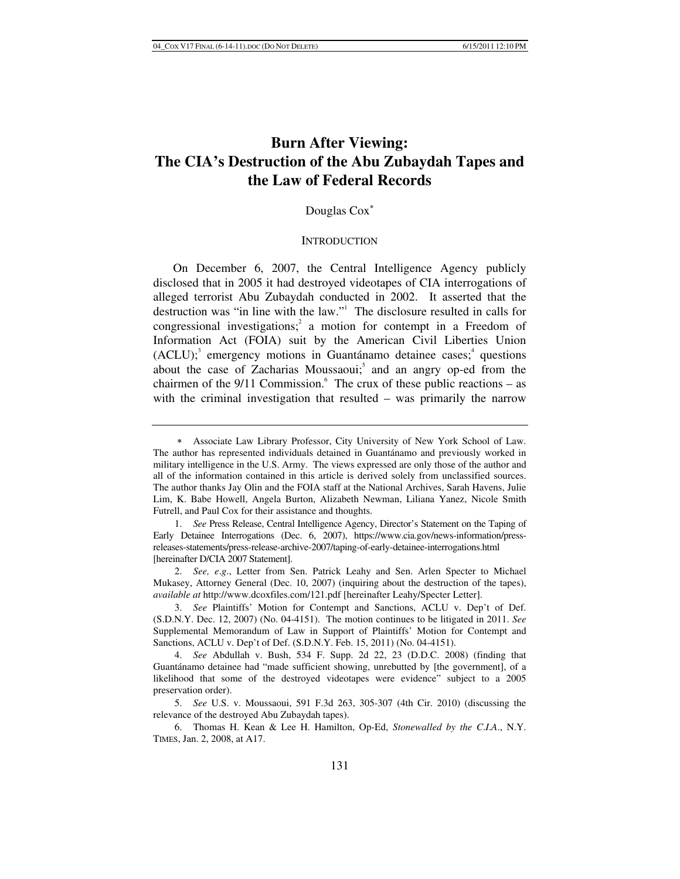# **Burn After Viewing: The CIA's Destruction of the Abu Zubaydah Tapes and the Law of Federal Records**

# Douglas Cox

#### **INTRODUCTION**

On December 6, 2007, the Central Intelligence Agency publicly disclosed that in 2005 it had destroyed videotapes of CIA interrogations of alleged terrorist Abu Zubaydah conducted in 2002. It asserted that the destruction was "in line with the law."1 The disclosure resulted in calls for congressional investigations;<sup>2</sup> a motion for contempt in a Freedom of Information Act (FOIA) suit by the American Civil Liberties Union  $(ACLU)$ ;<sup>3</sup> emergency motions in Guantánamo detainee cases;<sup>4</sup> questions about the case of Zacharias Moussaoui;<sup>5</sup> and an angry op-ed from the chairmen of the  $9/11$  Commission.<sup>6</sup> The crux of these public reactions – as with the criminal investigation that resulted – was primarily the narrow

 Associate Law Library Professor, City University of New York School of Law. The author has represented individuals detained in Guantánamo and previously worked in military intelligence in the U.S. Army. The views expressed are only those of the author and all of the information contained in this article is derived solely from unclassified sources. The author thanks Jay Olin and the FOIA staff at the National Archives, Sarah Havens, Julie Lim, K. Babe Howell, Angela Burton, Alizabeth Newman, Liliana Yanez, Nicole Smith Futrell, and Paul Cox for their assistance and thoughts.

<sup>1.</sup> *See* Press Release, Central Intelligence Agency, Director's Statement on the Taping of Early Detainee Interrogations (Dec. 6, 2007), https://www.cia.gov/news-information/pressreleases-statements/press-release-archive-2007/taping-of-early-detainee-interrogations.html [hereinafter D/CIA 2007 Statement].

<sup>2.</sup> *See, e*.*g*., Letter from Sen. Patrick Leahy and Sen. Arlen Specter to Michael Mukasey, Attorney General (Dec. 10, 2007) (inquiring about the destruction of the tapes), *available at* http://www.dcoxfiles.com/121.pdf [hereinafter Leahy/Specter Letter].

<sup>3.</sup> *See* Plaintiffs' Motion for Contempt and Sanctions, ACLU v. Dep't of Def. (S.D.N.Y. Dec. 12, 2007) (No. 04-4151). The motion continues to be litigated in 2011. *See* Supplemental Memorandum of Law in Support of Plaintiffs' Motion for Contempt and Sanctions, ACLU v. Dep't of Def. (S.D.N.Y. Feb. 15, 2011) (No. 04-4151).

<sup>4.</sup> *See* Abdullah v. Bush, 534 F. Supp. 2d 22, 23 (D.D.C. 2008) (finding that Guantánamo detainee had "made sufficient showing, unrebutted by [the government], of a likelihood that some of the destroyed videotapes were evidence" subject to a 2005 preservation order).

<sup>5.</sup> *See* U.S. v. Moussaoui, 591 F.3d 263, 305-307 (4th Cir. 2010) (discussing the relevance of the destroyed Abu Zubaydah tapes).

 <sup>6.</sup> Thomas H. Kean & Lee H. Hamilton, Op-Ed, *Stonewalled by the C*.*I*.*A*., N.Y. TIMES, Jan. 2, 2008, at A17.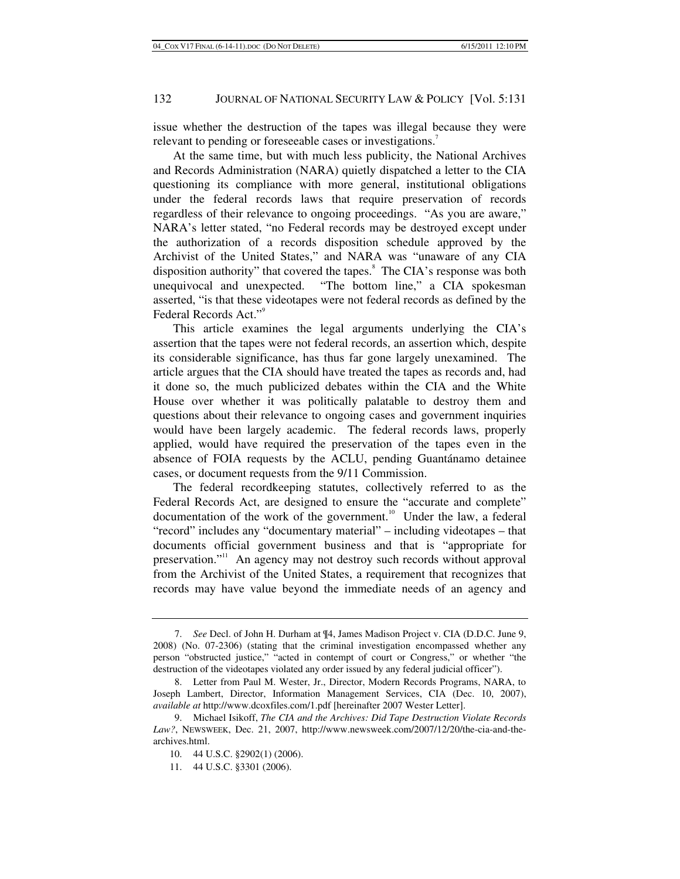issue whether the destruction of the tapes was illegal because they were relevant to pending or foreseeable cases or investigations.<sup>7</sup>

At the same time, but with much less publicity, the National Archives and Records Administration (NARA) quietly dispatched a letter to the CIA questioning its compliance with more general, institutional obligations under the federal records laws that require preservation of records regardless of their relevance to ongoing proceedings. "As you are aware," NARA's letter stated, "no Federal records may be destroyed except under the authorization of a records disposition schedule approved by the Archivist of the United States," and NARA was "unaware of any CIA disposition authority" that covered the tapes.<sup>8</sup> The CIA's response was both unequivocal and unexpected. "The bottom line," a CIA spokesman asserted, "is that these videotapes were not federal records as defined by the Federal Records Act."<sup>9</sup>

This article examines the legal arguments underlying the CIA's assertion that the tapes were not federal records, an assertion which, despite its considerable significance, has thus far gone largely unexamined. The article argues that the CIA should have treated the tapes as records and, had it done so, the much publicized debates within the CIA and the White House over whether it was politically palatable to destroy them and questions about their relevance to ongoing cases and government inquiries would have been largely academic. The federal records laws, properly applied, would have required the preservation of the tapes even in the absence of FOIA requests by the ACLU, pending Guantánamo detainee cases, or document requests from the 9/11 Commission.

The federal recordkeeping statutes, collectively referred to as the Federal Records Act, are designed to ensure the "accurate and complete" documentation of the work of the government.<sup>10</sup> Under the law, a federal "record" includes any "documentary material" – including videotapes – that documents official government business and that is "appropriate for preservation."<sup>11</sup> An agency may not destroy such records without approval from the Archivist of the United States, a requirement that recognizes that records may have value beyond the immediate needs of an agency and

<sup>7.</sup> *See* Decl. of John H. Durham at ¶4, James Madison Project v. CIA (D.D.C. June 9, 2008) (No. 07-2306) (stating that the criminal investigation encompassed whether any person "obstructed justice," "acted in contempt of court or Congress," or whether "the destruction of the videotapes violated any order issued by any federal judicial officer").

 <sup>8.</sup> Letter from Paul M. Wester, Jr., Director, Modern Records Programs, NARA, to Joseph Lambert, Director, Information Management Services, CIA (Dec. 10, 2007), *available at* http://www.dcoxfiles.com/1.pdf [hereinafter 2007 Wester Letter].

 <sup>9.</sup> Michael Isikoff, *The CIA and the Archives: Did Tape Destruction Violate Records Law?*, NEWSWEEK, Dec. 21, 2007, http://www.newsweek.com/2007/12/20/the-cia-and-thearchives.html.

 <sup>10. 44</sup> U.S.C. §2902(1) (2006).

 <sup>11. 44</sup> U.S.C. §3301 (2006).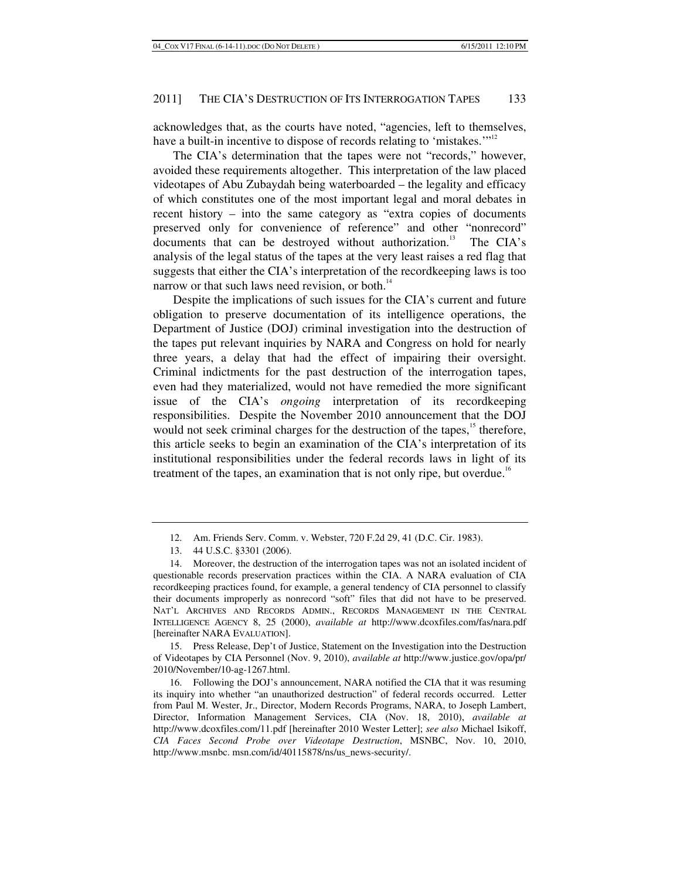acknowledges that, as the courts have noted, "agencies, left to themselves, have a built-in incentive to dispose of records relating to 'mistakes.'"<sup>12</sup>

The CIA's determination that the tapes were not "records," however, avoided these requirements altogether. This interpretation of the law placed videotapes of Abu Zubaydah being waterboarded – the legality and efficacy of which constitutes one of the most important legal and moral debates in recent history – into the same category as "extra copies of documents preserved only for convenience of reference" and other "nonrecord" documents that can be destroyed without authorization.<sup>13</sup> The CIA's analysis of the legal status of the tapes at the very least raises a red flag that suggests that either the CIA's interpretation of the recordkeeping laws is too narrow or that such laws need revision, or both.<sup>14</sup>

Despite the implications of such issues for the CIA's current and future obligation to preserve documentation of its intelligence operations, the Department of Justice (DOJ) criminal investigation into the destruction of the tapes put relevant inquiries by NARA and Congress on hold for nearly three years, a delay that had the effect of impairing their oversight. Criminal indictments for the past destruction of the interrogation tapes, even had they materialized, would not have remedied the more significant issue of the CIA's *ongoing* interpretation of its recordkeeping responsibilities. Despite the November 2010 announcement that the DOJ would not seek criminal charges for the destruction of the tapes,<sup>15</sup> therefore, this article seeks to begin an examination of the CIA's interpretation of its institutional responsibilities under the federal records laws in light of its treatment of the tapes, an examination that is not only ripe, but overdue.<sup>16</sup>

 15. Press Release, Dep't of Justice, Statement on the Investigation into the Destruction of Videotapes by CIA Personnel (Nov. 9, 2010), *available at* http://www.justice.gov/opa/pr/ 2010/November/10-ag-1267.html.

 <sup>12.</sup> Am. Friends Serv. Comm. v. Webster, 720 F.2d 29, 41 (D.C. Cir. 1983).

 <sup>13. 44</sup> U.S.C. §3301 (2006).

 <sup>14.</sup> Moreover, the destruction of the interrogation tapes was not an isolated incident of questionable records preservation practices within the CIA. A NARA evaluation of CIA recordkeeping practices found, for example, a general tendency of CIA personnel to classify their documents improperly as nonrecord "soft" files that did not have to be preserved. NAT'L ARCHIVES AND RECORDS ADMIN., RECORDS MANAGEMENT IN THE CENTRAL INTELLIGENCE AGENCY 8, 25 (2000), *available at* http://www.dcoxfiles.com/fas/nara.pdf [hereinafter NARA EVALUATION].

 <sup>16.</sup> Following the DOJ's announcement, NARA notified the CIA that it was resuming its inquiry into whether "an unauthorized destruction" of federal records occurred. Letter from Paul M. Wester, Jr., Director, Modern Records Programs, NARA, to Joseph Lambert, Director, Information Management Services, CIA (Nov. 18, 2010), *available at* http://www.dcoxfiles.com/11.pdf [hereinafter 2010 Wester Letter]; *see also* Michael Isikoff, *CIA Faces Second Probe over Videotape Destruction*, MSNBC, Nov. 10, 2010, http://www.msnbc. msn.com/id/40115878/ns/us\_news-security/.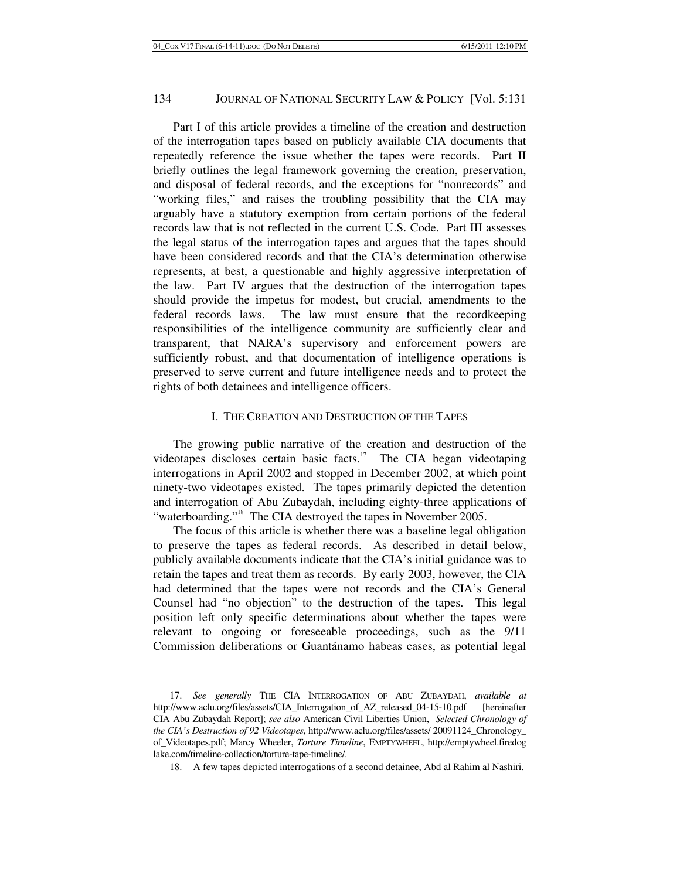Part I of this article provides a timeline of the creation and destruction of the interrogation tapes based on publicly available CIA documents that repeatedly reference the issue whether the tapes were records. Part II briefly outlines the legal framework governing the creation, preservation, and disposal of federal records, and the exceptions for "nonrecords" and "working files," and raises the troubling possibility that the CIA may arguably have a statutory exemption from certain portions of the federal records law that is not reflected in the current U.S. Code. Part III assesses the legal status of the interrogation tapes and argues that the tapes should have been considered records and that the CIA's determination otherwise represents, at best, a questionable and highly aggressive interpretation of the law. Part IV argues that the destruction of the interrogation tapes should provide the impetus for modest, but crucial, amendments to the federal records laws. The law must ensure that the recordkeeping responsibilities of the intelligence community are sufficiently clear and transparent, that NARA's supervisory and enforcement powers are sufficiently robust, and that documentation of intelligence operations is preserved to serve current and future intelligence needs and to protect the rights of both detainees and intelligence officers.

### I. THE CREATION AND DESTRUCTION OF THE TAPES

The growing public narrative of the creation and destruction of the videotapes discloses certain basic facts.<sup>17</sup> The CIA began videotaping interrogations in April 2002 and stopped in December 2002, at which point ninety-two videotapes existed. The tapes primarily depicted the detention and interrogation of Abu Zubaydah, including eighty-three applications of "waterboarding."<sup>18</sup> The CIA destroyed the tapes in November 2005.

The focus of this article is whether there was a baseline legal obligation to preserve the tapes as federal records. As described in detail below, publicly available documents indicate that the CIA's initial guidance was to retain the tapes and treat them as records. By early 2003, however, the CIA had determined that the tapes were not records and the CIA's General Counsel had "no objection" to the destruction of the tapes. This legal position left only specific determinations about whether the tapes were relevant to ongoing or foreseeable proceedings, such as the 9/11 Commission deliberations or Guantánamo habeas cases, as potential legal

<sup>17.</sup> *See generally* THE CIA INTERROGATION OF ABU ZUBAYDAH, *available at* http://www.aclu.org/files/assets/CIA\_Interrogation\_of\_AZ\_released\_04-15-10.pdf [hereinafter CIA Abu Zubaydah Report]; *see also* American Civil Liberties Union, *Selected Chronology of the CIA's Destruction of 92 Videotapes*, http://www.aclu.org/files/assets/ 20091124\_Chronology\_ of\_Videotapes.pdf; Marcy Wheeler, *Torture Timeline*, EMPTYWHEEL, http://emptywheel.firedog lake.com/timeline-collection/torture-tape-timeline/.

 <sup>18.</sup> A few tapes depicted interrogations of a second detainee, Abd al Rahim al Nashiri.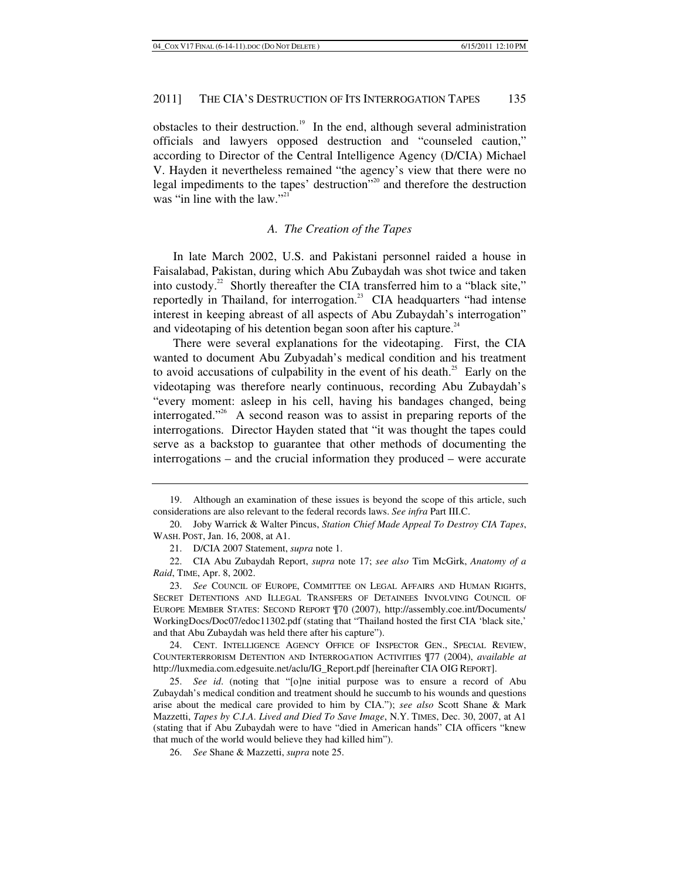obstacles to their destruction.<sup>19</sup> In the end, although several administration officials and lawyers opposed destruction and "counseled caution," according to Director of the Central Intelligence Agency (D/CIA) Michael V. Hayden it nevertheless remained "the agency's view that there were no legal impediments to the tapes' destruction"20 and therefore the destruction was "in line with the law." $2^{12}$ 

#### *A. The Creation of the Tapes*

In late March 2002, U.S. and Pakistani personnel raided a house in Faisalabad, Pakistan, during which Abu Zubaydah was shot twice and taken into custody.<sup>22</sup> Shortly thereafter the CIA transferred him to a "black site," reportedly in Thailand, for interrogation.<sup>23</sup> CIA headquarters "had intense interest in keeping abreast of all aspects of Abu Zubaydah's interrogation" and videotaping of his detention began soon after his capture. $24$ 

There were several explanations for the videotaping. First, the CIA wanted to document Abu Zubyadah's medical condition and his treatment to avoid accusations of culpability in the event of his death.<sup>25</sup> Early on the videotaping was therefore nearly continuous, recording Abu Zubaydah's "every moment: asleep in his cell, having his bandages changed, being interrogated."<sup>26</sup> A second reason was to assist in preparing reports of the interrogations. Director Hayden stated that "it was thought the tapes could serve as a backstop to guarantee that other methods of documenting the interrogations – and the crucial information they produced – were accurate

 <sup>19.</sup> Although an examination of these issues is beyond the scope of this article, such considerations are also relevant to the federal records laws. *See infra* Part III.C.

 <sup>20.</sup> Joby Warrick & Walter Pincus, *Station Chief Made Appeal To Destroy CIA Tapes*, WASH. POST, Jan. 16, 2008, at A1.

 <sup>21.</sup> D/CIA 2007 Statement, *supra* note 1.

 <sup>22.</sup> CIA Abu Zubaydah Report, *supra* note 17; *see also* Tim McGirk, *Anatomy of a Raid*, TIME, Apr. 8, 2002.

<sup>23.</sup> *See* COUNCIL OF EUROPE, COMMITTEE ON LEGAL AFFAIRS AND HUMAN RIGHTS, SECRET DETENTIONS AND ILLEGAL TRANSFERS OF DETAINEES INVOLVING COUNCIL OF EUROPE MEMBER STATES: SECOND REPORT ¶70 (2007), http://assembly.coe.int/Documents/ WorkingDocs/Doc07/edoc11302.pdf (stating that "Thailand hosted the first CIA 'black site,' and that Abu Zubaydah was held there after his capture").

 <sup>24.</sup> CENT. INTELLIGENCE AGENCY OFFICE OF INSPECTOR GEN., SPECIAL REVIEW, COUNTERTERRORISM DETENTION AND INTERROGATION ACTIVITIES ¶77 (2004), *available at* http://luxmedia.com.edgesuite.net/aclu/IG\_Report.pdf [hereinafter CIA OIG REPORT].

<sup>25.</sup> *See id*. (noting that "[o]ne initial purpose was to ensure a record of Abu Zubaydah's medical condition and treatment should he succumb to his wounds and questions arise about the medical care provided to him by CIA."); *see also* Scott Shane & Mark Mazzetti, *Tapes by C*.*I*.*A*. *Lived and Died To Save Image*, N.Y. TIMES, Dec. 30, 2007, at A1 (stating that if Abu Zubaydah were to have "died in American hands" CIA officers "knew that much of the world would believe they had killed him").

<sup>26.</sup> *See* Shane & Mazzetti, *supra* note 25.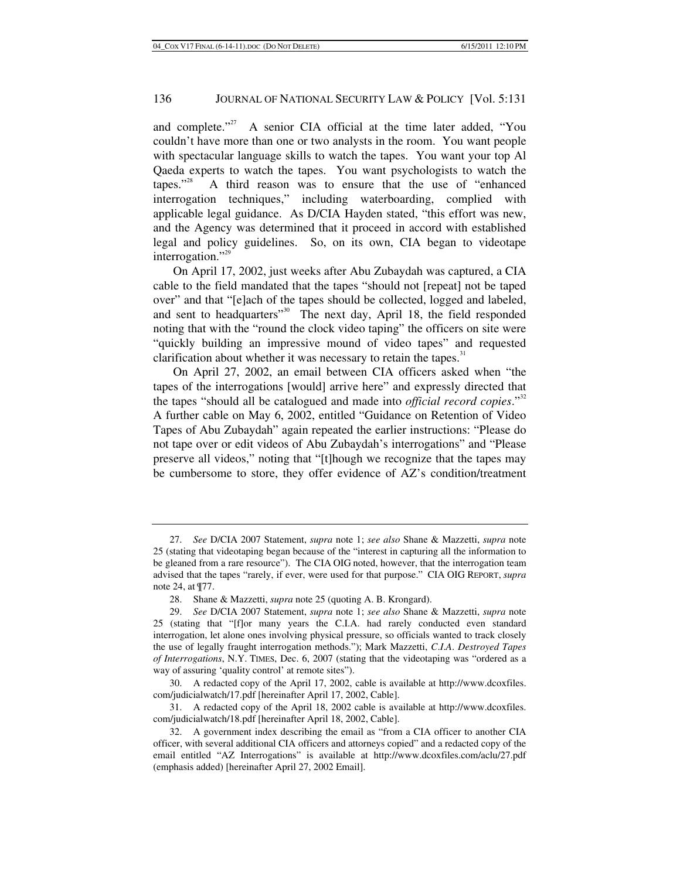and complete."<sup>27</sup> A senior CIA official at the time later added, "You couldn't have more than one or two analysts in the room. You want people with spectacular language skills to watch the tapes. You want your top Al Qaeda experts to watch the tapes. You want psychologists to watch the tapes.<sup>328</sup> A third reason was to ensure that the use of "enhanced" A third reason was to ensure that the use of "enhanced" interrogation techniques," including waterboarding, complied with applicable legal guidance. As D/CIA Hayden stated, "this effort was new, and the Agency was determined that it proceed in accord with established legal and policy guidelines. So, on its own, CIA began to videotape interrogation."<sup>29</sup>

On April 17, 2002, just weeks after Abu Zubaydah was captured, a CIA cable to the field mandated that the tapes "should not [repeat] not be taped over" and that "[e]ach of the tapes should be collected, logged and labeled, and sent to headquarters"<sup>30</sup> The next day, April 18, the field responded noting that with the "round the clock video taping" the officers on site were "quickly building an impressive mound of video tapes" and requested clarification about whether it was necessary to retain the tapes.<sup>31</sup>

On April 27, 2002, an email between CIA officers asked when "the tapes of the interrogations [would] arrive here" and expressly directed that the tapes "should all be catalogued and made into *official record copies*."32 A further cable on May 6, 2002, entitled "Guidance on Retention of Video Tapes of Abu Zubaydah" again repeated the earlier instructions: "Please do not tape over or edit videos of Abu Zubaydah's interrogations" and "Please preserve all videos," noting that "[t]hough we recognize that the tapes may be cumbersome to store, they offer evidence of AZ's condition/treatment

<sup>27.</sup> *See* D/CIA 2007 Statement, *supra* note 1; *see also* Shane & Mazzetti, *supra* note 25 (stating that videotaping began because of the "interest in capturing all the information to be gleaned from a rare resource"). The CIA OIG noted, however, that the interrogation team advised that the tapes "rarely, if ever, were used for that purpose." CIA OIG REPORT, *supra* note 24, at ¶77.

 <sup>28.</sup> Shane & Mazzetti, *supra* note 25 (quoting A. B. Krongard).

<sup>29.</sup> *See* D/CIA 2007 Statement, *supra* note 1; *see also* Shane & Mazzetti, *supra* note 25 (stating that "[f]or many years the C.I.A. had rarely conducted even standard interrogation, let alone ones involving physical pressure, so officials wanted to track closely the use of legally fraught interrogation methods."); Mark Mazzetti, *C*.*I*.*A*. *Destroyed Tapes of Interrogations*, N.Y. TIMES, Dec. 6, 2007 (stating that the videotaping was "ordered as a way of assuring 'quality control' at remote sites").

 <sup>30.</sup> A redacted copy of the April 17, 2002, cable is available at http://www.dcoxfiles. com/judicialwatch/17.pdf [hereinafter April 17, 2002, Cable].

 <sup>31.</sup> A redacted copy of the April 18, 2002 cable is available at http://www.dcoxfiles. com/judicialwatch/18.pdf [hereinafter April 18, 2002, Cable].

 <sup>32.</sup> A government index describing the email as "from a CIA officer to another CIA officer, with several additional CIA officers and attorneys copied" and a redacted copy of the email entitled "AZ Interrogations" is available at http://www.dcoxfiles.com/aclu/27.pdf (emphasis added) [hereinafter April 27, 2002 Email].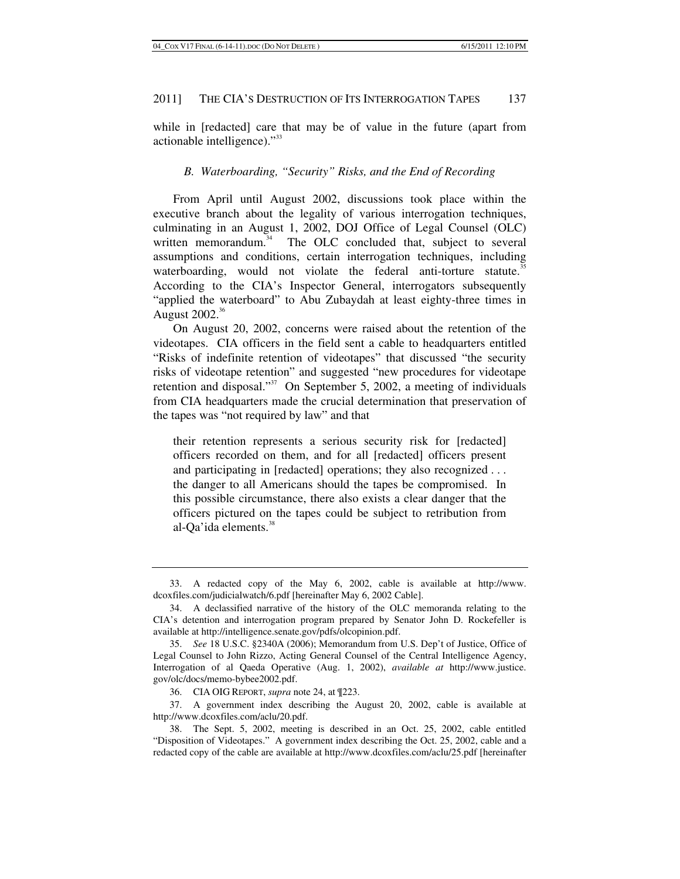while in [redacted] care that may be of value in the future (apart from actionable intelligence)."<sup>33</sup>

### *B. Waterboarding, "Security" Risks, and the End of Recording*

From April until August 2002, discussions took place within the executive branch about the legality of various interrogation techniques, culminating in an August 1, 2002, DOJ Office of Legal Counsel (OLC) written memorandum.<sup>34</sup> The OLC concluded that, subject to several assumptions and conditions, certain interrogation techniques, including waterboarding, would not violate the federal anti-torture statute.<sup>35</sup> According to the CIA's Inspector General, interrogators subsequently "applied the waterboard" to Abu Zubaydah at least eighty-three times in August  $2002.^{36}$ 

On August 20, 2002, concerns were raised about the retention of the videotapes. CIA officers in the field sent a cable to headquarters entitled "Risks of indefinite retention of videotapes" that discussed "the security risks of videotape retention" and suggested "new procedures for videotape retention and disposal."37 On September 5, 2002, a meeting of individuals from CIA headquarters made the crucial determination that preservation of the tapes was "not required by law" and that

their retention represents a serious security risk for [redacted] officers recorded on them, and for all [redacted] officers present and participating in [redacted] operations; they also recognized . . . the danger to all Americans should the tapes be compromised. In this possible circumstance, there also exists a clear danger that the officers pictured on the tapes could be subject to retribution from al-Qa'ida elements.<sup>38</sup>

 <sup>33.</sup> A redacted copy of the May 6, 2002, cable is available at http://www. dcoxfiles.com/judicialwatch/6.pdf [hereinafter May 6, 2002 Cable].

 <sup>34.</sup> A declassified narrative of the history of the OLC memoranda relating to the CIA's detention and interrogation program prepared by Senator John D. Rockefeller is available at http://intelligence.senate.gov/pdfs/olcopinion.pdf.

<sup>35.</sup> *See* 18 U.S.C. §2340A (2006); Memorandum from U.S. Dep't of Justice, Office of Legal Counsel to John Rizzo, Acting General Counsel of the Central Intelligence Agency, Interrogation of al Qaeda Operative (Aug. 1, 2002), *available at* http://www.justice. gov/olc/docs/memo-bybee2002.pdf.

 <sup>36.</sup> CIA OIG REPORT, *supra* note 24, at ¶223.

 <sup>37.</sup> A government index describing the August 20, 2002, cable is available at http://www.dcoxfiles.com/aclu/20.pdf.

 <sup>38.</sup> The Sept. 5, 2002, meeting is described in an Oct. 25, 2002, cable entitled "Disposition of Videotapes." A government index describing the Oct. 25, 2002, cable and a redacted copy of the cable are available at http://www.dcoxfiles.com/aclu/25.pdf [hereinafter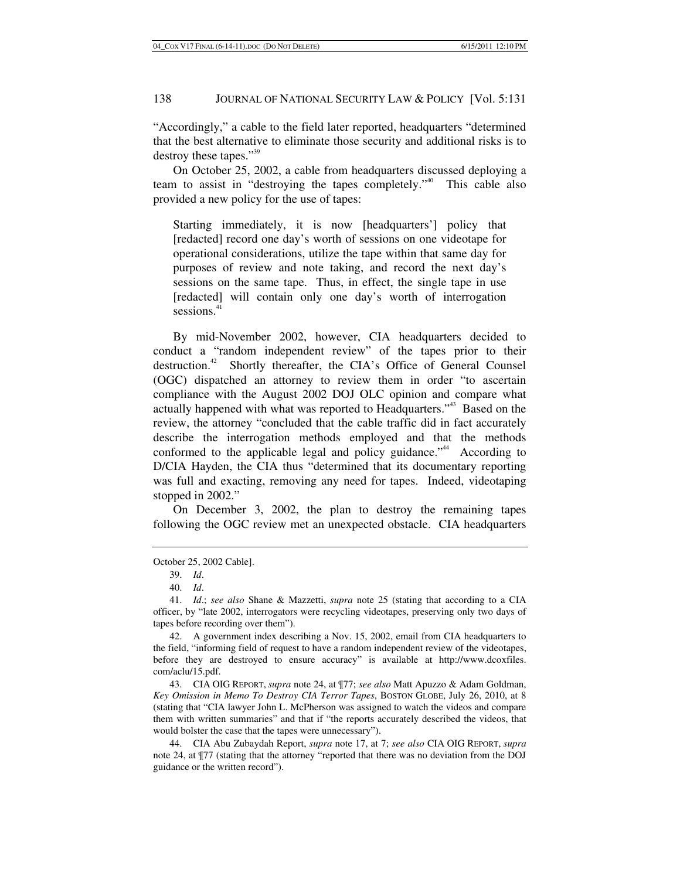"Accordingly," a cable to the field later reported, headquarters "determined that the best alternative to eliminate those security and additional risks is to destroy these tapes."<sup>39</sup>

On October 25, 2002, a cable from headquarters discussed deploying a team to assist in "destroying the tapes completely."<sup>40</sup> This cable also provided a new policy for the use of tapes:

Starting immediately, it is now [headquarters'] policy that [redacted] record one day's worth of sessions on one videotape for operational considerations, utilize the tape within that same day for purposes of review and note taking, and record the next day's sessions on the same tape. Thus, in effect, the single tape in use [redacted] will contain only one day's worth of interrogation sessions.<sup>41</sup>

By mid-November 2002, however, CIA headquarters decided to conduct a "random independent review" of the tapes prior to their destruction.<sup>42</sup> Shortly thereafter, the CIA's Office of General Counsel (OGC) dispatched an attorney to review them in order "to ascertain compliance with the August 2002 DOJ OLC opinion and compare what actually happened with what was reported to Headquarters."43 Based on the review, the attorney "concluded that the cable traffic did in fact accurately describe the interrogation methods employed and that the methods conformed to the applicable legal and policy guidance."<sup>44</sup> According to D/CIA Hayden, the CIA thus "determined that its documentary reporting was full and exacting, removing any need for tapes. Indeed, videotaping stopped in 2002."

On December 3, 2002, the plan to destroy the remaining tapes following the OGC review met an unexpected obstacle. CIA headquarters

October 25, 2002 Cable].

 43. CIA OIG REPORT, *supra* note 24, at ¶77; *see also* Matt Apuzzo & Adam Goldman, *Key Omission in Memo To Destroy CIA Terror Tapes*, BOSTON GLOBE, July 26, 2010, at 8 (stating that "CIA lawyer John L. McPherson was assigned to watch the videos and compare them with written summaries" and that if "the reports accurately described the videos, that would bolster the case that the tapes were unnecessary").

 44. CIA Abu Zubaydah Report, *supra* note 17, at 7; *see also* CIA OIG REPORT, *supra* note 24, at ¶77 (stating that the attorney "reported that there was no deviation from the DOJ guidance or the written record").

<sup>39.</sup> *Id*.

<sup>40.</sup> *Id*.

<sup>41.</sup> *Id*.; *see also* Shane & Mazzetti, *supra* note 25 (stating that according to a CIA officer, by "late 2002, interrogators were recycling videotapes, preserving only two days of tapes before recording over them").

 <sup>42.</sup> A government index describing a Nov. 15, 2002, email from CIA headquarters to the field, "informing field of request to have a random independent review of the videotapes, before they are destroyed to ensure accuracy" is available at http://www.dcoxfiles. com/aclu/15.pdf.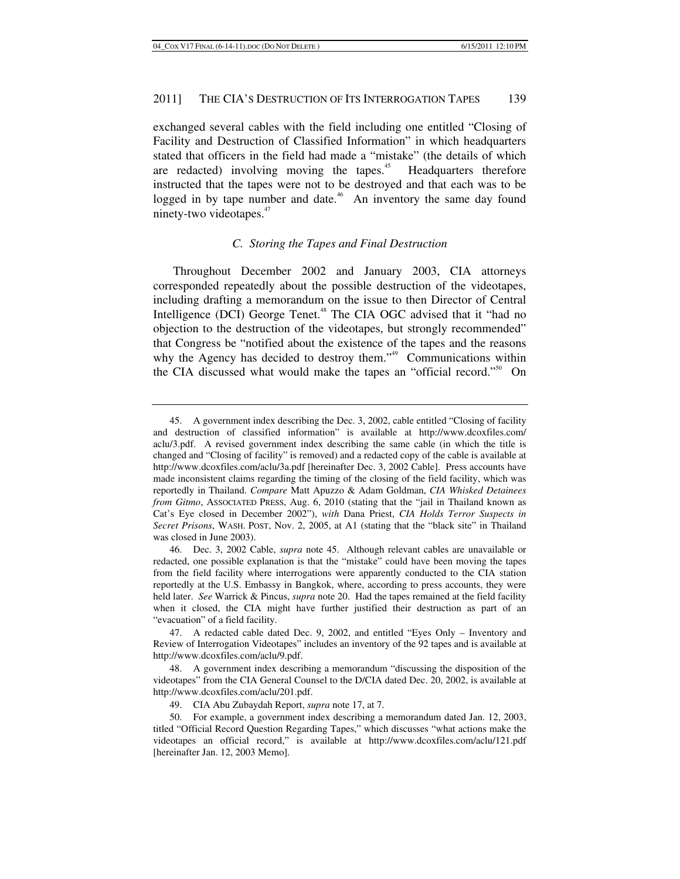exchanged several cables with the field including one entitled "Closing of Facility and Destruction of Classified Information" in which headquarters stated that officers in the field had made a "mistake" (the details of which are redacted) involving moving the tapes.<sup>45</sup> Headquarters therefore instructed that the tapes were not to be destroyed and that each was to be logged in by tape number and date.<sup>46</sup> An inventory the same day found ninety-two videotapes.<sup>47</sup>

### *C. Storing the Tapes and Final Destruction*

Throughout December 2002 and January 2003, CIA attorneys corresponded repeatedly about the possible destruction of the videotapes, including drafting a memorandum on the issue to then Director of Central Intelligence (DCI) George Tenet.<sup>48</sup> The CIA OGC advised that it "had no objection to the destruction of the videotapes, but strongly recommended" that Congress be "notified about the existence of the tapes and the reasons why the Agency has decided to destroy them."<sup>49</sup> Communications within the CIA discussed what would make the tapes an "official record."<sup>50</sup> On

 <sup>45.</sup> A government index describing the Dec. 3, 2002, cable entitled "Closing of facility and destruction of classified information" is available at http://www.dcoxfiles.com/ aclu/3.pdf. A revised government index describing the same cable (in which the title is changed and "Closing of facility" is removed) and a redacted copy of the cable is available at http://www.dcoxfiles.com/aclu/3a.pdf [hereinafter Dec. 3, 2002 Cable]. Press accounts have made inconsistent claims regarding the timing of the closing of the field facility, which was reportedly in Thailand. *Compare* Matt Apuzzo & Adam Goldman, *CIA Whisked Detainees from Gitmo*, ASSOCIATED PRESS, Aug. 6, 2010 (stating that the "jail in Thailand known as Cat's Eye closed in December 2002"), *with* Dana Priest, *CIA Holds Terror Suspects in Secret Prisons*, WASH. POST, Nov. 2, 2005, at A1 (stating that the "black site" in Thailand was closed in June 2003).

 <sup>46.</sup> Dec. 3, 2002 Cable, *supra* note 45. Although relevant cables are unavailable or redacted, one possible explanation is that the "mistake" could have been moving the tapes from the field facility where interrogations were apparently conducted to the CIA station reportedly at the U.S. Embassy in Bangkok, where, according to press accounts, they were held later. *See* Warrick & Pincus, *supra* note 20. Had the tapes remained at the field facility when it closed, the CIA might have further justified their destruction as part of an "evacuation" of a field facility.

 <sup>47.</sup> A redacted cable dated Dec. 9, 2002, and entitled "Eyes Only – Inventory and Review of Interrogation Videotapes" includes an inventory of the 92 tapes and is available at http://www.dcoxfiles.com/aclu/9.pdf.

 <sup>48.</sup> A government index describing a memorandum "discussing the disposition of the videotapes" from the CIA General Counsel to the D/CIA dated Dec. 20, 2002, is available at http://www.dcoxfiles.com/aclu/201.pdf.

 <sup>49.</sup> CIA Abu Zubaydah Report, *supra* note 17, at 7.

 <sup>50.</sup> For example, a government index describing a memorandum dated Jan. 12, 2003, titled "Official Record Question Regarding Tapes," which discusses "what actions make the videotapes an official record," is available at http://www.dcoxfiles.com/aclu/121.pdf [hereinafter Jan. 12, 2003 Memo].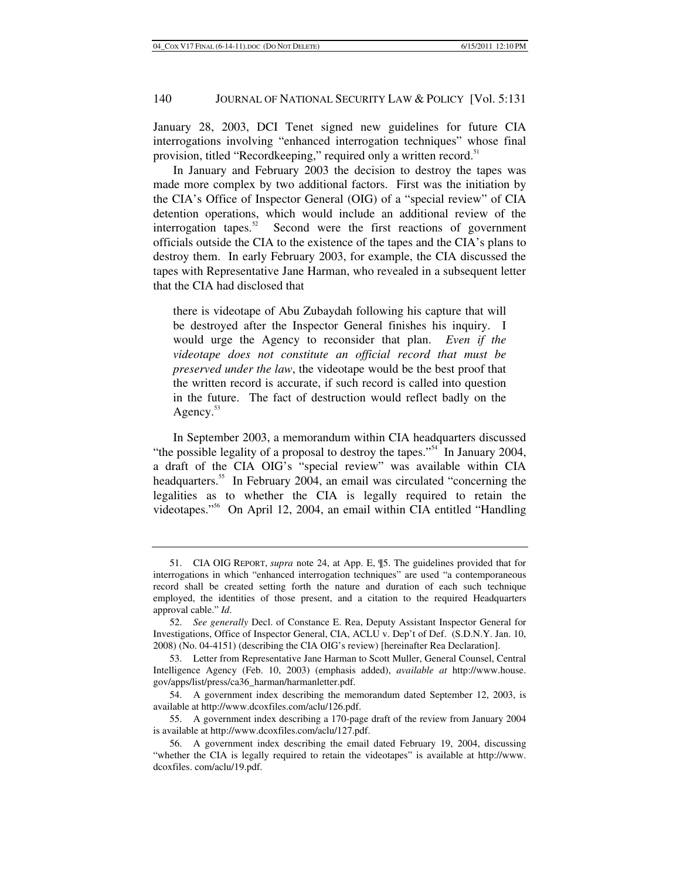January 28, 2003, DCI Tenet signed new guidelines for future CIA interrogations involving "enhanced interrogation techniques" whose final provision, titled "Recordkeeping," required only a written record.<sup>51</sup>

In January and February 2003 the decision to destroy the tapes was made more complex by two additional factors. First was the initiation by the CIA's Office of Inspector General (OIG) of a "special review" of CIA detention operations, which would include an additional review of the interrogation tapes.<sup>52</sup> Second were the first reactions of government officials outside the CIA to the existence of the tapes and the CIA's plans to destroy them. In early February 2003, for example, the CIA discussed the tapes with Representative Jane Harman, who revealed in a subsequent letter that the CIA had disclosed that

there is videotape of Abu Zubaydah following his capture that will be destroyed after the Inspector General finishes his inquiry. I would urge the Agency to reconsider that plan. *Even if the videotape does not constitute an official record that must be preserved under the law*, the videotape would be the best proof that the written record is accurate, if such record is called into question in the future. The fact of destruction would reflect badly on the Agency.<sup>53</sup>

In September 2003, a memorandum within CIA headquarters discussed "the possible legality of a proposal to destroy the tapes."<sup>54</sup> In January 2004, a draft of the CIA OIG's "special review" was available within CIA headquarters.<sup>55</sup> In February 2004, an email was circulated "concerning the legalities as to whether the CIA is legally required to retain the videotapes."56 On April 12, 2004, an email within CIA entitled "Handling

 <sup>51.</sup> CIA OIG REPORT, *supra* note 24, at App. E, ¶5. The guidelines provided that for interrogations in which "enhanced interrogation techniques" are used "a contemporaneous record shall be created setting forth the nature and duration of each such technique employed, the identities of those present, and a citation to the required Headquarters approval cable." *Id*.

<sup>52.</sup> *See generally* Decl. of Constance E. Rea, Deputy Assistant Inspector General for Investigations, Office of Inspector General, CIA, ACLU v. Dep't of Def. (S.D.N.Y. Jan. 10, 2008) (No. 04-4151) (describing the CIA OIG's review) [hereinafter Rea Declaration].

 <sup>53.</sup> Letter from Representative Jane Harman to Scott Muller, General Counsel, Central Intelligence Agency (Feb. 10, 2003) (emphasis added), *available at* http://www.house. gov/apps/list/press/ca36\_harman/harmanletter.pdf.

 <sup>54.</sup> A government index describing the memorandum dated September 12, 2003, is available at http://www.dcoxfiles.com/aclu/126.pdf.

 <sup>55.</sup> A government index describing a 170-page draft of the review from January 2004 is available at http://www.dcoxfiles.com/aclu/127.pdf.

 <sup>56.</sup> A government index describing the email dated February 19, 2004, discussing "whether the CIA is legally required to retain the videotapes" is available at http://www. dcoxfiles. com/aclu/19.pdf.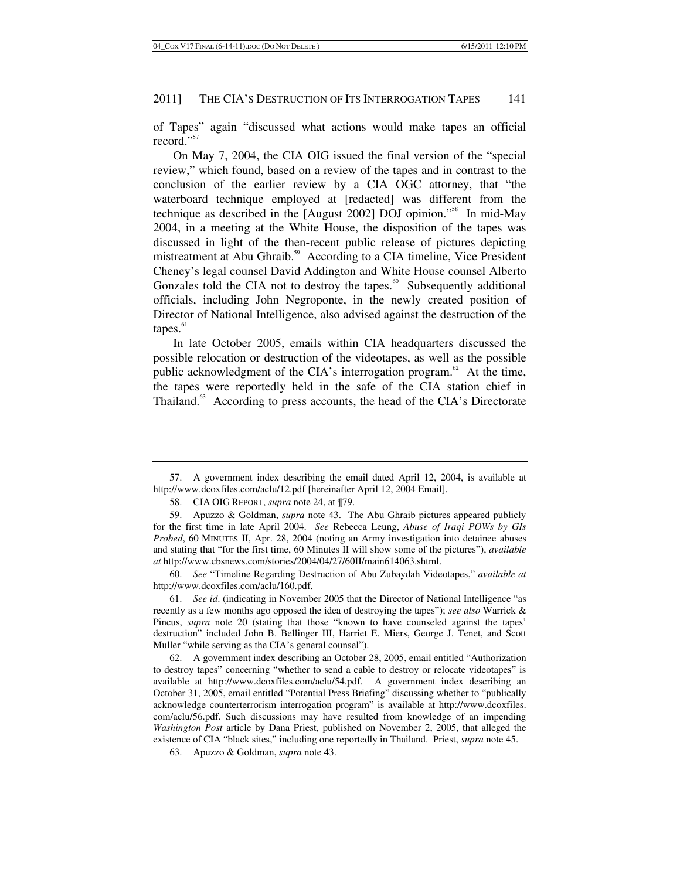of Tapes" again "discussed what actions would make tapes an official record."<sup>57</sup>

On May 7, 2004, the CIA OIG issued the final version of the "special review," which found, based on a review of the tapes and in contrast to the conclusion of the earlier review by a CIA OGC attorney, that "the waterboard technique employed at [redacted] was different from the technique as described in the [August 2002] DOJ opinion."58 In mid-May 2004, in a meeting at the White House, the disposition of the tapes was discussed in light of the then-recent public release of pictures depicting mistreatment at Abu Ghraib.<sup>59</sup> According to a CIA timeline, Vice President Cheney's legal counsel David Addington and White House counsel Alberto Gonzales told the CIA not to destroy the tapes.<sup>60</sup> Subsequently additional officials, including John Negroponte, in the newly created position of Director of National Intelligence, also advised against the destruction of the  $tapes.<sup>61</sup>$ 

In late October 2005, emails within CIA headquarters discussed the possible relocation or destruction of the videotapes, as well as the possible public acknowledgment of the CIA's interrogation program.<sup>62</sup> At the time, the tapes were reportedly held in the safe of the CIA station chief in Thailand.<sup>63</sup> According to press accounts, the head of the CIA's Directorate

60. *See* "Timeline Regarding Destruction of Abu Zubaydah Videotapes," *available at* http://www.dcoxfiles.com/aclu/160.pdf.

61. *See id*. (indicating in November 2005 that the Director of National Intelligence "as recently as a few months ago opposed the idea of destroying the tapes"); *see also* Warrick & Pincus, *supra* note 20 (stating that those "known to have counseled against the tapes' destruction" included John B. Bellinger III, Harriet E. Miers, George J. Tenet, and Scott Muller "while serving as the CIA's general counsel").

 62. A government index describing an October 28, 2005, email entitled "Authorization to destroy tapes" concerning "whether to send a cable to destroy or relocate videotapes" is available at http://www.dcoxfiles.com/aclu/54.pdf. A government index describing an October 31, 2005, email entitled "Potential Press Briefing" discussing whether to "publically acknowledge counterterrorism interrogation program" is available at http://www.dcoxfiles. com/aclu/56.pdf. Such discussions may have resulted from knowledge of an impending *Washington Post* article by Dana Priest, published on November 2, 2005, that alleged the existence of CIA "black sites," including one reportedly in Thailand. Priest, *supra* note 45.

 <sup>57.</sup> A government index describing the email dated April 12, 2004, is available at http://www.dcoxfiles.com/aclu/12.pdf [hereinafter April 12, 2004 Email].

 <sup>58.</sup> CIA OIG REPORT, *supra* note 24, at ¶79.

 <sup>59.</sup> Apuzzo & Goldman, *supra* note 43. The Abu Ghraib pictures appeared publicly for the first time in late April 2004. *See* Rebecca Leung, *Abuse of Iraqi POWs by GIs Probed*, 60 MINUTES II, Apr. 28, 2004 (noting an Army investigation into detainee abuses and stating that "for the first time, 60 Minutes II will show some of the pictures"), *available at* http://www.cbsnews.com/stories/2004/04/27/60II/main614063.shtml.

 <sup>63.</sup> Apuzzo & Goldman, *supra* note 43.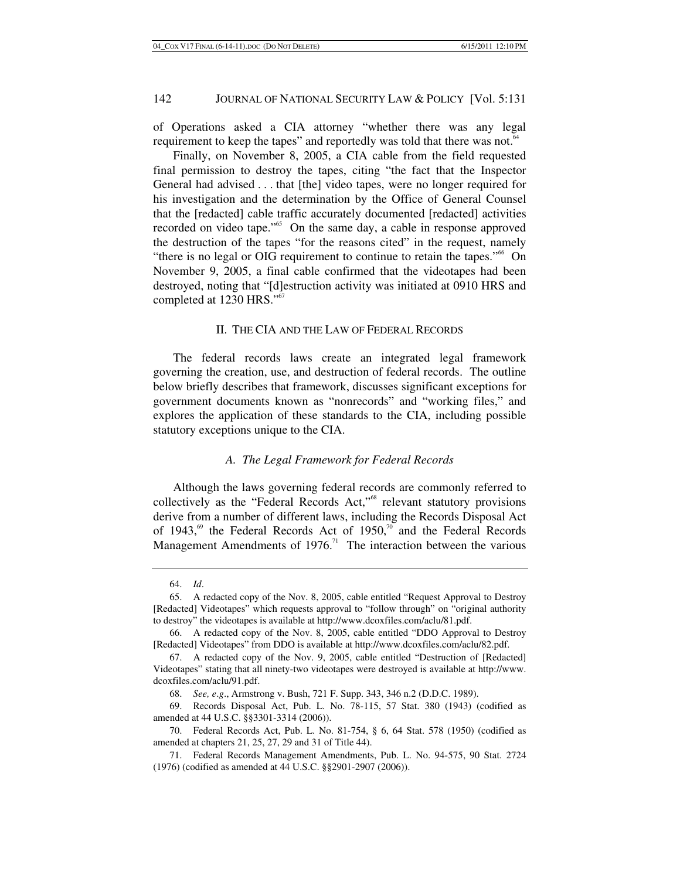of Operations asked a CIA attorney "whether there was any legal requirement to keep the tapes" and reportedly was told that there was not.<sup>64</sup>

Finally, on November 8, 2005, a CIA cable from the field requested final permission to destroy the tapes, citing "the fact that the Inspector General had advised . . . that [the] video tapes, were no longer required for his investigation and the determination by the Office of General Counsel that the [redacted] cable traffic accurately documented [redacted] activities recorded on video tape."<sup>65</sup> On the same day, a cable in response approved the destruction of the tapes "for the reasons cited" in the request, namely "there is no legal or OIG requirement to continue to retain the tapes."<sup>66</sup> On November 9, 2005, a final cable confirmed that the videotapes had been destroyed, noting that "[d]estruction activity was initiated at 0910 HRS and completed at 1230 HRS."<sup>67</sup>

### II. THE CIA AND THE LAW OF FEDERAL RECORDS

The federal records laws create an integrated legal framework governing the creation, use, and destruction of federal records. The outline below briefly describes that framework, discusses significant exceptions for government documents known as "nonrecords" and "working files," and explores the application of these standards to the CIA, including possible statutory exceptions unique to the CIA.

### *A. The Legal Framework for Federal Records*

Although the laws governing federal records are commonly referred to collectively as the "Federal Records Act,"<sup>68</sup> relevant statutory provisions derive from a number of different laws, including the Records Disposal Act of 1943,<sup>69</sup> the Federal Records Act of 1950,<sup>70</sup> and the Federal Records Management Amendments of  $1976$ <sup>71</sup> The interaction between the various

<sup>64.</sup> *Id*.

 <sup>65.</sup> A redacted copy of the Nov. 8, 2005, cable entitled "Request Approval to Destroy [Redacted] Videotapes" which requests approval to "follow through" on "original authority to destroy" the videotapes is available at http://www.dcoxfiles.com/aclu/81.pdf.

 <sup>66.</sup> A redacted copy of the Nov. 8, 2005, cable entitled "DDO Approval to Destroy [Redacted] Videotapes" from DDO is available at http://www.dcoxfiles.com/aclu/82.pdf.

 <sup>67.</sup> A redacted copy of the Nov. 9, 2005, cable entitled "Destruction of [Redacted] Videotapes" stating that all ninety-two videotapes were destroyed is available at http://www. dcoxfiles.com/aclu/91.pdf.

<sup>68.</sup> *See, e*.*g*., Armstrong v. Bush, 721 F. Supp. 343, 346 n.2 (D.D.C. 1989).

 <sup>69.</sup> Records Disposal Act, Pub. L. No. 78-115, 57 Stat. 380 (1943) (codified as amended at 44 U.S.C. §§3301-3314 (2006)).

 <sup>70.</sup> Federal Records Act, Pub. L. No. 81-754, § 6, 64 Stat. 578 (1950) (codified as amended at chapters 21, 25, 27, 29 and 31 of Title 44).

 <sup>71.</sup> Federal Records Management Amendments, Pub. L. No. 94-575, 90 Stat. 2724 (1976) (codified as amended at 44 U.S.C. §§2901-2907 (2006)).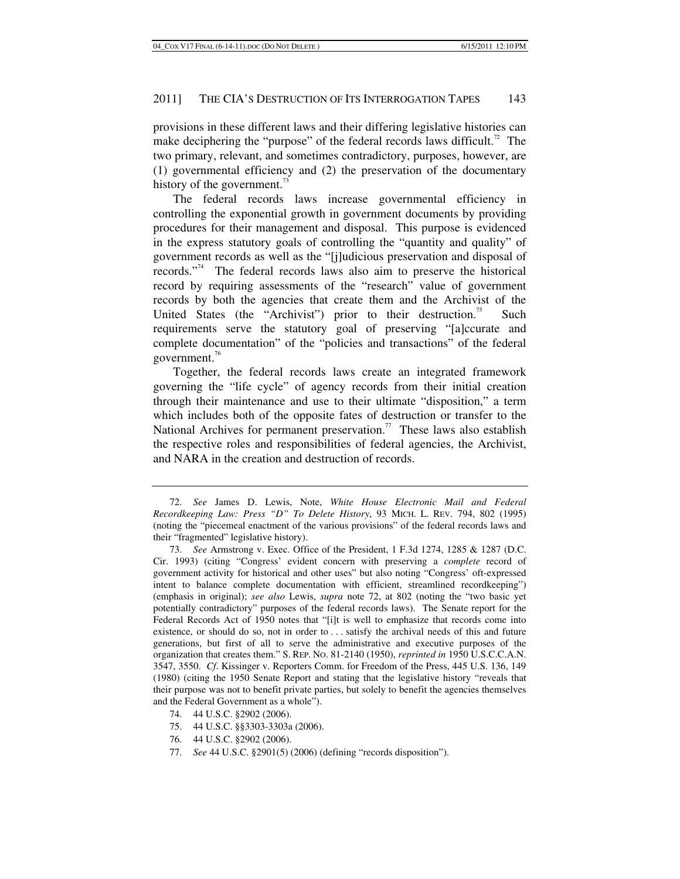provisions in these different laws and their differing legislative histories can make deciphering the "purpose" of the federal records laws difficult.<sup>72</sup> The two primary, relevant, and sometimes contradictory, purposes, however, are (1) governmental efficiency and (2) the preservation of the documentary history of the government.<sup>73</sup>

The federal records laws increase governmental efficiency in controlling the exponential growth in government documents by providing procedures for their management and disposal. This purpose is evidenced in the express statutory goals of controlling the "quantity and quality" of government records as well as the "[j]udicious preservation and disposal of records."74 The federal records laws also aim to preserve the historical record by requiring assessments of the "research" value of government records by both the agencies that create them and the Archivist of the United States (the "Archivist") prior to their destruction.<sup>75</sup> Such requirements serve the statutory goal of preserving "[a]ccurate and complete documentation" of the "policies and transactions" of the federal government.<sup>76</sup>

Together, the federal records laws create an integrated framework governing the "life cycle" of agency records from their initial creation through their maintenance and use to their ultimate "disposition," a term which includes both of the opposite fates of destruction or transfer to the National Archives for permanent preservation.<sup>77</sup> These laws also establish the respective roles and responsibilities of federal agencies, the Archivist, and NARA in the creation and destruction of records.

- 74. 44 U.S.C. §2902 (2006).
- 75. 44 U.S.C. §§3303-3303a (2006).
- 76. 44 U.S.C. §2902 (2006).
- 77. *See* 44 U.S.C. §2901(5) (2006) (defining "records disposition").

<sup>72.</sup> *See* James D. Lewis, Note, *White House Electronic Mail and Federal Recordkeeping Law: Press "D" To Delete History*, 93 MICH. L. REV. 794, 802 (1995) (noting the "piecemeal enactment of the various provisions" of the federal records laws and their "fragmented" legislative history).

<sup>73.</sup> *See* Armstrong v. Exec. Office of the President, 1 F.3d 1274, 1285 & 1287 (D.C. Cir. 1993) (citing "Congress' evident concern with preserving a *complete* record of government activity for historical and other uses" but also noting "Congress' oft-expressed intent to balance complete documentation with efficient, streamlined recordkeeping") (emphasis in original); *see also* Lewis, *supra* note 72, at 802 (noting the "two basic yet potentially contradictory" purposes of the federal records laws). The Senate report for the Federal Records Act of 1950 notes that "[i]t is well to emphasize that records come into existence, or should do so, not in order to . . . satisfy the archival needs of this and future generations, but first of all to serve the administrative and executive purposes of the organization that creates them." S. REP. NO. 81-2140 (1950), *reprinted in* 1950 U.S.C.C.A.N. 3547, 3550. *Cf*. Kissinger v. Reporters Comm. for Freedom of the Press, 445 U.S. 136, 149 (1980) (citing the 1950 Senate Report and stating that the legislative history "reveals that their purpose was not to benefit private parties, but solely to benefit the agencies themselves and the Federal Government as a whole").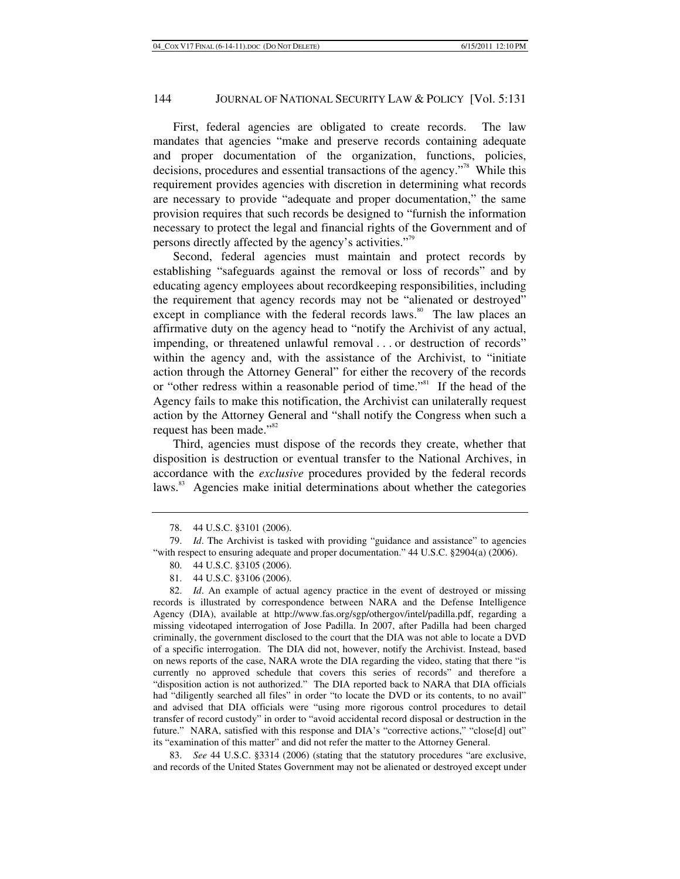First, federal agencies are obligated to create records. The law mandates that agencies "make and preserve records containing adequate and proper documentation of the organization, functions, policies, decisions, procedures and essential transactions of the agency."78 While this requirement provides agencies with discretion in determining what records are necessary to provide "adequate and proper documentation," the same provision requires that such records be designed to "furnish the information necessary to protect the legal and financial rights of the Government and of persons directly affected by the agency's activities."<sup>79</sup>

Second, federal agencies must maintain and protect records by establishing "safeguards against the removal or loss of records" and by educating agency employees about recordkeeping responsibilities, including the requirement that agency records may not be "alienated or destroyed" except in compliance with the federal records laws.<sup>80</sup> The law places an affirmative duty on the agency head to "notify the Archivist of any actual, impending, or threatened unlawful removal . . . or destruction of records" within the agency and, with the assistance of the Archivist, to "initiate action through the Attorney General" for either the recovery of the records or "other redress within a reasonable period of time."81 If the head of the Agency fails to make this notification, the Archivist can unilaterally request action by the Attorney General and "shall notify the Congress when such a request has been made."<sup>82</sup>

Third, agencies must dispose of the records they create, whether that disposition is destruction or eventual transfer to the National Archives, in accordance with the *exclusive* procedures provided by the federal records laws.<sup>83</sup> Agencies make initial determinations about whether the categories

82. *Id*. An example of actual agency practice in the event of destroyed or missing records is illustrated by correspondence between NARA and the Defense Intelligence Agency (DIA), available at http://www.fas.org/sgp/othergov/intel/padilla.pdf, regarding a missing videotaped interrogation of Jose Padilla. In 2007, after Padilla had been charged criminally, the government disclosed to the court that the DIA was not able to locate a DVD of a specific interrogation. The DIA did not, however, notify the Archivist. Instead, based on news reports of the case, NARA wrote the DIA regarding the video, stating that there "is currently no approved schedule that covers this series of records" and therefore a "disposition action is not authorized." The DIA reported back to NARA that DIA officials had "diligently searched all files" in order "to locate the DVD or its contents, to no avail" and advised that DIA officials were "using more rigorous control procedures to detail transfer of record custody" in order to "avoid accidental record disposal or destruction in the future." NARA, satisfied with this response and DIA's "corrective actions," "close[d] out" its "examination of this matter" and did not refer the matter to the Attorney General.

83. *See* 44 U.S.C. §3314 (2006) (stating that the statutory procedures "are exclusive, and records of the United States Government may not be alienated or destroyed except under

 <sup>78. 44</sup> U.S.C. §3101 (2006).

<sup>79.</sup> *Id*. The Archivist is tasked with providing "guidance and assistance" to agencies "with respect to ensuring adequate and proper documentation." 44 U.S.C. §2904(a) (2006).

 <sup>80. 44</sup> U.S.C. §3105 (2006).

 <sup>81. 44</sup> U.S.C. §3106 (2006).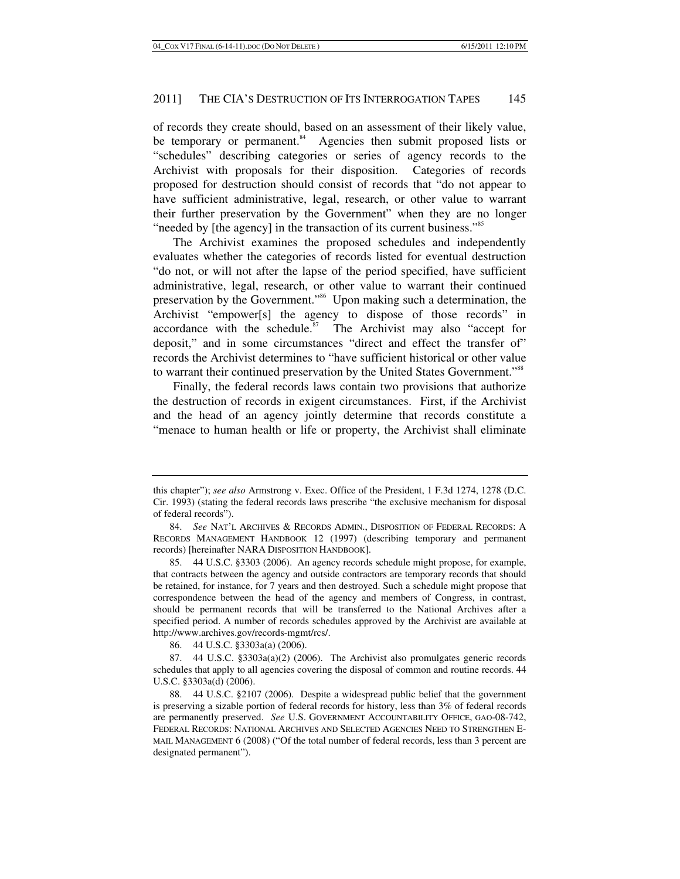of records they create should, based on an assessment of their likely value, be temporary or permanent.<sup>84</sup> Agencies then submit proposed lists or "schedules" describing categories or series of agency records to the Archivist with proposals for their disposition. Categories of records proposed for destruction should consist of records that "do not appear to have sufficient administrative, legal, research, or other value to warrant their further preservation by the Government" when they are no longer "needed by [the agency] in the transaction of its current business."<sup>85</sup>

The Archivist examines the proposed schedules and independently evaluates whether the categories of records listed for eventual destruction "do not, or will not after the lapse of the period specified, have sufficient administrative, legal, research, or other value to warrant their continued preservation by the Government."86 Upon making such a determination, the Archivist "empower[s] the agency to dispose of those records" in accordance with the schedule. $87$  The Archivist may also "accept for deposit," and in some circumstances "direct and effect the transfer of" records the Archivist determines to "have sufficient historical or other value to warrant their continued preservation by the United States Government."<sup>88</sup>

Finally, the federal records laws contain two provisions that authorize the destruction of records in exigent circumstances. First, if the Archivist and the head of an agency jointly determine that records constitute a "menace to human health or life or property, the Archivist shall eliminate

86. 44 U.S.C. §3303a(a) (2006).

 87. 44 U.S.C. §3303a(a)(2) (2006). The Archivist also promulgates generic records schedules that apply to all agencies covering the disposal of common and routine records. 44 U.S.C. §3303a(d) (2006).

this chapter"); *see also* Armstrong v. Exec. Office of the President, 1 F.3d 1274, 1278 (D.C. Cir. 1993) (stating the federal records laws prescribe "the exclusive mechanism for disposal of federal records").

<sup>84.</sup> *See* NAT'L ARCHIVES & RECORDS ADMIN., DISPOSITION OF FEDERAL RECORDS: A RECORDS MANAGEMENT HANDBOOK 12 (1997) (describing temporary and permanent records) [hereinafter NARA DISPOSITION HANDBOOK].

 <sup>85. 44</sup> U.S.C. §3303 (2006). An agency records schedule might propose, for example, that contracts between the agency and outside contractors are temporary records that should be retained, for instance, for 7 years and then destroyed. Such a schedule might propose that correspondence between the head of the agency and members of Congress, in contrast, should be permanent records that will be transferred to the National Archives after a specified period. A number of records schedules approved by the Archivist are available at http://www.archives.gov/records-mgmt/rcs/.

 <sup>88. 44</sup> U.S.C. §2107 (2006). Despite a widespread public belief that the government is preserving a sizable portion of federal records for history, less than 3% of federal records are permanently preserved. *See* U.S. GOVERNMENT ACCOUNTABILITY OFFICE, GAO-08-742, FEDERAL RECORDS: NATIONAL ARCHIVES AND SELECTED AGENCIES NEED TO STRENGTHEN E-MAIL MANAGEMENT 6 (2008) ("Of the total number of federal records, less than 3 percent are designated permanent").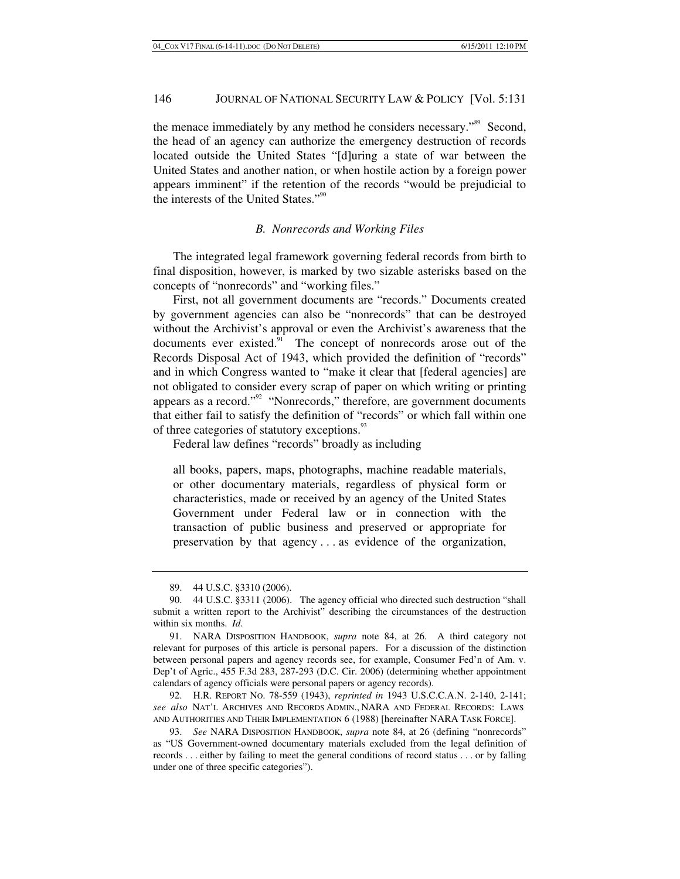the menace immediately by any method he considers necessary."<sup>89</sup> Second, the head of an agency can authorize the emergency destruction of records located outside the United States "[d]uring a state of war between the United States and another nation, or when hostile action by a foreign power appears imminent" if the retention of the records "would be prejudicial to the interests of the United States."<sup>90</sup>

#### *B. Nonrecords and Working Files*

The integrated legal framework governing federal records from birth to final disposition, however, is marked by two sizable asterisks based on the concepts of "nonrecords" and "working files."

First, not all government documents are "records." Documents created by government agencies can also be "nonrecords" that can be destroyed without the Archivist's approval or even the Archivist's awareness that the documents ever existed.<sup>91</sup> The concept of nonrecords arose out of the Records Disposal Act of 1943, which provided the definition of "records" and in which Congress wanted to "make it clear that [federal agencies] are not obligated to consider every scrap of paper on which writing or printing appears as a record."<sup>92</sup> "Nonrecords," therefore, are government documents that either fail to satisfy the definition of "records" or which fall within one of three categories of statutory exceptions.<sup>93</sup>

Federal law defines "records" broadly as including

all books, papers, maps, photographs, machine readable materials, or other documentary materials, regardless of physical form or characteristics, made or received by an agency of the United States Government under Federal law or in connection with the transaction of public business and preserved or appropriate for preservation by that agency . . . as evidence of the organization,

 92. H.R. REPORT NO. 78-559 (1943), *reprinted in* 1943 U.S.C.C.A.N. 2-140, 2-141; *see also* NAT'L ARCHIVES AND RECORDS ADMIN., NARA AND FEDERAL RECORDS: LAWS AND AUTHORITIES AND THEIR IMPLEMENTATION 6 (1988) [hereinafter NARA TASK FORCE].

 <sup>89. 44</sup> U.S.C. §3310 (2006).

 <sup>90. 44</sup> U.S.C. §3311 (2006). The agency official who directed such destruction "shall submit a written report to the Archivist" describing the circumstances of the destruction within six months. *Id*.

 <sup>91.</sup> NARA DISPOSITION HANDBOOK, *supra* note 84, at 26. A third category not relevant for purposes of this article is personal papers. For a discussion of the distinction between personal papers and agency records see, for example, Consumer Fed'n of Am. v. Dep't of Agric., 455 F.3d 283, 287-293 (D.C. Cir. 2006) (determining whether appointment calendars of agency officials were personal papers or agency records).

<sup>93.</sup> *See* NARA DISPOSITION HANDBOOK, *supra* note 84, at 26 (defining "nonrecords" as "US Government-owned documentary materials excluded from the legal definition of records . . . either by failing to meet the general conditions of record status . . . or by falling under one of three specific categories").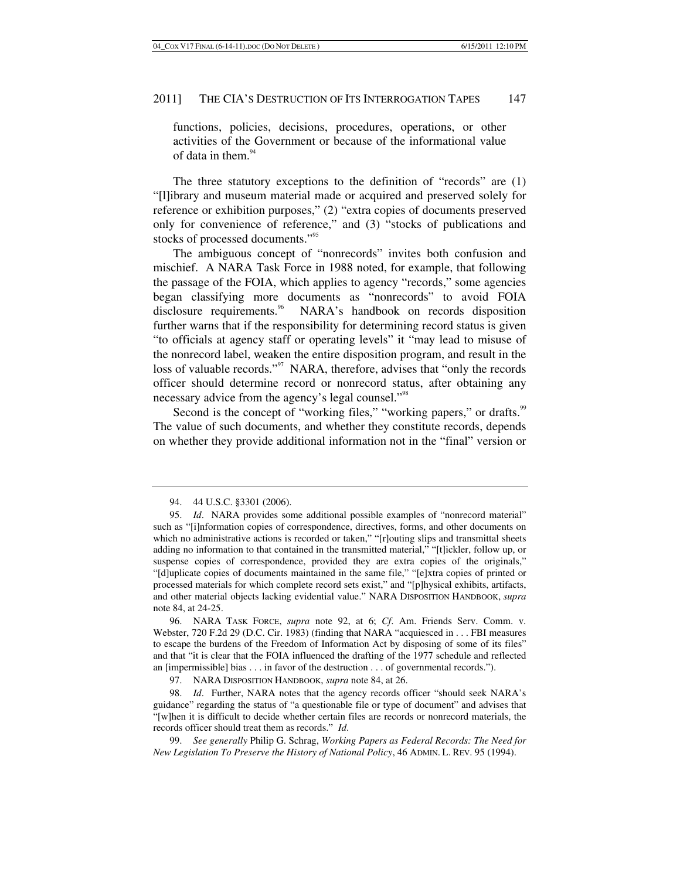functions, policies, decisions, procedures, operations, or other activities of the Government or because of the informational value of data in them. $94$ 

The three statutory exceptions to the definition of "records" are (1) "[l]ibrary and museum material made or acquired and preserved solely for reference or exhibition purposes," (2) "extra copies of documents preserved only for convenience of reference," and (3) "stocks of publications and stocks of processed documents."<sup>95</sup>

The ambiguous concept of "nonrecords" invites both confusion and mischief. A NARA Task Force in 1988 noted, for example, that following the passage of the FOIA, which applies to agency "records," some agencies began classifying more documents as "nonrecords" to avoid FOIA disclosure requirements.<sup>96</sup> NARA's handbook on records disposition further warns that if the responsibility for determining record status is given "to officials at agency staff or operating levels" it "may lead to misuse of the nonrecord label, weaken the entire disposition program, and result in the loss of valuable records."<sup>97</sup> NARA, therefore, advises that "only the records officer should determine record or nonrecord status, after obtaining any necessary advice from the agency's legal counsel."<sup>98</sup>

Second is the concept of "working files," "working papers," or drafts.<sup>99</sup> The value of such documents, and whether they constitute records, depends on whether they provide additional information not in the "final" version or

97. NARA DISPOSITION HANDBOOK, *supra* note 84, at 26.

98. *Id*. Further, NARA notes that the agency records officer "should seek NARA's guidance" regarding the status of "a questionable file or type of document" and advises that "[w]hen it is difficult to decide whether certain files are records or nonrecord materials, the records officer should treat them as records." *Id*.

 <sup>94. 44</sup> U.S.C. §3301 (2006).

<sup>95.</sup> *Id*. NARA provides some additional possible examples of "nonrecord material" such as "[i]nformation copies of correspondence, directives, forms, and other documents on which no administrative actions is recorded or taken," "[r]outing slips and transmittal sheets adding no information to that contained in the transmitted material," "[t]ickler, follow up, or suspense copies of correspondence, provided they are extra copies of the originals," "[d]uplicate copies of documents maintained in the same file," "[e]xtra copies of printed or processed materials for which complete record sets exist," and "[p]hysical exhibits, artifacts, and other material objects lacking evidential value." NARA DISPOSITION HANDBOOK, *supra* note 84, at 24-25.

 <sup>96.</sup> NARA TASK FORCE, *supra* note 92, at 6; *Cf*. Am. Friends Serv. Comm. v. Webster, 720 F.2d 29 (D.C. Cir. 1983) (finding that NARA "acquiesced in . . . FBI measures to escape the burdens of the Freedom of Information Act by disposing of some of its files" and that "it is clear that the FOIA influenced the drafting of the 1977 schedule and reflected an [impermissible] bias . . . in favor of the destruction . . . of governmental records.").

<sup>99.</sup> *See generally* Philip G. Schrag, *Working Papers as Federal Records: The Need for New Legislation To Preserve the History of National Policy*, 46 ADMIN. L. REV. 95 (1994).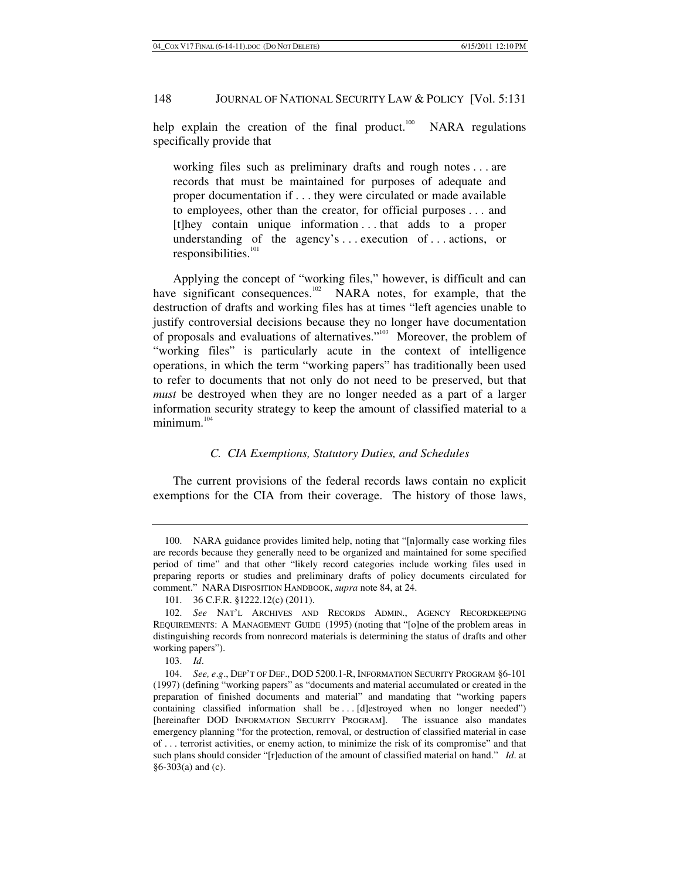help explain the creation of the final product. $100$  NARA regulations specifically provide that

working files such as preliminary drafts and rough notes . . . are records that must be maintained for purposes of adequate and proper documentation if . . . they were circulated or made available to employees, other than the creator, for official purposes . . . and [t]hey contain unique information . . . that adds to a proper understanding of the agency's . . . execution of . . . actions, or  $responsibleities.<sup>101</sup>$ 

Applying the concept of "working files," however, is difficult and can have significant consequences.<sup>102</sup> NARA notes, for example, that the destruction of drafts and working files has at times "left agencies unable to justify controversial decisions because they no longer have documentation of proposals and evaluations of alternatives."103 Moreover, the problem of "working files" is particularly acute in the context of intelligence operations, in which the term "working papers" has traditionally been used to refer to documents that not only do not need to be preserved, but that *must* be destroyed when they are no longer needed as a part of a larger information security strategy to keep the amount of classified material to a minimum.<sup>104</sup>

### *C. CIA Exemptions, Statutory Duties, and Schedules*

The current provisions of the federal records laws contain no explicit exemptions for the CIA from their coverage. The history of those laws,

 <sup>100.</sup> NARA guidance provides limited help, noting that "[n]ormally case working files are records because they generally need to be organized and maintained for some specified period of time" and that other "likely record categories include working files used in preparing reports or studies and preliminary drafts of policy documents circulated for comment."NARA DISPOSITION HANDBOOK, *supra* note 84, at 24.

 <sup>101. 36</sup> C.F.R. §1222.12(c) (2011).

<sup>102.</sup> *See* NAT'L ARCHIVES AND RECORDS ADMIN., AGENCY RECORDKEEPING REQUIREMENTS: A MANAGEMENT GUIDE (1995) (noting that "[o]ne of the problem areas in distinguishing records from nonrecord materials is determining the status of drafts and other working papers").

<sup>103.</sup> *Id*.

<sup>104.</sup> *See, e*.*g*., DEP'T OF DEF., DOD 5200.1-R, INFORMATION SECURITY PROGRAM §6-101 (1997) (defining "working papers" as "documents and material accumulated or created in the preparation of finished documents and material" and mandating that "working papers containing classified information shall be . . . [d]estroyed when no longer needed") [hereinafter DOD INFORMATION SECURITY PROGRAM]. The issuance also mandates emergency planning "for the protection, removal, or destruction of classified material in case of . . . terrorist activities, or enemy action, to minimize the risk of its compromise" and that such plans should consider "[r]eduction of the amount of classified material on hand." *Id*. at §6-303(a) and (c).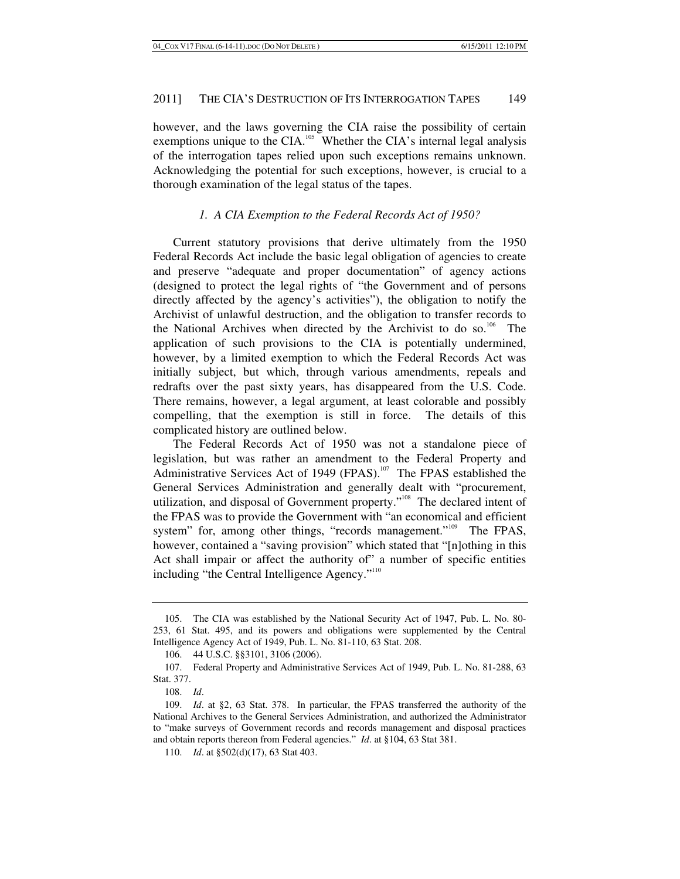however, and the laws governing the CIA raise the possibility of certain exemptions unique to the CIA.<sup>105</sup> Whether the CIA's internal legal analysis of the interrogation tapes relied upon such exceptions remains unknown. Acknowledging the potential for such exceptions, however, is crucial to a thorough examination of the legal status of the tapes.

### *1. A CIA Exemption to the Federal Records Act of 1950?*

Current statutory provisions that derive ultimately from the 1950 Federal Records Act include the basic legal obligation of agencies to create and preserve "adequate and proper documentation" of agency actions (designed to protect the legal rights of "the Government and of persons directly affected by the agency's activities"), the obligation to notify the Archivist of unlawful destruction, and the obligation to transfer records to the National Archives when directed by the Archivist to do so.<sup>106</sup> The application of such provisions to the CIA is potentially undermined, however, by a limited exemption to which the Federal Records Act was initially subject, but which, through various amendments, repeals and redrafts over the past sixty years, has disappeared from the U.S. Code. There remains, however, a legal argument, at least colorable and possibly compelling, that the exemption is still in force. The details of this complicated history are outlined below.

The Federal Records Act of 1950 was not a standalone piece of legislation, but was rather an amendment to the Federal Property and Administrative Services Act of 1949 (FPAS).<sup>107</sup> The FPAS established the General Services Administration and generally dealt with "procurement, utilization, and disposal of Government property."<sup>108</sup> The declared intent of the FPAS was to provide the Government with "an economical and efficient system" for, among other things, "records management."<sup>109</sup> The FPAS, however, contained a "saving provision" which stated that "[n]othing in this Act shall impair or affect the authority of" a number of specific entities including "the Central Intelligence Agency."<sup>110</sup>

 <sup>105.</sup> The CIA was established by the National Security Act of 1947, Pub. L. No. 80- 253, 61 Stat. 495, and its powers and obligations were supplemented by the Central Intelligence Agency Act of 1949, Pub. L. No. 81-110, 63 Stat. 208.

 <sup>106. 44</sup> U.S.C. §§3101, 3106 (2006).

 <sup>107.</sup> Federal Property and Administrative Services Act of 1949, Pub. L. No. 81-288, 63 Stat. 377.

<sup>108.</sup> *Id*.

<sup>109.</sup> *Id*. at §2, 63 Stat. 378. In particular, the FPAS transferred the authority of the National Archives to the General Services Administration, and authorized the Administrator to "make surveys of Government records and records management and disposal practices and obtain reports thereon from Federal agencies." *Id*. at §104, 63 Stat 381.

<sup>110.</sup> *Id*. at §502(d)(17), 63 Stat 403.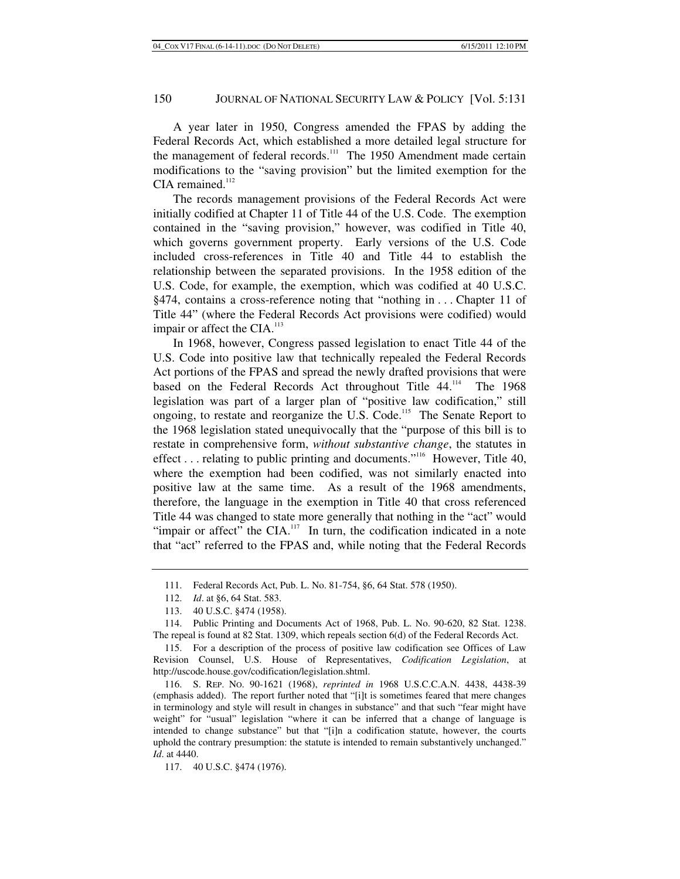A year later in 1950, Congress amended the FPAS by adding the Federal Records Act, which established a more detailed legal structure for the management of federal records.<sup>111</sup> The 1950 Amendment made certain modifications to the "saving provision" but the limited exemption for the CIA remained.<sup>112</sup>

The records management provisions of the Federal Records Act were initially codified at Chapter 11 of Title 44 of the U.S. Code. The exemption contained in the "saving provision," however, was codified in Title 40, which governs government property. Early versions of the U.S. Code included cross-references in Title 40 and Title 44 to establish the relationship between the separated provisions. In the 1958 edition of the U.S. Code, for example, the exemption, which was codified at 40 U.S.C. §474, contains a cross-reference noting that "nothing in . . . Chapter 11 of Title 44" (where the Federal Records Act provisions were codified) would impair or affect the CIA. $^{113}$ 

In 1968, however, Congress passed legislation to enact Title 44 of the U.S. Code into positive law that technically repealed the Federal Records Act portions of the FPAS and spread the newly drafted provisions that were based on the Federal Records Act throughout Title 44.<sup>114</sup> The 1968 legislation was part of a larger plan of "positive law codification," still ongoing, to restate and reorganize the U.S. Code.<sup>115</sup> The Senate Report to the 1968 legislation stated unequivocally that the "purpose of this bill is to restate in comprehensive form, *without substantive change*, the statutes in effect ... relating to public printing and documents."<sup>116</sup> However, Title 40, where the exemption had been codified, was not similarly enacted into positive law at the same time. As a result of the 1968 amendments, therefore, the language in the exemption in Title 40 that cross referenced Title 44 was changed to state more generally that nothing in the "act" would "impair or affect" the CIA. $117$  In turn, the codification indicated in a note that "act" referred to the FPAS and, while noting that the Federal Records

 <sup>111.</sup> Federal Records Act, Pub. L. No. 81-754, §6, 64 Stat. 578 (1950).

<sup>112.</sup> *Id*. at §6, 64 Stat. 583.

 <sup>113. 40</sup> U.S.C. §474 (1958).

 <sup>114.</sup> Public Printing and Documents Act of 1968, Pub. L. No. 90-620, 82 Stat. 1238. The repeal is found at 82 Stat. 1309, which repeals section 6(d) of the Federal Records Act.

 <sup>115.</sup> For a description of the process of positive law codification see Offices of Law Revision Counsel, U.S. House of Representatives, *Codification Legislation*, at http://uscode.house.gov/codification/legislation.shtml.

 <sup>116.</sup> S. REP. NO. 90-1621 (1968), *reprinted in* 1968 U.S.C.C.A.N. 4438, 4438-39 (emphasis added). The report further noted that "[i]t is sometimes feared that mere changes in terminology and style will result in changes in substance" and that such "fear might have weight" for "usual" legislation "where it can be inferred that a change of language is intended to change substance" but that "[i]n a codification statute, however, the courts uphold the contrary presumption: the statute is intended to remain substantively unchanged." *Id*. at 4440.

 <sup>117. 40</sup> U.S.C. §474 (1976).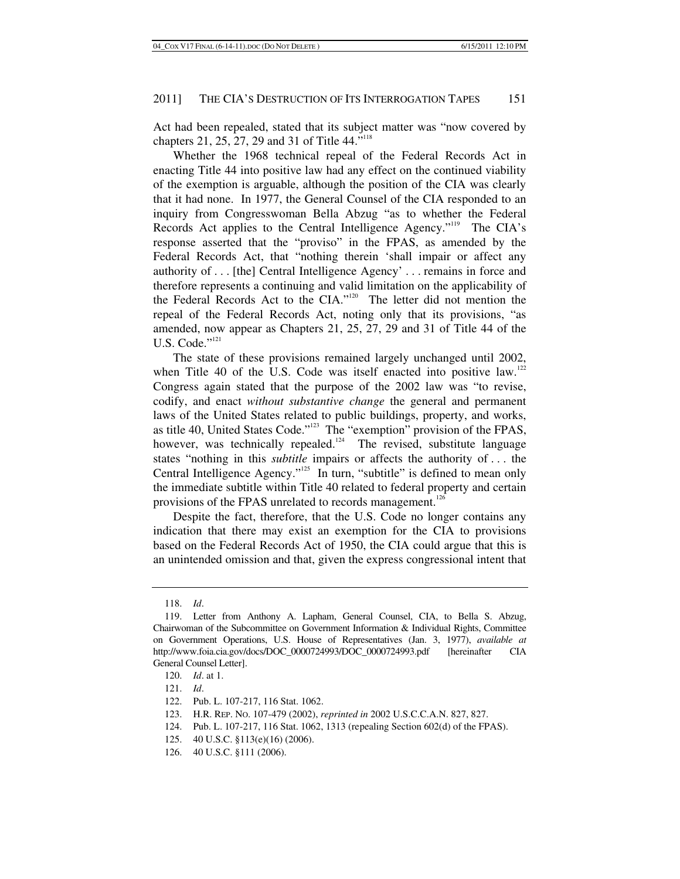Act had been repealed, stated that its subject matter was "now covered by chapters 21, 25, 27, 29 and 31 of Title 44."<sup>118</sup>

Whether the 1968 technical repeal of the Federal Records Act in enacting Title 44 into positive law had any effect on the continued viability of the exemption is arguable, although the position of the CIA was clearly that it had none. In 1977, the General Counsel of the CIA responded to an inquiry from Congresswoman Bella Abzug "as to whether the Federal Records Act applies to the Central Intelligence Agency."<sup>119</sup> The CIA's response asserted that the "proviso" in the FPAS, as amended by the Federal Records Act, that "nothing therein 'shall impair or affect any authority of . . . [the] Central Intelligence Agency' . . . remains in force and therefore represents a continuing and valid limitation on the applicability of the Federal Records Act to the CIA."120 The letter did not mention the repeal of the Federal Records Act, noting only that its provisions, "as amended, now appear as Chapters 21, 25, 27, 29 and 31 of Title 44 of the U.S. Code."<sup>121</sup>

The state of these provisions remained largely unchanged until 2002, when Title 40 of the U.S. Code was itself enacted into positive law.<sup>122</sup> Congress again stated that the purpose of the 2002 law was "to revise, codify, and enact *without substantive change* the general and permanent laws of the United States related to public buildings, property, and works, as title 40, United States Code."123 The "exemption" provision of the FPAS, however, was technically repealed.<sup>124</sup> The revised, substitute language states "nothing in this *subtitle* impairs or affects the authority of . . . the Central Intelligence Agency."<sup>125</sup> In turn, "subtitle" is defined to mean only the immediate subtitle within Title 40 related to federal property and certain provisions of the FPAS unrelated to records management.<sup>126</sup>

Despite the fact, therefore, that the U.S. Code no longer contains any indication that there may exist an exemption for the CIA to provisions based on the Federal Records Act of 1950, the CIA could argue that this is an unintended omission and that, given the express congressional intent that

<sup>118.</sup> *Id*.

 <sup>119.</sup> Letter from Anthony A. Lapham, General Counsel, CIA, to Bella S. Abzug, Chairwoman of the Subcommittee on Government Information & Individual Rights, Committee on Government Operations, U.S. House of Representatives (Jan. 3, 1977), *available at* http://www.foia.cia.gov/docs/DOC\_0000724993/DOC\_0000724993.pdf [hereinafter CIA General Counsel Letter].

<sup>120.</sup> *Id*. at 1.

<sup>121.</sup> *Id*.

 <sup>122.</sup> Pub. L. 107-217, 116 Stat. 1062.

 <sup>123.</sup> H.R. REP. NO. 107-479 (2002), *reprinted in* 2002 U.S.C.C.A.N. 827, 827.

 <sup>124.</sup> Pub. L. 107-217, 116 Stat. 1062, 1313 (repealing Section 602(d) of the FPAS).

 <sup>125. 40</sup> U.S.C. §113(e)(16) (2006).

 <sup>126. 40</sup> U.S.C. §111 (2006).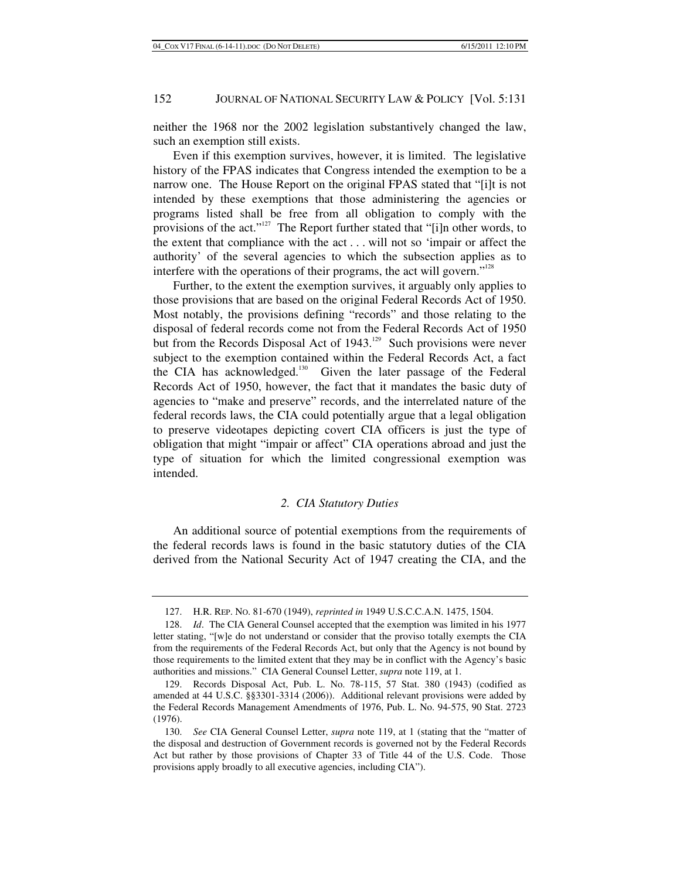neither the 1968 nor the 2002 legislation substantively changed the law, such an exemption still exists.

Even if this exemption survives, however, it is limited. The legislative history of the FPAS indicates that Congress intended the exemption to be a narrow one. The House Report on the original FPAS stated that "[i]t is not intended by these exemptions that those administering the agencies or programs listed shall be free from all obligation to comply with the provisions of the act."<sup>127</sup> The Report further stated that "[i]n other words, to the extent that compliance with the act . . . will not so 'impair or affect the authority' of the several agencies to which the subsection applies as to interfere with the operations of their programs, the act will govern."<sup>128</sup>

Further, to the extent the exemption survives, it arguably only applies to those provisions that are based on the original Federal Records Act of 1950. Most notably, the provisions defining "records" and those relating to the disposal of federal records come not from the Federal Records Act of 1950 but from the Records Disposal Act of  $1943$ <sup>129</sup> Such provisions were never subject to the exemption contained within the Federal Records Act, a fact the CIA has acknowledged.<sup>130</sup> Given the later passage of the Federal Records Act of 1950, however, the fact that it mandates the basic duty of agencies to "make and preserve" records, and the interrelated nature of the federal records laws, the CIA could potentially argue that a legal obligation to preserve videotapes depicting covert CIA officers is just the type of obligation that might "impair or affect" CIA operations abroad and just the type of situation for which the limited congressional exemption was intended.

#### *2. CIA Statutory Duties*

An additional source of potential exemptions from the requirements of the federal records laws is found in the basic statutory duties of the CIA derived from the National Security Act of 1947 creating the CIA, and the

 <sup>127.</sup> H.R. REP. NO. 81-670 (1949), *reprinted in* 1949 U.S.C.C.A.N. 1475, 1504.

<sup>128.</sup> *Id*. The CIA General Counsel accepted that the exemption was limited in his 1977 letter stating, "[w]e do not understand or consider that the proviso totally exempts the CIA from the requirements of the Federal Records Act, but only that the Agency is not bound by those requirements to the limited extent that they may be in conflict with the Agency's basic authorities and missions." CIA General Counsel Letter, *supra* note 119, at 1.

 <sup>129.</sup> Records Disposal Act, Pub. L. No. 78-115, 57 Stat. 380 (1943) (codified as amended at 44 U.S.C. §§3301-3314 (2006)). Additional relevant provisions were added by the Federal Records Management Amendments of 1976, Pub. L. No. 94-575, 90 Stat. 2723 (1976).

<sup>130.</sup> *See* CIA General Counsel Letter, *supra* note 119, at 1 (stating that the "matter of the disposal and destruction of Government records is governed not by the Federal Records Act but rather by those provisions of Chapter 33 of Title 44 of the U.S. Code. Those provisions apply broadly to all executive agencies, including CIA").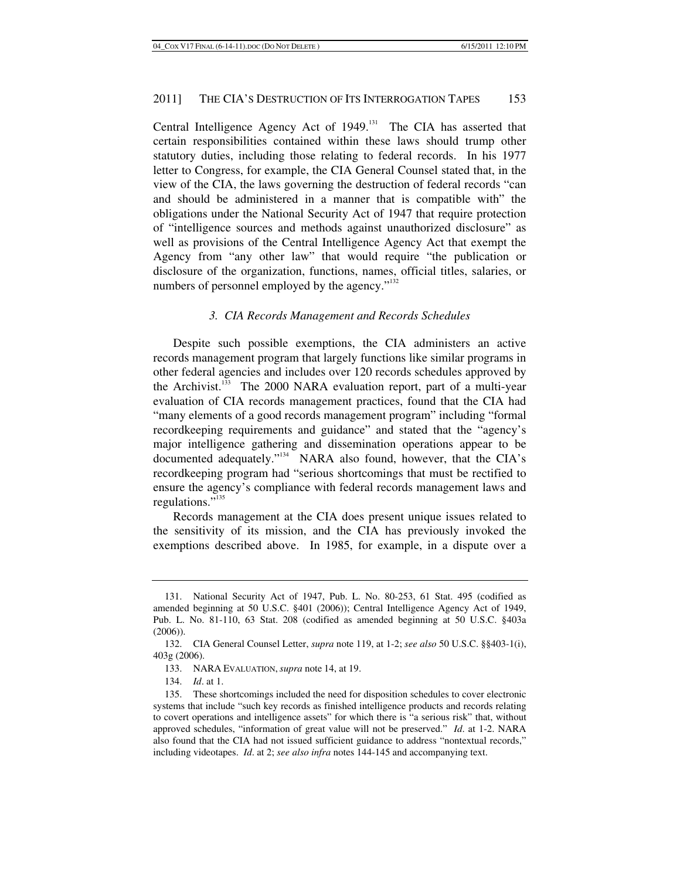Central Intelligence Agency Act of 1949.<sup>131</sup> The CIA has asserted that certain responsibilities contained within these laws should trump other statutory duties, including those relating to federal records. In his 1977 letter to Congress, for example, the CIA General Counsel stated that, in the view of the CIA, the laws governing the destruction of federal records "can and should be administered in a manner that is compatible with" the obligations under the National Security Act of 1947 that require protection of "intelligence sources and methods against unauthorized disclosure" as well as provisions of the Central Intelligence Agency Act that exempt the Agency from "any other law" that would require "the publication or disclosure of the organization, functions, names, official titles, salaries, or numbers of personnel employed by the agency."<sup>132</sup>

#### *3. CIA Records Management and Records Schedules*

Despite such possible exemptions, the CIA administers an active records management program that largely functions like similar programs in other federal agencies and includes over 120 records schedules approved by the Archivist.<sup>133</sup> The 2000 NARA evaluation report, part of a multi-year evaluation of CIA records management practices, found that the CIA had "many elements of a good records management program" including "formal recordkeeping requirements and guidance" and stated that the "agency's major intelligence gathering and dissemination operations appear to be documented adequately."<sup>134</sup> NARA also found, however, that the CIA's recordkeeping program had "serious shortcomings that must be rectified to ensure the agency's compliance with federal records management laws and regulations."<sup>135</sup>

Records management at the CIA does present unique issues related to the sensitivity of its mission, and the CIA has previously invoked the exemptions described above. In 1985, for example, in a dispute over a

 <sup>131.</sup> National Security Act of 1947, Pub. L. No. 80-253, 61 Stat. 495 (codified as amended beginning at 50 U.S.C. §401 (2006)); Central Intelligence Agency Act of 1949, Pub. L. No. 81-110, 63 Stat. 208 (codified as amended beginning at 50 U.S.C. §403a (2006)).

 <sup>132.</sup> CIA General Counsel Letter, *supra* note 119, at 1-2; *see also* 50 U.S.C. §§403-1(i), 403g (2006).

 <sup>133.</sup> NARA EVALUATION, *supra* note 14, at 19.

<sup>134.</sup> *Id*. at 1.

 <sup>135.</sup> These shortcomings included the need for disposition schedules to cover electronic systems that include "such key records as finished intelligence products and records relating to covert operations and intelligence assets" for which there is "a serious risk" that, without approved schedules, "information of great value will not be preserved." *Id*. at 1-2. NARA also found that the CIA had not issued sufficient guidance to address "nontextual records," including videotapes. *Id*. at 2; *see also infra* notes 144-145 and accompanying text.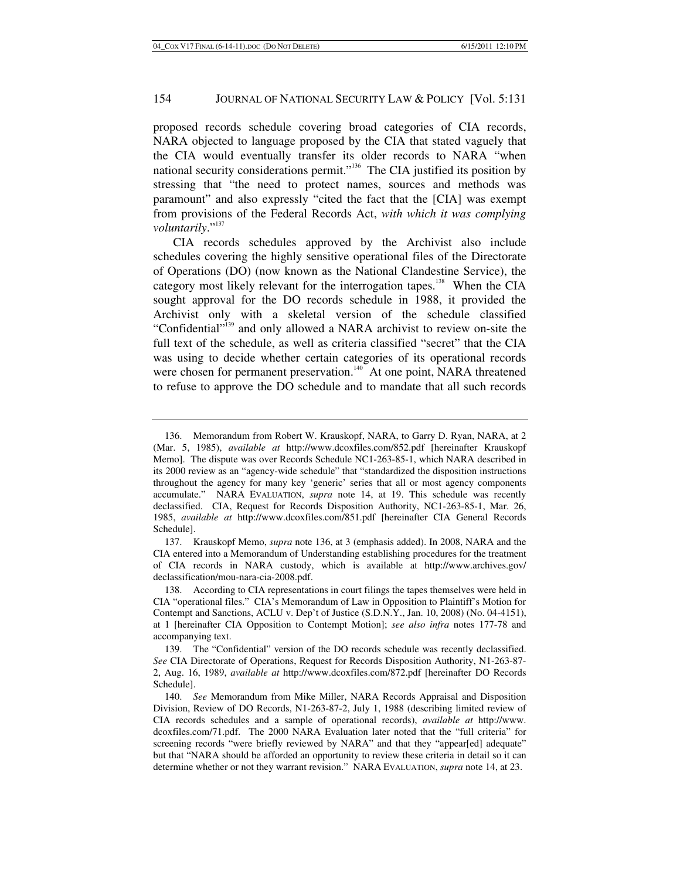proposed records schedule covering broad categories of CIA records, NARA objected to language proposed by the CIA that stated vaguely that the CIA would eventually transfer its older records to NARA "when national security considerations permit."<sup>136</sup> The CIA justified its position by stressing that "the need to protect names, sources and methods was paramount" and also expressly "cited the fact that the [CIA] was exempt from provisions of the Federal Records Act, *with which it was complying*  voluntarily."<sup>137</sup>

CIA records schedules approved by the Archivist also include schedules covering the highly sensitive operational files of the Directorate of Operations (DO) (now known as the National Clandestine Service), the category most likely relevant for the interrogation tapes.<sup>138</sup> When the CIA sought approval for the DO records schedule in 1988, it provided the Archivist only with a skeletal version of the schedule classified "Confidential"<sup>139</sup> and only allowed a NARA archivist to review on-site the full text of the schedule, as well as criteria classified "secret" that the CIA was using to decide whether certain categories of its operational records were chosen for permanent preservation.<sup>140</sup> At one point, NARA threatened to refuse to approve the DO schedule and to mandate that all such records

 <sup>136.</sup> Memorandum from Robert W. Krauskopf, NARA, to Garry D. Ryan, NARA, at 2 (Mar. 5, 1985), *available at* http://www.dcoxfiles.com/852.pdf [hereinafter Krauskopf Memo]. The dispute was over Records Schedule NC1-263-85-1, which NARA described in its 2000 review as an "agency-wide schedule" that "standardized the disposition instructions throughout the agency for many key 'generic' series that all or most agency components accumulate." NARA EVALUATION, *supra* note 14, at 19. This schedule was recently declassified. CIA, Request for Records Disposition Authority, NC1-263-85-1, Mar. 26, 1985, *available at* http://www.dcoxfiles.com/851.pdf [hereinafter CIA General Records Schedule].

 <sup>137.</sup> Krauskopf Memo, *supra* note 136, at 3 (emphasis added). In 2008, NARA and the CIA entered into a Memorandum of Understanding establishing procedures for the treatment of CIA records in NARA custody, which is available at http://www.archives.gov/ declassification/mou-nara-cia-2008.pdf.

 <sup>138.</sup> According to CIA representations in court filings the tapes themselves were held in CIA "operational files." CIA's Memorandum of Law in Opposition to Plaintiff's Motion for Contempt and Sanctions, ACLU v. Dep't of Justice (S.D.N.Y., Jan. 10, 2008) (No. 04-4151), at 1 [hereinafter CIA Opposition to Contempt Motion]; *see also infra* notes 177-78 and accompanying text.

 <sup>139.</sup> The "Confidential" version of the DO records schedule was recently declassified. *See* CIA Directorate of Operations, Request for Records Disposition Authority, N1-263-87- 2, Aug. 16, 1989, *available at* http://www.dcoxfiles.com/872.pdf [hereinafter DO Records Schedule].

<sup>140.</sup> *See* Memorandum from Mike Miller, NARA Records Appraisal and Disposition Division, Review of DO Records, N1-263-87-2, July 1, 1988 (describing limited review of CIA records schedules and a sample of operational records), *available at* http://www. dcoxfiles.com/71.pdf. The 2000 NARA Evaluation later noted that the "full criteria" for screening records "were briefly reviewed by NARA" and that they "appear[ed] adequate" but that "NARA should be afforded an opportunity to review these criteria in detail so it can determine whether or not they warrant revision." NARA EVALUATION, *supra* note 14, at 23.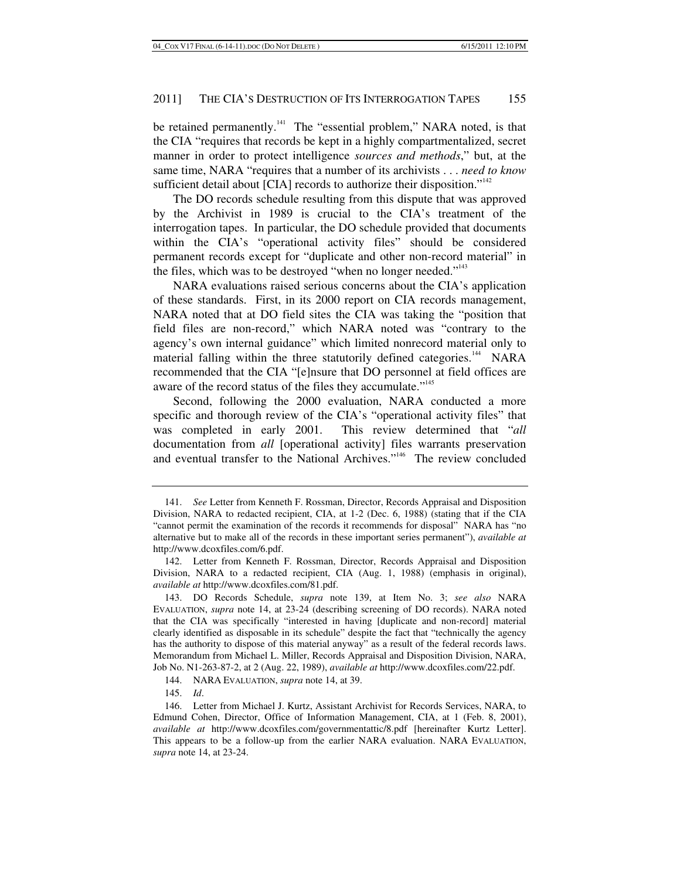be retained permanently.<sup>141</sup> The "essential problem," NARA noted, is that the CIA "requires that records be kept in a highly compartmentalized, secret manner in order to protect intelligence *sources and methods*," but, at the same time, NARA "requires that a number of its archivists . . . *need to know* sufficient detail about  $[CIA]$  records to authorize their disposition."<sup>142</sup>

The DO records schedule resulting from this dispute that was approved by the Archivist in 1989 is crucial to the CIA's treatment of the interrogation tapes. In particular, the DO schedule provided that documents within the CIA's "operational activity files" should be considered permanent records except for "duplicate and other non-record material" in the files, which was to be destroyed "when no longer needed." $143$ 

NARA evaluations raised serious concerns about the CIA's application of these standards. First, in its 2000 report on CIA records management, NARA noted that at DO field sites the CIA was taking the "position that field files are non-record," which NARA noted was "contrary to the agency's own internal guidance" which limited nonrecord material only to material falling within the three statutorily defined categories.<sup>144</sup> NARA recommended that the CIA "[e]nsure that DO personnel at field offices are aware of the record status of the files they accumulate."<sup>145</sup>

Second, following the 2000 evaluation, NARA conducted a more specific and thorough review of the CIA's "operational activity files" that was completed in early 2001. This review determined that "*all* documentation from *all* [operational activity] files warrants preservation and eventual transfer to the National Archives."<sup>146</sup> The review concluded

<sup>141.</sup> *See* Letter from Kenneth F. Rossman, Director, Records Appraisal and Disposition Division, NARA to redacted recipient, CIA, at 1-2 (Dec. 6, 1988) (stating that if the CIA "cannot permit the examination of the records it recommends for disposal" NARA has "no alternative but to make all of the records in these important series permanent"), *available at* http://www.dcoxfiles.com/6.pdf.

 <sup>142.</sup> Letter from Kenneth F. Rossman, Director, Records Appraisal and Disposition Division, NARA to a redacted recipient, CIA (Aug. 1, 1988) (emphasis in original), *available at* http://www.dcoxfiles.com/81.pdf.

 <sup>143.</sup> DO Records Schedule, *supra* note 139, at Item No. 3; *see also* NARA EVALUATION, *supra* note 14, at 23-24 (describing screening of DO records). NARA noted that the CIA was specifically "interested in having [duplicate and non-record] material clearly identified as disposable in its schedule" despite the fact that "technically the agency has the authority to dispose of this material anyway" as a result of the federal records laws. Memorandum from Michael L. Miller, Records Appraisal and Disposition Division, NARA, Job No. N1-263-87-2, at 2 (Aug. 22, 1989), *available at* http://www.dcoxfiles.com/22.pdf.

 <sup>144.</sup> NARA EVALUATION, *supra* note 14, at 39.

<sup>145.</sup> *Id*.

 <sup>146.</sup> Letter from Michael J. Kurtz, Assistant Archivist for Records Services, NARA, to Edmund Cohen, Director, Office of Information Management, CIA, at 1 (Feb. 8, 2001), *available at* http://www.dcoxfiles.com/governmentattic/8.pdf [hereinafter Kurtz Letter]. This appears to be a follow-up from the earlier NARA evaluation. NARA EVALUATION, *supra* note 14, at 23-24.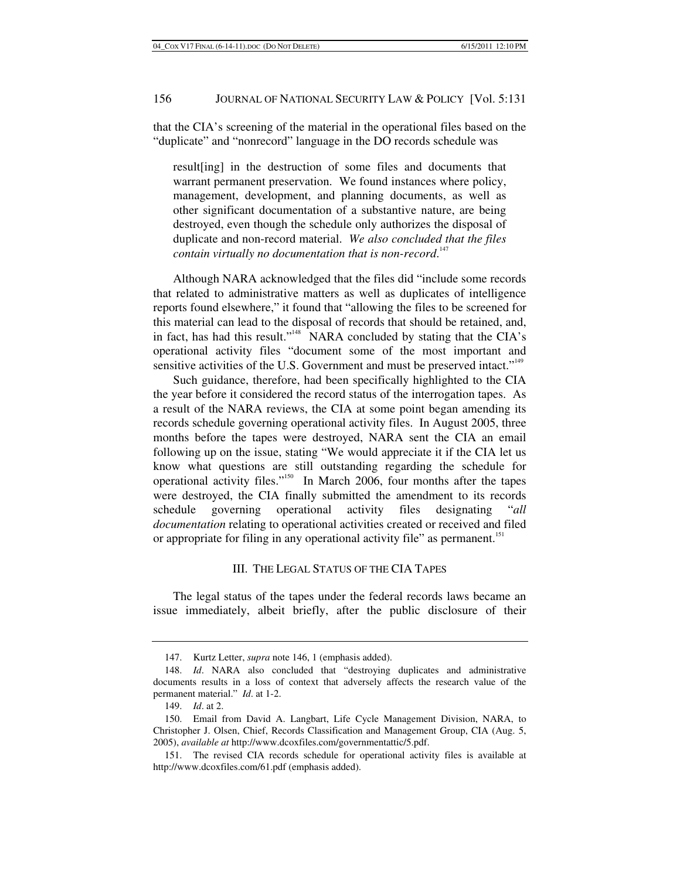that the CIA's screening of the material in the operational files based on the "duplicate" and "nonrecord" language in the DO records schedule was

result[ing] in the destruction of some files and documents that warrant permanent preservation. We found instances where policy, management, development, and planning documents, as well as other significant documentation of a substantive nature, are being destroyed, even though the schedule only authorizes the disposal of duplicate and non-record material. *We also concluded that the files contain virtually no documentation that is non-record*. 147

Although NARA acknowledged that the files did "include some records that related to administrative matters as well as duplicates of intelligence reports found elsewhere," it found that "allowing the files to be screened for this material can lead to the disposal of records that should be retained, and, in fact, has had this result."<sup>148</sup> NARA concluded by stating that the CIA's operational activity files "document some of the most important and sensitive activities of the U.S. Government and must be preserved intact."<sup>149</sup>

Such guidance, therefore, had been specifically highlighted to the CIA the year before it considered the record status of the interrogation tapes. As a result of the NARA reviews, the CIA at some point began amending its records schedule governing operational activity files. In August 2005, three months before the tapes were destroyed, NARA sent the CIA an email following up on the issue, stating "We would appreciate it if the CIA let us know what questions are still outstanding regarding the schedule for operational activity files."150 In March 2006, four months after the tapes were destroyed, the CIA finally submitted the amendment to its records schedule governing operational activity files designating "*all documentation* relating to operational activities created or received and filed or appropriate for filing in any operational activity file" as permanent.<sup>151</sup>

# III. THE LEGAL STATUS OF THE CIA TAPES

The legal status of the tapes under the federal records laws became an issue immediately, albeit briefly, after the public disclosure of their

 <sup>147.</sup> Kurtz Letter, *supra* note 146, 1 (emphasis added).

<sup>148.</sup> *Id*. NARA also concluded that "destroying duplicates and administrative documents results in a loss of context that adversely affects the research value of the permanent material." *Id*. at 1-2.

<sup>149.</sup> *Id*. at 2.

 <sup>150.</sup> Email from David A. Langbart, Life Cycle Management Division, NARA, to Christopher J. Olsen, Chief, Records Classification and Management Group, CIA (Aug. 5, 2005), *available at* http://www.dcoxfiles.com/governmentattic/5.pdf.

 <sup>151.</sup> The revised CIA records schedule for operational activity files is available at http://www.dcoxfiles.com/61.pdf (emphasis added).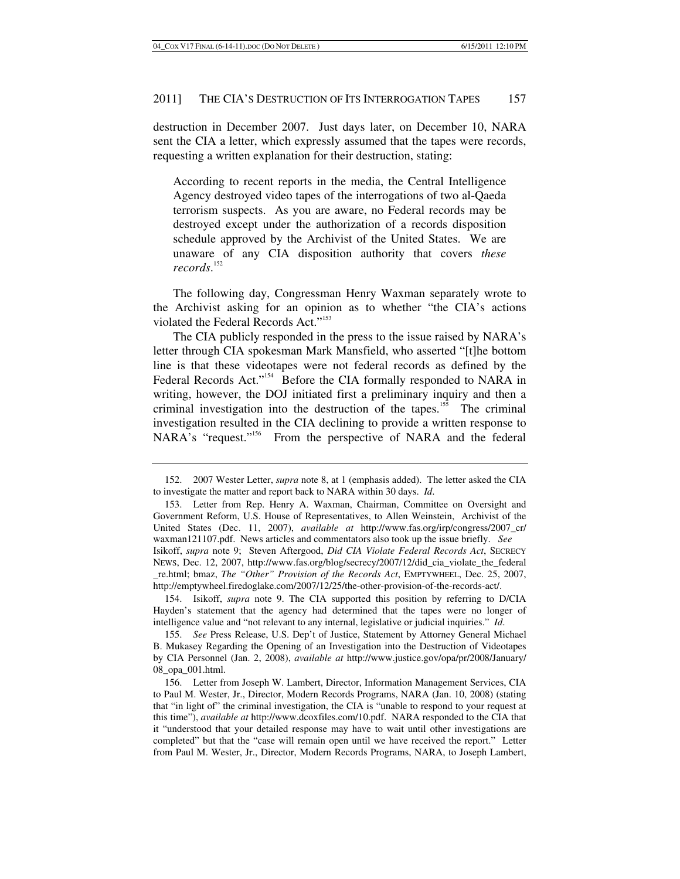destruction in December 2007. Just days later, on December 10, NARA sent the CIA a letter, which expressly assumed that the tapes were records, requesting a written explanation for their destruction, stating:

According to recent reports in the media, the Central Intelligence Agency destroyed video tapes of the interrogations of two al-Qaeda terrorism suspects. As you are aware, no Federal records may be destroyed except under the authorization of a records disposition schedule approved by the Archivist of the United States. We are unaware of any CIA disposition authority that covers *these records*. 152

The following day, Congressman Henry Waxman separately wrote to the Archivist asking for an opinion as to whether "the CIA's actions violated the Federal Records Act."<sup>153</sup>

The CIA publicly responded in the press to the issue raised by NARA's letter through CIA spokesman Mark Mansfield, who asserted "[t]he bottom line is that these videotapes were not federal records as defined by the Federal Records Act."<sup>154</sup> Before the CIA formally responded to NARA in writing, however, the DOJ initiated first a preliminary inquiry and then a criminal investigation into the destruction of the tapes.<sup>155</sup> The criminal investigation resulted in the CIA declining to provide a written response to NARA's "request."<sup>156</sup> From the perspective of NARA and the federal

 154. Isikoff, *supra* note 9. The CIA supported this position by referring to D/CIA Hayden's statement that the agency had determined that the tapes were no longer of intelligence value and "not relevant to any internal, legislative or judicial inquiries." *Id*.

 <sup>152. 2007</sup> Wester Letter, *supra* note 8, at 1 (emphasis added). The letter asked the CIA to investigate the matter and report back to NARA within 30 days. *Id*.

 <sup>153.</sup> Letter from Rep. Henry A. Waxman, Chairman, Committee on Oversight and Government Reform, U.S. House of Representatives, to Allen Weinstein, Archivist of the United States (Dec. 11, 2007), *available at* http://www.fas.org/irp/congress/2007\_cr/ waxman121107.pdf. News articles and commentators also took up the issue briefly. *See* Isikoff, *supra* note 9; Steven Aftergood, *Did CIA Violate Federal Records Act*, SECRECY NEWS, Dec. 12, 2007, http://www.fas.org/blog/secrecy/2007/12/did\_cia\_violate\_the\_federal \_re.html; bmaz, *The "Other" Provision of the Records Act*, EMPTYWHEEL, Dec. 25, 2007, http://emptywheel.firedoglake.com/2007/12/25/the-other-provision-of-the-records-act/.

<sup>155.</sup> *See* Press Release, U.S. Dep't of Justice, Statement by Attorney General Michael B. Mukasey Regarding the Opening of an Investigation into the Destruction of Videotapes by CIA Personnel (Jan. 2, 2008), *available at* http://www.justice.gov/opa/pr/2008/January/ 08\_opa\_001.html.

 <sup>156.</sup> Letter from Joseph W. Lambert, Director, Information Management Services, CIA to Paul M. Wester, Jr., Director, Modern Records Programs, NARA (Jan. 10, 2008) (stating that "in light of" the criminal investigation, the CIA is "unable to respond to your request at this time"), *available at* http://www.dcoxfiles.com/10.pdf. NARA responded to the CIA that it "understood that your detailed response may have to wait until other investigations are completed" but that the "case will remain open until we have received the report." Letter from Paul M. Wester, Jr., Director, Modern Records Programs, NARA, to Joseph Lambert,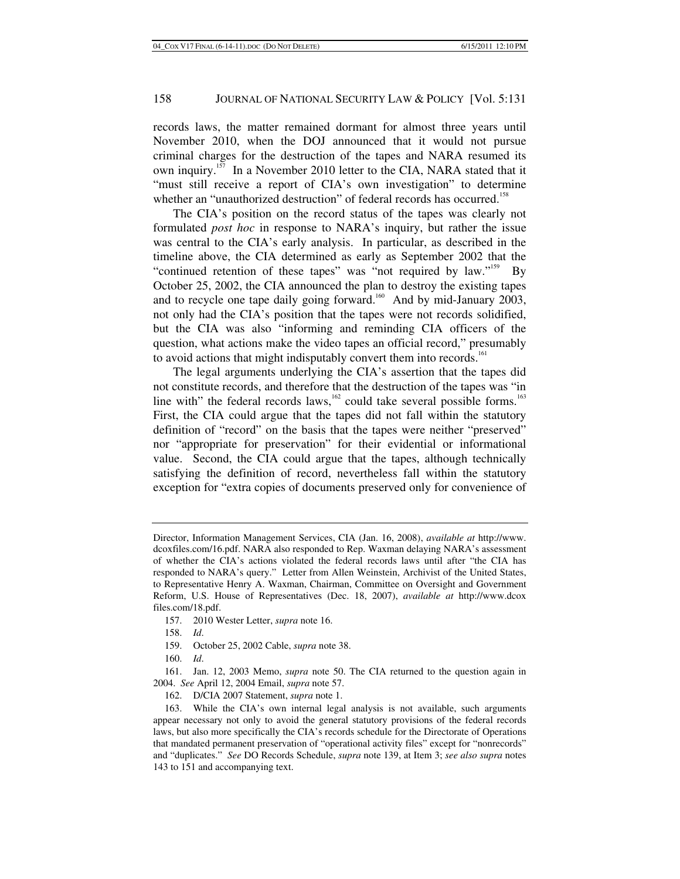records laws, the matter remained dormant for almost three years until November 2010, when the DOJ announced that it would not pursue criminal charges for the destruction of the tapes and NARA resumed its own inquiry.<sup>157</sup> In a November 2010 letter to the CIA, NARA stated that it "must still receive a report of CIA's own investigation" to determine whether an "unauthorized destruction" of federal records has occurred.<sup>158</sup>

The CIA's position on the record status of the tapes was clearly not formulated *post hoc* in response to NARA's inquiry, but rather the issue was central to the CIA's early analysis. In particular, as described in the timeline above, the CIA determined as early as September 2002 that the "continued retention of these tapes" was "not required by law."<sup>159</sup> By October 25, 2002, the CIA announced the plan to destroy the existing tapes and to recycle one tape daily going forward.<sup>160</sup> And by mid-January 2003, not only had the CIA's position that the tapes were not records solidified, but the CIA was also "informing and reminding CIA officers of the question, what actions make the video tapes an official record," presumably to avoid actions that might indisputably convert them into records.<sup>161</sup>

The legal arguments underlying the CIA's assertion that the tapes did not constitute records, and therefore that the destruction of the tapes was "in line with" the federal records laws, $162$  could take several possible forms.<sup>163</sup> First, the CIA could argue that the tapes did not fall within the statutory definition of "record" on the basis that the tapes were neither "preserved" nor "appropriate for preservation" for their evidential or informational value. Second, the CIA could argue that the tapes, although technically satisfying the definition of record, nevertheless fall within the statutory exception for "extra copies of documents preserved only for convenience of

- 157. 2010 Wester Letter, *supra* note 16.
- 158. *Id*.
- 159. October 25, 2002 Cable, *supra* note 38.
- 160. *Id*.

Director, Information Management Services, CIA (Jan. 16, 2008), *available at* http://www. dcoxfiles.com/16.pdf. NARA also responded to Rep. Waxman delaying NARA's assessment of whether the CIA's actions violated the federal records laws until after "the CIA has responded to NARA's query." Letter from Allen Weinstein, Archivist of the United States, to Representative Henry A. Waxman, Chairman, Committee on Oversight and Government Reform, U.S. House of Representatives (Dec. 18, 2007), *available at* http://www.dcox files.com/18.pdf.

 <sup>161.</sup> Jan. 12, 2003 Memo, *supra* note 50. The CIA returned to the question again in 2004. *See* April 12, 2004 Email, *supra* note 57.

 <sup>162.</sup> D/CIA 2007 Statement, *supra* note 1.

 <sup>163.</sup> While the CIA's own internal legal analysis is not available, such arguments appear necessary not only to avoid the general statutory provisions of the federal records laws, but also more specifically the CIA's records schedule for the Directorate of Operations that mandated permanent preservation of "operational activity files" except for "nonrecords" and "duplicates." *See* DO Records Schedule, *supra* note 139, at Item 3; *see also supra* notes 143 to 151 and accompanying text.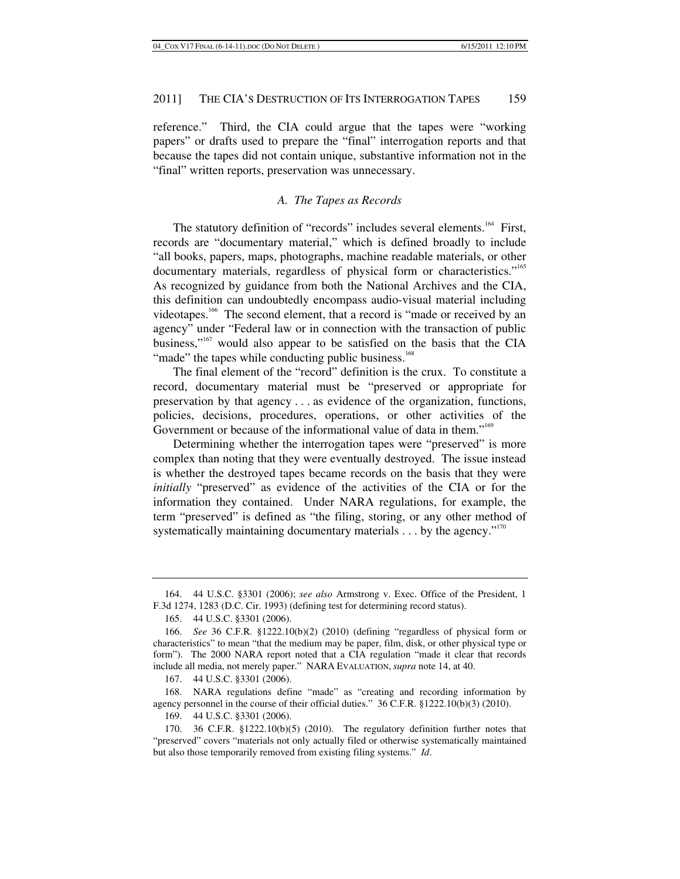reference." Third, the CIA could argue that the tapes were "working papers" or drafts used to prepare the "final" interrogation reports and that because the tapes did not contain unique, substantive information not in the "final" written reports, preservation was unnecessary.

# *A. The Tapes as Records*

The statutory definition of "records" includes several elements.<sup>164</sup> First, records are "documentary material," which is defined broadly to include "all books, papers, maps, photographs, machine readable materials, or other documentary materials, regardless of physical form or characteristics."<sup>165</sup> As recognized by guidance from both the National Archives and the CIA, this definition can undoubtedly encompass audio-visual material including videotapes.<sup>166</sup> The second element, that a record is "made or received by an agency" under "Federal law or in connection with the transaction of public business,"167 would also appear to be satisfied on the basis that the CIA "made" the tapes while conducting public business.<sup>168</sup>

The final element of the "record" definition is the crux. To constitute a record, documentary material must be "preserved or appropriate for preservation by that agency . . . as evidence of the organization, functions, policies, decisions, procedures, operations, or other activities of the Government or because of the informational value of data in them."<sup>169</sup>

Determining whether the interrogation tapes were "preserved" is more complex than noting that they were eventually destroyed. The issue instead is whether the destroyed tapes became records on the basis that they were *initially* "preserved" as evidence of the activities of the CIA or for the information they contained. Under NARA regulations, for example, the term "preserved" is defined as "the filing, storing, or any other method of systematically maintaining documentary materials  $\dots$  by the agency."<sup>170</sup>

167. 44 U.S.C. §3301 (2006).

 168. NARA regulations define "made" as "creating and recording information by agency personnel in the course of their official duties." 36 C.F.R. §1222.10(b)(3) (2010).

169. 44 U.S.C. §3301 (2006).

 <sup>164. 44</sup> U.S.C. §3301 (2006); *see also* Armstrong v. Exec. Office of the President, 1 F.3d 1274, 1283 (D.C. Cir. 1993) (defining test for determining record status).

 <sup>165. 44</sup> U.S.C. §3301 (2006).

<sup>166.</sup> *See* 36 C.F.R. §1222.10(b)(2) (2010) (defining "regardless of physical form or characteristics" to mean "that the medium may be paper, film, disk, or other physical type or form"). The 2000 NARA report noted that a CIA regulation "made it clear that records include all media, not merely paper." NARA EVALUATION, *supra* note 14, at 40.

 <sup>170. 36</sup> C.F.R. §1222.10(b)(5) (2010). The regulatory definition further notes that "preserved" covers "materials not only actually filed or otherwise systematically maintained but also those temporarily removed from existing filing systems." *Id*.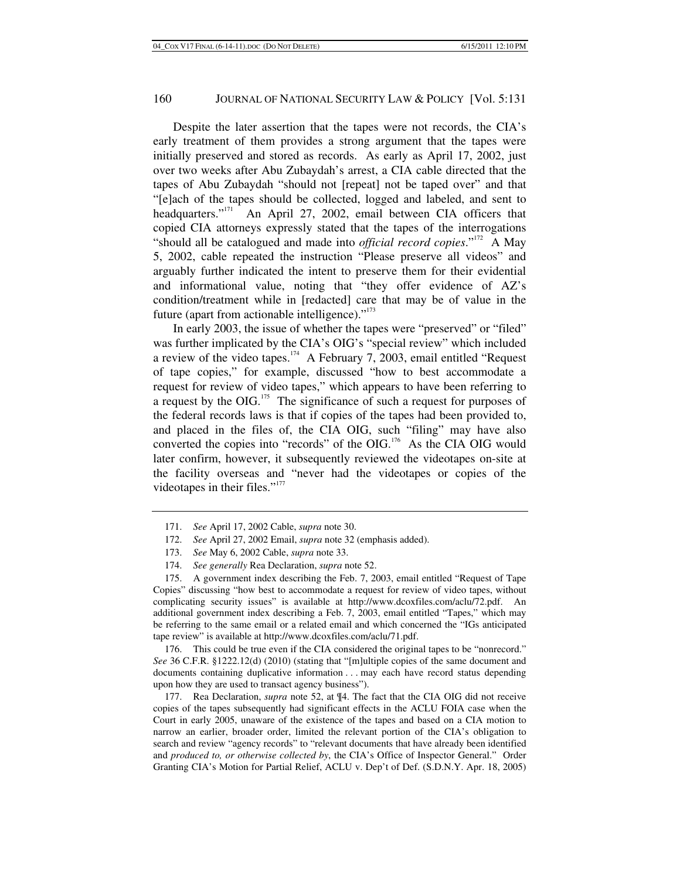Despite the later assertion that the tapes were not records, the CIA's early treatment of them provides a strong argument that the tapes were initially preserved and stored as records. As early as April 17, 2002, just over two weeks after Abu Zubaydah's arrest, a CIA cable directed that the tapes of Abu Zubaydah "should not [repeat] not be taped over" and that "[e]ach of the tapes should be collected, logged and labeled, and sent to headquarters."<sup>171</sup> An April 27, 2002, email between CIA officers that copied CIA attorneys expressly stated that the tapes of the interrogations "should all be catalogued and made into *official record copies*."172 A May 5, 2002, cable repeated the instruction "Please preserve all videos" and arguably further indicated the intent to preserve them for their evidential and informational value, noting that "they offer evidence of AZ's condition/treatment while in [redacted] care that may be of value in the future (apart from actionable intelligence). $"173"$ 

In early 2003, the issue of whether the tapes were "preserved" or "filed" was further implicated by the CIA's OIG's "special review" which included a review of the video tapes.<sup>174</sup> A February 7, 2003, email entitled "Request of tape copies," for example, discussed "how to best accommodate a request for review of video tapes," which appears to have been referring to a request by the OIG.<sup>175</sup> The significance of such a request for purposes of the federal records laws is that if copies of the tapes had been provided to, and placed in the files of, the CIA OIG, such "filing" may have also converted the copies into "records" of the OIG.176 As the CIA OIG would later confirm, however, it subsequently reviewed the videotapes on-site at the facility overseas and "never had the videotapes or copies of the videotapes in their files."<sup>177</sup>

 176. This could be true even if the CIA considered the original tapes to be "nonrecord." *See* 36 C.F.R. §1222.12(d) (2010) (stating that "[m]ultiple copies of the same document and documents containing duplicative information . . . may each have record status depending upon how they are used to transact agency business").

 177. Rea Declaration, *supra* note 52, at ¶4. The fact that the CIA OIG did not receive copies of the tapes subsequently had significant effects in the ACLU FOIA case when the Court in early 2005, unaware of the existence of the tapes and based on a CIA motion to narrow an earlier, broader order, limited the relevant portion of the CIA's obligation to search and review "agency records" to "relevant documents that have already been identified and *produced to, or otherwise collected by*, the CIA's Office of Inspector General." Order Granting CIA's Motion for Partial Relief, ACLU v. Dep't of Def. (S.D.N.Y. Apr. 18, 2005)

<sup>171.</sup> *See* April 17, 2002 Cable, *supra* note 30.

<sup>172.</sup> *See* April 27, 2002 Email, *supra* note 32 (emphasis added).

<sup>173.</sup> *See* May 6, 2002 Cable, *supra* note 33.

<sup>174.</sup> *See generally* Rea Declaration, *supra* note 52.

 <sup>175.</sup> A government index describing the Feb. 7, 2003, email entitled "Request of Tape Copies" discussing "how best to accommodate a request for review of video tapes, without complicating security issues" is available at http://www.dcoxfiles.com/aclu/72.pdf. An additional government index describing a Feb. 7, 2003, email entitled "Tapes," which may be referring to the same email or a related email and which concerned the "IGs anticipated tape review" is available at http://www.dcoxfiles.com/aclu/71.pdf.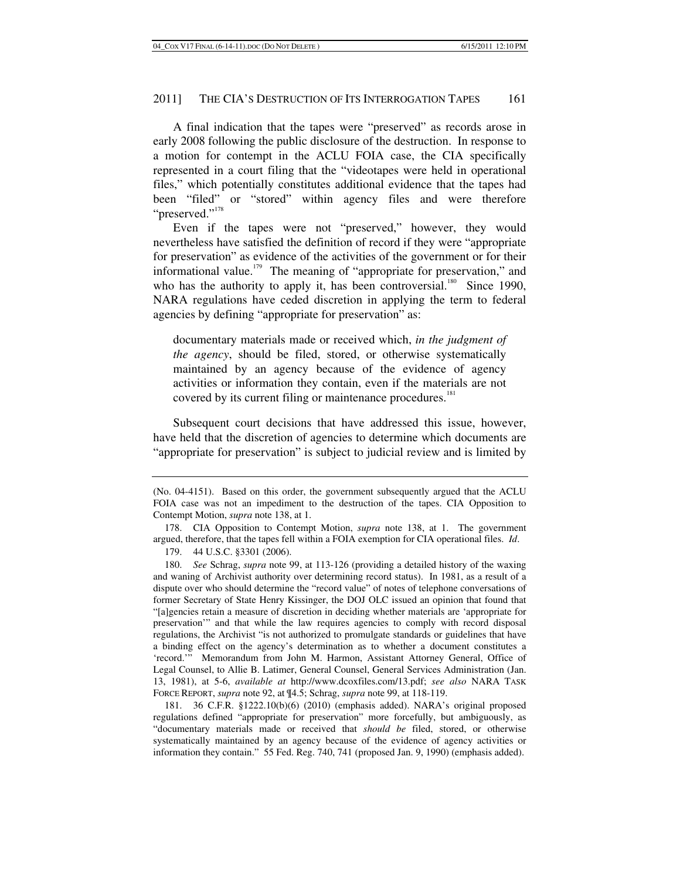A final indication that the tapes were "preserved" as records arose in early 2008 following the public disclosure of the destruction. In response to a motion for contempt in the ACLU FOIA case, the CIA specifically represented in a court filing that the "videotapes were held in operational files," which potentially constitutes additional evidence that the tapes had been "filed" or "stored" within agency files and were therefore "preserved."<sup>178</sup>

Even if the tapes were not "preserved," however, they would nevertheless have satisfied the definition of record if they were "appropriate for preservation" as evidence of the activities of the government or for their informational value.<sup>179</sup> The meaning of "appropriate for preservation," and who has the authority to apply it, has been controversial.<sup>180</sup> Since 1990, NARA regulations have ceded discretion in applying the term to federal agencies by defining "appropriate for preservation" as:

documentary materials made or received which, *in the judgment of the agency*, should be filed, stored, or otherwise systematically maintained by an agency because of the evidence of agency activities or information they contain, even if the materials are not covered by its current filing or maintenance procedures.<sup>181</sup>

Subsequent court decisions that have addressed this issue, however, have held that the discretion of agencies to determine which documents are "appropriate for preservation" is subject to judicial review and is limited by

179. 44 U.S.C. §3301 (2006).

180. *See* Schrag, *supra* note 99, at 113-126 (providing a detailed history of the waxing and waning of Archivist authority over determining record status). In 1981, as a result of a dispute over who should determine the "record value" of notes of telephone conversations of former Secretary of State Henry Kissinger, the DOJ OLC issued an opinion that found that "[a]gencies retain a measure of discretion in deciding whether materials are 'appropriate for preservation'" and that while the law requires agencies to comply with record disposal regulations, the Archivist "is not authorized to promulgate standards or guidelines that have a binding effect on the agency's determination as to whether a document constitutes a 'record.'" Memorandum from John M. Harmon, Assistant Attorney General, Office of Legal Counsel, to Allie B. Latimer, General Counsel, General Services Administration (Jan. 13, 1981), at 5-6, *available at* http://www.dcoxfiles.com/13.pdf; *see also* NARA TASK FORCE REPORT, *supra* note 92, at ¶4.5; Schrag, *supra* note 99, at 118-119.

 181. 36 C.F.R. §1222.10(b)(6) (2010) (emphasis added). NARA's original proposed regulations defined "appropriate for preservation" more forcefully, but ambiguously, as "documentary materials made or received that *should be* filed, stored, or otherwise systematically maintained by an agency because of the evidence of agency activities or information they contain." 55 Fed. Reg. 740, 741 (proposed Jan. 9, 1990) (emphasis added).

<sup>(</sup>No. 04-4151). Based on this order, the government subsequently argued that the ACLU FOIA case was not an impediment to the destruction of the tapes. CIA Opposition to Contempt Motion, *supra* note 138, at 1.

 <sup>178.</sup> CIA Opposition to Contempt Motion, *supra* note 138, at 1. The government argued, therefore, that the tapes fell within a FOIA exemption for CIA operational files. *Id*.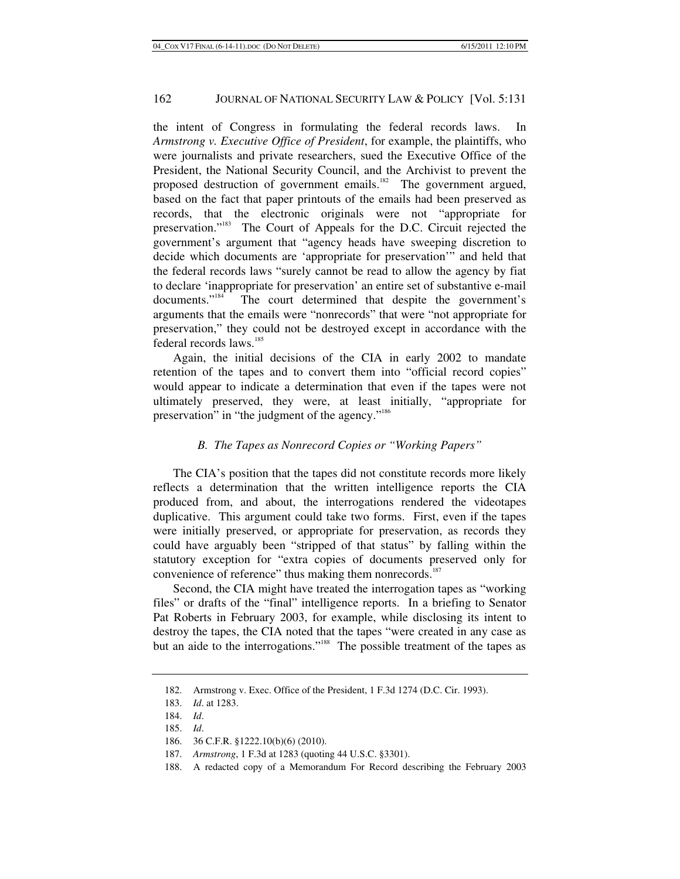the intent of Congress in formulating the federal records laws. In *Armstrong v. Executive Office of President*, for example, the plaintiffs, who were journalists and private researchers, sued the Executive Office of the President, the National Security Council, and the Archivist to prevent the proposed destruction of government emails.<sup>182</sup> The government argued, based on the fact that paper printouts of the emails had been preserved as records, that the electronic originals were not "appropriate for preservation."183 The Court of Appeals for the D.C. Circuit rejected the government's argument that "agency heads have sweeping discretion to decide which documents are 'appropriate for preservation'" and held that the federal records laws "surely cannot be read to allow the agency by fiat to declare 'inappropriate for preservation' an entire set of substantive e-mail documents."<sup>184</sup> The court determined that despite the government's arguments that the emails were "nonrecords" that were "not appropriate for preservation," they could not be destroyed except in accordance with the federal records laws.<sup>185</sup>

Again, the initial decisions of the CIA in early 2002 to mandate retention of the tapes and to convert them into "official record copies" would appear to indicate a determination that even if the tapes were not ultimately preserved, they were, at least initially, "appropriate for preservation" in "the judgment of the agency."<sup>186</sup>

# *B. The Tapes as Nonrecord Copies or "Working Papers"*

The CIA's position that the tapes did not constitute records more likely reflects a determination that the written intelligence reports the CIA produced from, and about, the interrogations rendered the videotapes duplicative. This argument could take two forms. First, even if the tapes were initially preserved, or appropriate for preservation, as records they could have arguably been "stripped of that status" by falling within the statutory exception for "extra copies of documents preserved only for convenience of reference" thus making them nonrecords.<sup>187</sup>

Second, the CIA might have treated the interrogation tapes as "working files" or drafts of the "final" intelligence reports. In a briefing to Senator Pat Roberts in February 2003, for example, while disclosing its intent to destroy the tapes, the CIA noted that the tapes "were created in any case as but an aide to the interrogations."<sup>188</sup> The possible treatment of the tapes as

 <sup>182.</sup> Armstrong v. Exec. Office of the President, 1 F.3d 1274 (D.C. Cir. 1993).

<sup>183.</sup> *Id*. at 1283.

<sup>184.</sup> *Id*.

<sup>185.</sup> *Id*.

 <sup>186. 36</sup> C.F.R. §1222.10(b)(6) (2010).

<sup>187.</sup> *Armstrong*, 1 F.3d at 1283 (quoting 44 U.S.C. §3301).

 <sup>188.</sup> A redacted copy of a Memorandum For Record describing the February 2003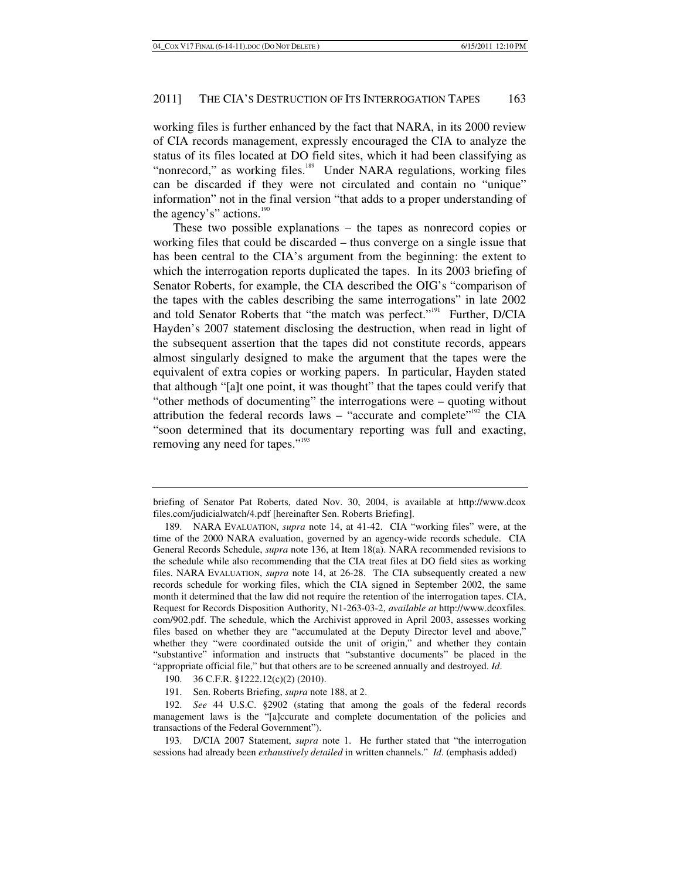working files is further enhanced by the fact that NARA, in its 2000 review of CIA records management, expressly encouraged the CIA to analyze the status of its files located at DO field sites, which it had been classifying as "nonrecord," as working files.<sup>189</sup> Under NARA regulations, working files can be discarded if they were not circulated and contain no "unique" information" not in the final version "that adds to a proper understanding of the agency's" actions. $190$ 

These two possible explanations – the tapes as nonrecord copies or working files that could be discarded – thus converge on a single issue that has been central to the CIA's argument from the beginning: the extent to which the interrogation reports duplicated the tapes. In its 2003 briefing of Senator Roberts, for example, the CIA described the OIG's "comparison of the tapes with the cables describing the same interrogations" in late 2002 and told Senator Roberts that "the match was perfect."<sup>191</sup> Further, D/CIA Hayden's 2007 statement disclosing the destruction, when read in light of the subsequent assertion that the tapes did not constitute records, appears almost singularly designed to make the argument that the tapes were the equivalent of extra copies or working papers. In particular, Hayden stated that although "[a]t one point, it was thought" that the tapes could verify that "other methods of documenting" the interrogations were – quoting without attribution the federal records laws – "accurate and complete"<sup>192</sup> the CIA "soon determined that its documentary reporting was full and exacting, removing any need for tapes."<sup>193</sup>

briefing of Senator Pat Roberts, dated Nov. 30, 2004, is available at http://www.dcox files.com/judicialwatch/4.pdf [hereinafter Sen. Roberts Briefing].

 <sup>189.</sup> NARA EVALUATION, *supra* note 14, at 41-42. CIA "working files" were, at the time of the 2000 NARA evaluation, governed by an agency-wide records schedule. CIA General Records Schedule, *supra* note 136, at Item 18(a). NARA recommended revisions to the schedule while also recommending that the CIA treat files at DO field sites as working files. NARA EVALUATION, *supra* note 14, at 26-28. The CIA subsequently created a new records schedule for working files, which the CIA signed in September 2002, the same month it determined that the law did not require the retention of the interrogation tapes. CIA, Request for Records Disposition Authority, N1-263-03-2, *available at* http://www.dcoxfiles. com/902.pdf. The schedule, which the Archivist approved in April 2003, assesses working files based on whether they are "accumulated at the Deputy Director level and above," whether they "were coordinated outside the unit of origin," and whether they contain "substantive" information and instructs that "substantive documents" be placed in the "appropriate official file," but that others are to be screened annually and destroyed. *Id*.

 <sup>190. 36</sup> C.F.R. §1222.12(c)(2) (2010).

 <sup>191.</sup> Sen. Roberts Briefing, *supra* note 188, at 2.

<sup>192.</sup> *See* 44 U.S.C. §2902 (stating that among the goals of the federal records management laws is the "[a]ccurate and complete documentation of the policies and transactions of the Federal Government").

 <sup>193.</sup> D/CIA 2007 Statement, *supra* note 1. He further stated that "the interrogation sessions had already been *exhaustively detailed* in written channels." *Id*. (emphasis added)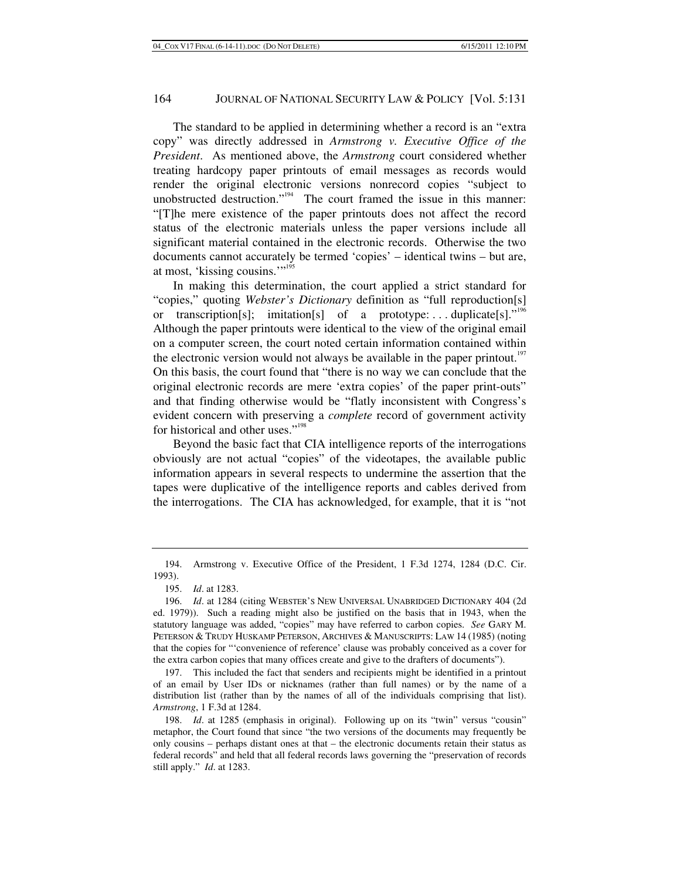The standard to be applied in determining whether a record is an "extra copy" was directly addressed in *Armstrong v. Executive Office of the President*. As mentioned above, the *Armstrong* court considered whether treating hardcopy paper printouts of email messages as records would render the original electronic versions nonrecord copies "subject to unobstructed destruction."<sup>194</sup> The court framed the issue in this manner: "[T]he mere existence of the paper printouts does not affect the record status of the electronic materials unless the paper versions include all significant material contained in the electronic records. Otherwise the two documents cannot accurately be termed 'copies' – identical twins – but are, at most, 'kissing cousins.'"<sup>195</sup>

In making this determination, the court applied a strict standard for "copies," quoting *Webster's Dictionary* definition as "full reproduction[s] or transcription[s]; imitation[s] of a prototype:...duplicate[s]."<sup>196</sup> Although the paper printouts were identical to the view of the original email on a computer screen, the court noted certain information contained within the electronic version would not always be available in the paper printout.<sup>197</sup> On this basis, the court found that "there is no way we can conclude that the original electronic records are mere 'extra copies' of the paper print-outs" and that finding otherwise would be "flatly inconsistent with Congress's evident concern with preserving a *complete* record of government activity for historical and other uses."<sup>198</sup>

Beyond the basic fact that CIA intelligence reports of the interrogations obviously are not actual "copies" of the videotapes, the available public information appears in several respects to undermine the assertion that the tapes were duplicative of the intelligence reports and cables derived from the interrogations. The CIA has acknowledged, for example, that it is "not

 <sup>194.</sup> Armstrong v. Executive Office of the President, 1 F.3d 1274, 1284 (D.C. Cir. 1993).

<sup>195.</sup> *Id*. at 1283.

<sup>196.</sup> *Id*. at 1284 (citing WEBSTER'S NEW UNIVERSAL UNABRIDGED DICTIONARY 404 (2d ed. 1979)). Such a reading might also be justified on the basis that in 1943, when the statutory language was added, "copies" may have referred to carbon copies. *See* GARY M. PETERSON & TRUDY HUSKAMP PETERSON, ARCHIVES & MANUSCRIPTS: LAW 14 (1985) (noting that the copies for "'convenience of reference' clause was probably conceived as a cover for the extra carbon copies that many offices create and give to the drafters of documents").

 <sup>197.</sup> This included the fact that senders and recipients might be identified in a printout of an email by User IDs or nicknames (rather than full names) or by the name of a distribution list (rather than by the names of all of the individuals comprising that list). *Armstrong*, 1 F.3d at 1284.

<sup>198.</sup> *Id*. at 1285 (emphasis in original). Following up on its "twin" versus "cousin" metaphor, the Court found that since "the two versions of the documents may frequently be only cousins – perhaps distant ones at that – the electronic documents retain their status as federal records" and held that all federal records laws governing the "preservation of records still apply." *Id*. at 1283.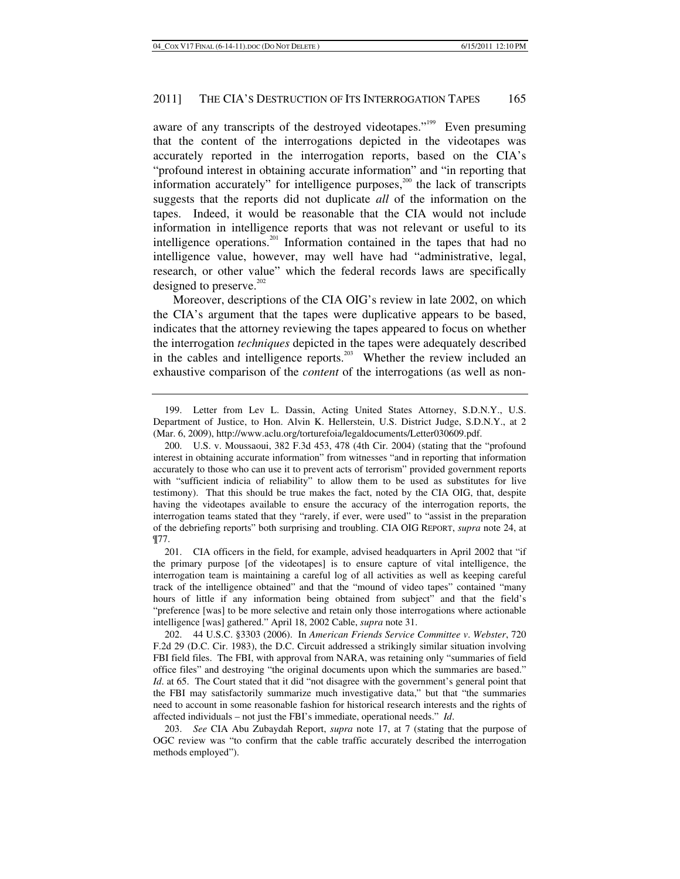aware of any transcripts of the destroyed videotapes."<sup>199</sup> Even presuming that the content of the interrogations depicted in the videotapes was accurately reported in the interrogation reports, based on the CIA's "profound interest in obtaining accurate information" and "in reporting that information accurately" for intelligence purposes, $200$  the lack of transcripts suggests that the reports did not duplicate *all* of the information on the tapes. Indeed, it would be reasonable that the CIA would not include information in intelligence reports that was not relevant or useful to its intelligence operations.<sup>201</sup> Information contained in the tapes that had no intelligence value, however, may well have had "administrative, legal, research, or other value" which the federal records laws are specifically designed to preserve. $202$ 

Moreover, descriptions of the CIA OIG's review in late 2002, on which the CIA's argument that the tapes were duplicative appears to be based, indicates that the attorney reviewing the tapes appeared to focus on whether the interrogation *techniques* depicted in the tapes were adequately described in the cables and intelligence reports.203 Whether the review included an exhaustive comparison of the *content* of the interrogations (as well as non-

 <sup>199.</sup> Letter from Lev L. Dassin, Acting United States Attorney, S.D.N.Y., U.S. Department of Justice, to Hon. Alvin K. Hellerstein, U.S. District Judge, S.D.N.Y., at 2 (Mar. 6, 2009), http://www.aclu.org/torturefoia/legaldocuments/Letter030609.pdf.

 <sup>200.</sup> U.S. v. Moussaoui, 382 F.3d 453, 478 (4th Cir. 2004) (stating that the "profound interest in obtaining accurate information" from witnesses "and in reporting that information accurately to those who can use it to prevent acts of terrorism" provided government reports with "sufficient indicia of reliability" to allow them to be used as substitutes for live testimony). That this should be true makes the fact, noted by the CIA OIG, that, despite having the videotapes available to ensure the accuracy of the interrogation reports, the interrogation teams stated that they "rarely, if ever, were used" to "assist in the preparation of the debriefing reports" both surprising and troubling. CIA OIG REPORT, *supra* note 24, at ¶77.

 <sup>201.</sup> CIA officers in the field, for example, advised headquarters in April 2002 that "if the primary purpose [of the videotapes] is to ensure capture of vital intelligence, the interrogation team is maintaining a careful log of all activities as well as keeping careful track of the intelligence obtained" and that the "mound of video tapes" contained "many hours of little if any information being obtained from subject" and that the field's "preference [was] to be more selective and retain only those interrogations where actionable intelligence [was] gathered." April 18, 2002 Cable, *supra* note 31.

 <sup>202. 44</sup> U.S.C. §3303 (2006). In *American Friends Service Committee v*. *Webster*, 720 F.2d 29 (D.C. Cir. 1983), the D.C. Circuit addressed a strikingly similar situation involving FBI field files. The FBI, with approval from NARA, was retaining only "summaries of field office files" and destroying "the original documents upon which the summaries are based." *Id.* at 65. The Court stated that it did "not disagree with the government's general point that the FBI may satisfactorily summarize much investigative data," but that "the summaries need to account in some reasonable fashion for historical research interests and the rights of affected individuals – not just the FBI's immediate, operational needs." *Id*.

<sup>203.</sup> *See* CIA Abu Zubaydah Report, *supra* note 17, at 7 (stating that the purpose of OGC review was "to confirm that the cable traffic accurately described the interrogation methods employed").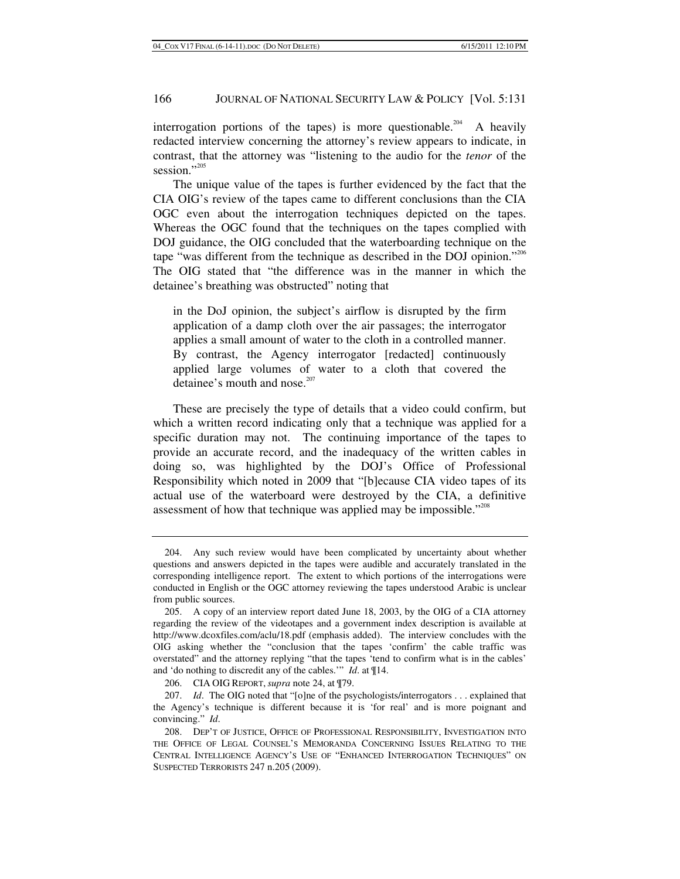interrogation portions of the tapes) is more questionable.<sup>204</sup> A heavily redacted interview concerning the attorney's review appears to indicate, in contrast, that the attorney was "listening to the audio for the *tenor* of the session."<sup>205</sup>

The unique value of the tapes is further evidenced by the fact that the CIA OIG's review of the tapes came to different conclusions than the CIA OGC even about the interrogation techniques depicted on the tapes. Whereas the OGC found that the techniques on the tapes complied with DOJ guidance, the OIG concluded that the waterboarding technique on the tape "was different from the technique as described in the DOJ opinion."<sup>206</sup> The OIG stated that "the difference was in the manner in which the detainee's breathing was obstructed" noting that

in the DoJ opinion, the subject's airflow is disrupted by the firm application of a damp cloth over the air passages; the interrogator applies a small amount of water to the cloth in a controlled manner. By contrast, the Agency interrogator [redacted] continuously applied large volumes of water to a cloth that covered the detainee's mouth and nose.<sup>207</sup>

These are precisely the type of details that a video could confirm, but which a written record indicating only that a technique was applied for a specific duration may not. The continuing importance of the tapes to provide an accurate record, and the inadequacy of the written cables in doing so, was highlighted by the DOJ's Office of Professional Responsibility which noted in 2009 that "[b]ecause CIA video tapes of its actual use of the waterboard were destroyed by the CIA, a definitive assessment of how that technique was applied may be impossible."<sup>208</sup>

 <sup>204.</sup> Any such review would have been complicated by uncertainty about whether questions and answers depicted in the tapes were audible and accurately translated in the corresponding intelligence report. The extent to which portions of the interrogations were conducted in English or the OGC attorney reviewing the tapes understood Arabic is unclear from public sources.

 <sup>205.</sup> A copy of an interview report dated June 18, 2003, by the OIG of a CIA attorney regarding the review of the videotapes and a government index description is available at http://www.dcoxfiles.com/aclu/18.pdf (emphasis added). The interview concludes with the OIG asking whether the "conclusion that the tapes 'confirm' the cable traffic was overstated" and the attorney replying "that the tapes 'tend to confirm what is in the cables' and 'do nothing to discredit any of the cables.'" *Id*. at ¶14.

 <sup>206.</sup> CIA OIG REPORT,*supra* note 24, at ¶79.

<sup>207.</sup> *Id.* The OIG noted that "[o]ne of the psychologists/interrogators . . . explained that the Agency's technique is different because it is 'for real' and is more poignant and convincing." *Id*.

 <sup>208.</sup> DEP'T OF JUSTICE, OFFICE OF PROFESSIONAL RESPONSIBILITY, INVESTIGATION INTO THE OFFICE OF LEGAL COUNSEL'S MEMORANDA CONCERNING ISSUES RELATING TO THE CENTRAL INTELLIGENCE AGENCY'S USE OF "ENHANCED INTERROGATION TECHNIQUES" ON SUSPECTED TERRORISTS 247 n.205 (2009).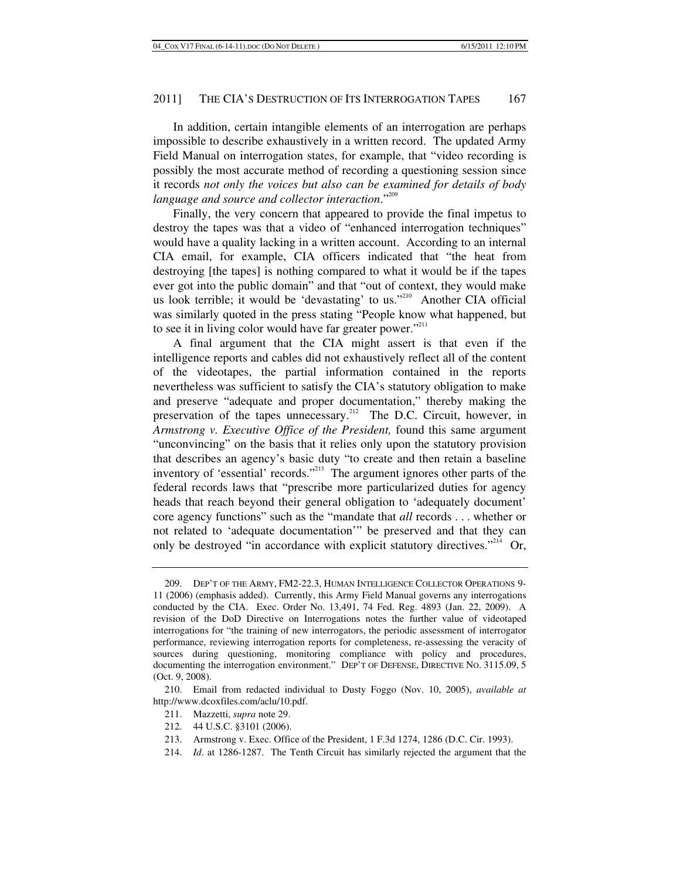In addition, certain intangible elements of an interrogation are perhaps impossible to describe exhaustively in a written record. The updated Army Field Manual on interrogation states, for example, that "video recording is possibly the most accurate method of recording a questioning session since it records *not only the voices but also can be examined for details of body language and source and collector interaction*."209

Finally, the very concern that appeared to provide the final impetus to destroy the tapes was that a video of "enhanced interrogation techniques" would have a quality lacking in a written account. According to an internal CIA email, for example, CIA officers indicated that "the heat from destroying [the tapes] is nothing compared to what it would be if the tapes ever got into the public domain" and that "out of context, they would make us look terrible; it would be 'devastating' to us."<sup>210</sup> Another CIA official was similarly quoted in the press stating "People know what happened, but to see it in living color would have far greater power."<sup>211</sup>

A final argument that the CIA might assert is that even if the intelligence reports and cables did not exhaustively reflect all of the content of the videotapes, the partial information contained in the reports nevertheless was sufficient to satisfy the CIA's statutory obligation to make and preserve "adequate and proper documentation," thereby making the preservation of the tapes unnecessary.<sup>212</sup> The D.C. Circuit, however, in *Armstrong v. Executive Office of the President,* found this same argument "unconvincing" on the basis that it relies only upon the statutory provision that describes an agency's basic duty "to create and then retain a baseline inventory of 'essential' records."<sup>213</sup> The argument ignores other parts of the federal records laws that "prescribe more particularized duties for agency heads that reach beyond their general obligation to 'adequately document' core agency functions" such as the "mandate that *all* records . . . whether or not related to 'adequate documentation'" be preserved and that they can only be destroyed "in accordance with explicit statutory directives."<sup>214</sup> Or,

- 211. Mazzetti, *supra* note 29.
- 212. 44 U.S.C. §3101 (2006).
- 213. Armstrong v. Exec. Office of the President, 1 F.3d 1274, 1286 (D.C. Cir. 1993).
- 214. *Id*. at 1286-1287. The Tenth Circuit has similarly rejected the argument that the

 <sup>209.</sup> DEP'T OF THE ARMY, FM2-22.3, HUMAN INTELLIGENCE COLLECTOR OPERATIONS 9- 11 (2006) (emphasis added). Currently, this Army Field Manual governs any interrogations conducted by the CIA. Exec. Order No. 13,491, 74 Fed. Reg. 4893 (Jan. 22, 2009). A revision of the DoD Directive on Interrogations notes the further value of videotaped interrogations for "the training of new interrogators, the periodic assessment of interrogator performance, reviewing interrogation reports for completeness, re-assessing the veracity of sources during questioning, monitoring compliance with policy and procedures, documenting the interrogation environment." DEP'T OF DEFENSE, DIRECTIVE NO. 3115.09, 5 (Oct. 9, 2008).

 <sup>210.</sup> Email from redacted individual to Dusty Foggo (Nov. 10, 2005), *available at* http://www.dcoxfiles.com/aclu/10.pdf.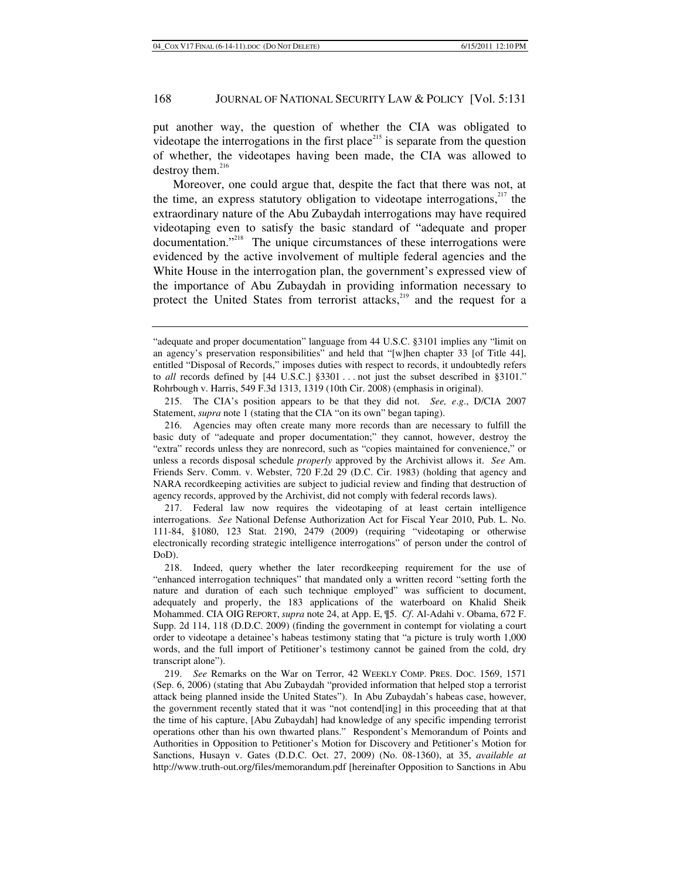put another way, the question of whether the CIA was obligated to videotape the interrogations in the first place<sup>215</sup> is separate from the question of whether, the videotapes having been made, the CIA was allowed to destroy them. $^{216}$ 

Moreover, one could argue that, despite the fact that there was not, at the time, an express statutory obligation to videotape interrogations, $217$  the extraordinary nature of the Abu Zubaydah interrogations may have required videotaping even to satisfy the basic standard of "adequate and proper documentation."<sup>218</sup> The unique circumstances of these interrogations were evidenced by the active involvement of multiple federal agencies and the White House in the interrogation plan, the government's expressed view of the importance of Abu Zubaydah in providing information necessary to protect the United States from terrorist attacks,<sup>219</sup> and the request for a

<sup>&</sup>quot;adequate and proper documentation" language from 44 U.S.C. §3101 implies any "limit on an agency's preservation responsibilities" and held that "[w]hen chapter 33 [of Title 44], entitled "Disposal of Records," imposes duties with respect to records, it undoubtedly refers to *all* records defined by [44 U.S.C.] §3301 . . . not just the subset described in §3101." Rohrbough v. Harris, 549 F.3d 1313, 1319 (10th Cir. 2008) (emphasis in original).

 <sup>215.</sup> The CIA's position appears to be that they did not. *See, e*.*g*., D/CIA 2007 Statement, *supra* note 1 (stating that the CIA "on its own" began taping).

 <sup>216.</sup> Agencies may often create many more records than are necessary to fulfill the basic duty of "adequate and proper documentation;" they cannot, however, destroy the "extra" records unless they are nonrecord, such as "copies maintained for convenience," or unless a records disposal schedule *properly* approved by the Archivist allows it. *See* Am. Friends Serv. Comm. v. Webster, 720 F.2d 29 (D.C. Cir. 1983) (holding that agency and NARA recordkeeping activities are subject to judicial review and finding that destruction of agency records, approved by the Archivist, did not comply with federal records laws).

 <sup>217.</sup> Federal law now requires the videotaping of at least certain intelligence interrogations. *See* National Defense Authorization Act for Fiscal Year 2010, Pub. L. No. 111-84, §1080, 123 Stat. 2190, 2479 (2009) (requiring "videotaping or otherwise electronically recording strategic intelligence interrogations" of person under the control of DoD).

 <sup>218.</sup> Indeed, query whether the later recordkeeping requirement for the use of "enhanced interrogation techniques" that mandated only a written record "setting forth the nature and duration of each such technique employed" was sufficient to document, adequately and properly, the 183 applications of the waterboard on Khalid Sheik Mohammed. CIA OIG REPORT, *supra* note 24, at App. E, ¶5. *Cf*. Al-Adahi v. Obama, 672 F. Supp. 2d 114, 118 (D.D.C. 2009) (finding the government in contempt for violating a court order to videotape a detainee's habeas testimony stating that "a picture is truly worth 1,000 words, and the full import of Petitioner's testimony cannot be gained from the cold, dry transcript alone").

<sup>219.</sup> *See* Remarks on the War on Terror, 42 WEEKLY COMP. PRES. DOC. 1569, 1571 (Sep. 6, 2006) (stating that Abu Zubaydah "provided information that helped stop a terrorist attack being planned inside the United States"). In Abu Zubaydah's habeas case, however, the government recently stated that it was "not contend[ing] in this proceeding that at that the time of his capture, [Abu Zubaydah] had knowledge of any specific impending terrorist operations other than his own thwarted plans." Respondent's Memorandum of Points and Authorities in Opposition to Petitioner's Motion for Discovery and Petitioner's Motion for Sanctions, Husayn v. Gates (D.D.C. Oct. 27, 2009) (No. 08-1360), at 35, *available at* http://www.truth-out.org/files/memorandum.pdf [hereinafter Opposition to Sanctions in Abu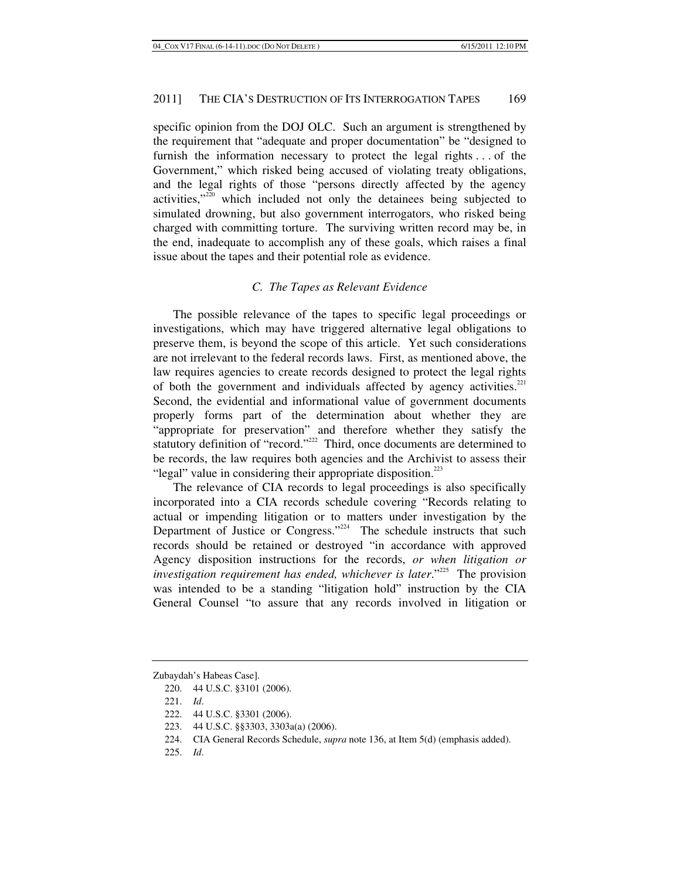specific opinion from the DOJ OLC. Such an argument is strengthened by the requirement that "adequate and proper documentation" be "designed to furnish the information necessary to protect the legal rights . . . of the Government," which risked being accused of violating treaty obligations, and the legal rights of those "persons directly affected by the agency activities,"220 which included not only the detainees being subjected to simulated drowning, but also government interrogators, who risked being charged with committing torture. The surviving written record may be, in the end, inadequate to accomplish any of these goals, which raises a final issue about the tapes and their potential role as evidence.

# *C. The Tapes as Relevant Evidence*

The possible relevance of the tapes to specific legal proceedings or investigations, which may have triggered alternative legal obligations to preserve them, is beyond the scope of this article. Yet such considerations are not irrelevant to the federal records laws. First, as mentioned above, the law requires agencies to create records designed to protect the legal rights of both the government and individuals affected by agency activities.<sup>221</sup> Second, the evidential and informational value of government documents properly forms part of the determination about whether they are "appropriate for preservation" and therefore whether they satisfy the statutory definition of "record."<sup>222</sup> Third, once documents are determined to be records, the law requires both agencies and the Archivist to assess their "legal" value in considering their appropriate disposition. $^{223}$ 

The relevance of CIA records to legal proceedings is also specifically incorporated into a CIA records schedule covering "Records relating to actual or impending litigation or to matters under investigation by the Department of Justice or Congress." $224$  The schedule instructs that such records should be retained or destroyed "in accordance with approved Agency disposition instructions for the records, *or when litigation or investigation requirement has ended, whichever is later.*"<sup>225</sup> The provision was intended to be a standing "litigation hold" instruction by the CIA General Counsel "to assure that any records involved in litigation or

Zubaydah's Habeas Case].

 <sup>220. 44</sup> U.S.C. §3101 (2006).

<sup>221.</sup> *Id*.

 <sup>222. 44</sup> U.S.C. §3301 (2006).

 <sup>223. 44</sup> U.S.C. §§3303, 3303a(a) (2006).

 <sup>224.</sup> CIA General Records Schedule, *supra* note 136, at Item 5(d) (emphasis added).

<sup>225.</sup> *Id*.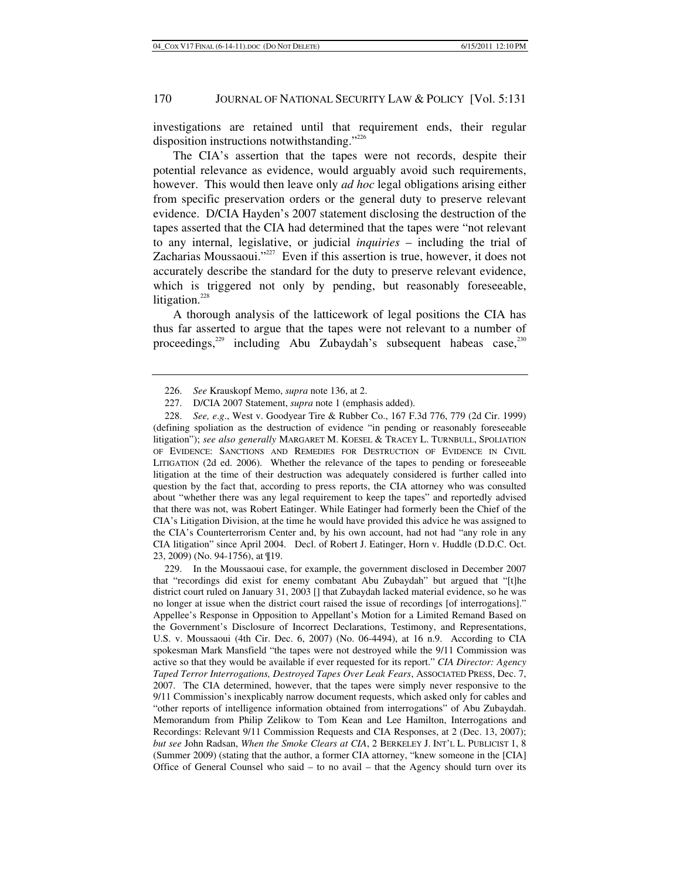investigations are retained until that requirement ends, their regular disposition instructions notwithstanding."<sup>226</sup>

The CIA's assertion that the tapes were not records, despite their potential relevance as evidence, would arguably avoid such requirements, however. This would then leave only *ad hoc* legal obligations arising either from specific preservation orders or the general duty to preserve relevant evidence. D/CIA Hayden's 2007 statement disclosing the destruction of the tapes asserted that the CIA had determined that the tapes were "not relevant to any internal, legislative, or judicial *inquiries* – including the trial of Zacharias Moussaoui."<sup>227</sup> Even if this assertion is true, however, it does not accurately describe the standard for the duty to preserve relevant evidence, which is triggered not only by pending, but reasonably foreseeable, litigation.<sup>228</sup>

A thorough analysis of the latticework of legal positions the CIA has thus far asserted to argue that the tapes were not relevant to a number of proceedings, $^{229}$  including Abu Zubaydah's subsequent habeas case, $^{230}$ 

228. *See, e*.*g*., West v. Goodyear Tire & Rubber Co., 167 F.3d 776, 779 (2d Cir. 1999) (defining spoliation as the destruction of evidence "in pending or reasonably foreseeable litigation"); *see also generally* MARGARET M. KOESEL & TRACEY L. TURNBULL, SPOLIATION OF EVIDENCE: SANCTIONS AND REMEDIES FOR DESTRUCTION OF EVIDENCE IN CIVIL LITIGATION (2d ed. 2006). Whether the relevance of the tapes to pending or foreseeable litigation at the time of their destruction was adequately considered is further called into question by the fact that, according to press reports, the CIA attorney who was consulted about "whether there was any legal requirement to keep the tapes" and reportedly advised that there was not, was Robert Eatinger. While Eatinger had formerly been the Chief of the CIA's Litigation Division, at the time he would have provided this advice he was assigned to the CIA's Counterterrorism Center and, by his own account, had not had "any role in any CIA litigation" since April 2004. Decl. of Robert J. Eatinger, Horn v. Huddle (D.D.C. Oct. 23, 2009) (No. 94-1756), at ¶19.

 229. In the Moussaoui case, for example, the government disclosed in December 2007 that "recordings did exist for enemy combatant Abu Zubaydah" but argued that "[t]he district court ruled on January 31, 2003 [] that Zubaydah lacked material evidence, so he was no longer at issue when the district court raised the issue of recordings [of interrogations]." Appellee's Response in Opposition to Appellant's Motion for a Limited Remand Based on the Government's Disclosure of Incorrect Declarations, Testimony, and Representations, U.S. v. Moussaoui (4th Cir. Dec. 6, 2007) (No. 06-4494), at 16 n.9. According to CIA spokesman Mark Mansfield "the tapes were not destroyed while the 9/11 Commission was active so that they would be available if ever requested for its report." *CIA Director: Agency Taped Terror Interrogations, Destroyed Tapes Over Leak Fears*, ASSOCIATED PRESS, Dec. 7, 2007. The CIA determined, however, that the tapes were simply never responsive to the 9/11 Commission's inexplicably narrow document requests, which asked only for cables and "other reports of intelligence information obtained from interrogations" of Abu Zubaydah. Memorandum from Philip Zelikow to Tom Kean and Lee Hamilton, Interrogations and Recordings: Relevant 9/11 Commission Requests and CIA Responses, at 2 (Dec. 13, 2007); *but see* John Radsan, *When the Smoke Clears at CIA*, 2 BERKELEY J. INT'L L. PUBLICIST 1, 8 (Summer 2009) (stating that the author, a former CIA attorney, "knew someone in the [CIA] Office of General Counsel who said – to no avail – that the Agency should turn over its

<sup>226.</sup> *See* Krauskopf Memo, *supra* note 136, at 2.

 <sup>227.</sup> D/CIA 2007 Statement, *supra* note 1 (emphasis added).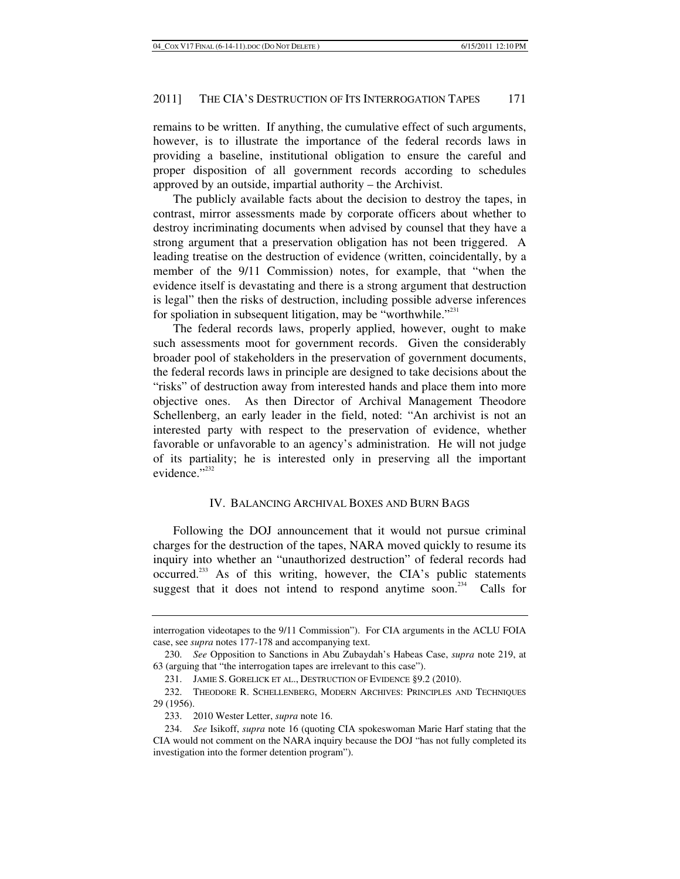remains to be written. If anything, the cumulative effect of such arguments, however, is to illustrate the importance of the federal records laws in providing a baseline, institutional obligation to ensure the careful and proper disposition of all government records according to schedules approved by an outside, impartial authority – the Archivist.

The publicly available facts about the decision to destroy the tapes, in contrast, mirror assessments made by corporate officers about whether to destroy incriminating documents when advised by counsel that they have a strong argument that a preservation obligation has not been triggered. A leading treatise on the destruction of evidence (written, coincidentally, by a member of the 9/11 Commission) notes, for example, that "when the evidence itself is devastating and there is a strong argument that destruction is legal" then the risks of destruction, including possible adverse inferences for spoliation in subsequent litigation, may be "worthwhile."<sup>231</sup>

The federal records laws, properly applied, however, ought to make such assessments moot for government records. Given the considerably broader pool of stakeholders in the preservation of government documents, the federal records laws in principle are designed to take decisions about the "risks" of destruction away from interested hands and place them into more objective ones. As then Director of Archival Management Theodore Schellenberg, an early leader in the field, noted: "An archivist is not an interested party with respect to the preservation of evidence, whether favorable or unfavorable to an agency's administration. He will not judge of its partiality; he is interested only in preserving all the important evidence."<sup>232</sup>

### IV. BALANCING ARCHIVAL BOXES AND BURN BAGS

Following the DOJ announcement that it would not pursue criminal charges for the destruction of the tapes, NARA moved quickly to resume its inquiry into whether an "unauthorized destruction" of federal records had occurred.<sup>233</sup> As of this writing, however, the CIA's public statements suggest that it does not intend to respond anytime soon.<sup>234</sup> Calls for

interrogation videotapes to the 9/11 Commission"). For CIA arguments in the ACLU FOIA case, see *supra* notes 177-178 and accompanying text.

<sup>230.</sup> *See* Opposition to Sanctions in Abu Zubaydah's Habeas Case, *supra* note 219, at 63 (arguing that "the interrogation tapes are irrelevant to this case").

 <sup>231.</sup> JAMIE S. GORELICK ET AL., DESTRUCTION OF EVIDENCE §9.2 (2010).

 <sup>232.</sup> THEODORE R. SCHELLENBERG, MODERN ARCHIVES: PRINCIPLES AND TECHNIQUES 29 (1956).

 <sup>233. 2010</sup> Wester Letter, *supra* note 16.

<sup>234.</sup> *See* Isikoff, *supra* note 16 (quoting CIA spokeswoman Marie Harf stating that the CIA would not comment on the NARA inquiry because the DOJ "has not fully completed its investigation into the former detention program").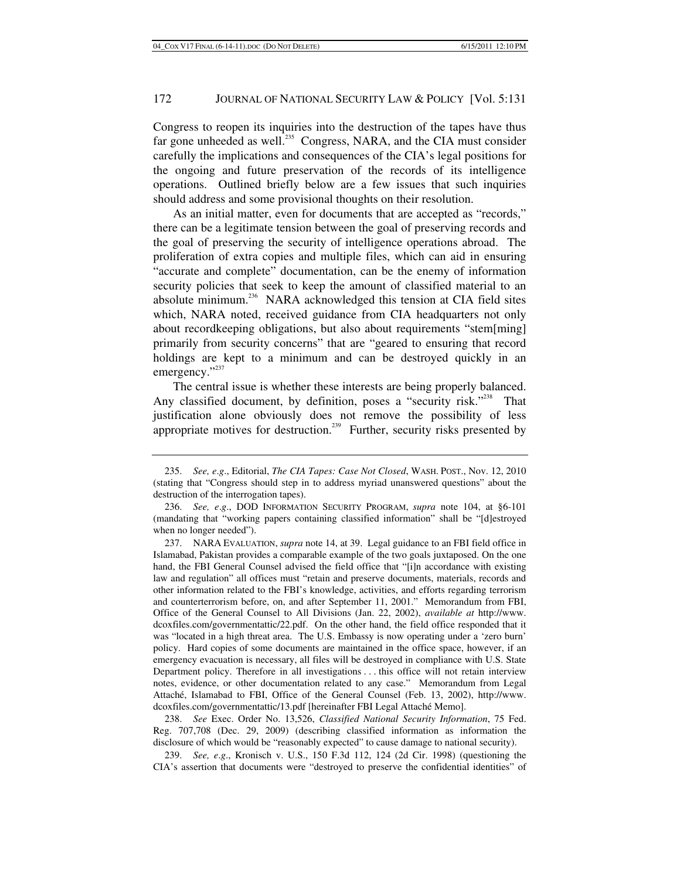Congress to reopen its inquiries into the destruction of the tapes have thus far gone unheeded as well.<sup>235</sup> Congress, NARA, and the CIA must consider carefully the implications and consequences of the CIA's legal positions for the ongoing and future preservation of the records of its intelligence operations. Outlined briefly below are a few issues that such inquiries should address and some provisional thoughts on their resolution.

As an initial matter, even for documents that are accepted as "records," there can be a legitimate tension between the goal of preserving records and the goal of preserving the security of intelligence operations abroad. The proliferation of extra copies and multiple files, which can aid in ensuring "accurate and complete" documentation, can be the enemy of information security policies that seek to keep the amount of classified material to an absolute minimum.<sup>236</sup> NARA acknowledged this tension at CIA field sites which, NARA noted, received guidance from CIA headquarters not only about recordkeeping obligations, but also about requirements "stem[ming] primarily from security concerns" that are "geared to ensuring that record holdings are kept to a minimum and can be destroyed quickly in an emergency."<sup>237</sup>

The central issue is whether these interests are being properly balanced. Any classified document, by definition, poses a "security risk."<sup>238</sup> That justification alone obviously does not remove the possibility of less appropriate motives for destruction.<sup>239</sup> Further, security risks presented by

238. *See* Exec. Order No. 13,526, *Classified National Security Information*, 75 Fed. Reg. 707,708 (Dec. 29, 2009) (describing classified information as information the disclosure of which would be "reasonably expected" to cause damage to national security).

239. *See, e*.*g*., Kronisch v. U.S., 150 F.3d 112, 124 (2d Cir. 1998) (questioning the CIA's assertion that documents were "destroyed to preserve the confidential identities" of

<sup>235.</sup> *See, e*.*g*., Editorial, *The CIA Tapes: Case Not Closed*, WASH. POST., Nov. 12, 2010 (stating that "Congress should step in to address myriad unanswered questions" about the destruction of the interrogation tapes).

<sup>236.</sup> *See, e*.*g*., DOD INFORMATION SECURITY PROGRAM, *supra* note 104, at §6-101 (mandating that "working papers containing classified information" shall be "[d]estroyed when no longer needed").

 <sup>237.</sup> NARA EVALUATION, *supra* note 14, at 39. Legal guidance to an FBI field office in Islamabad, Pakistan provides a comparable example of the two goals juxtaposed. On the one hand, the FBI General Counsel advised the field office that "[i]n accordance with existing law and regulation" all offices must "retain and preserve documents, materials, records and other information related to the FBI's knowledge, activities, and efforts regarding terrorism and counterterrorism before, on, and after September 11, 2001." Memorandum from FBI, Office of the General Counsel to All Divisions (Jan. 22, 2002), *available at* http://www. dcoxfiles.com/governmentattic/22.pdf. On the other hand, the field office responded that it was "located in a high threat area. The U.S. Embassy is now operating under a 'zero burn' policy. Hard copies of some documents are maintained in the office space, however, if an emergency evacuation is necessary, all files will be destroyed in compliance with U.S. State Department policy. Therefore in all investigations . . . this office will not retain interview notes, evidence, or other documentation related to any case." Memorandum from Legal Attaché, Islamabad to FBI, Office of the General Counsel (Feb. 13, 2002), http://www. dcoxfiles.com/governmentattic/13.pdf [hereinafter FBI Legal Attaché Memo].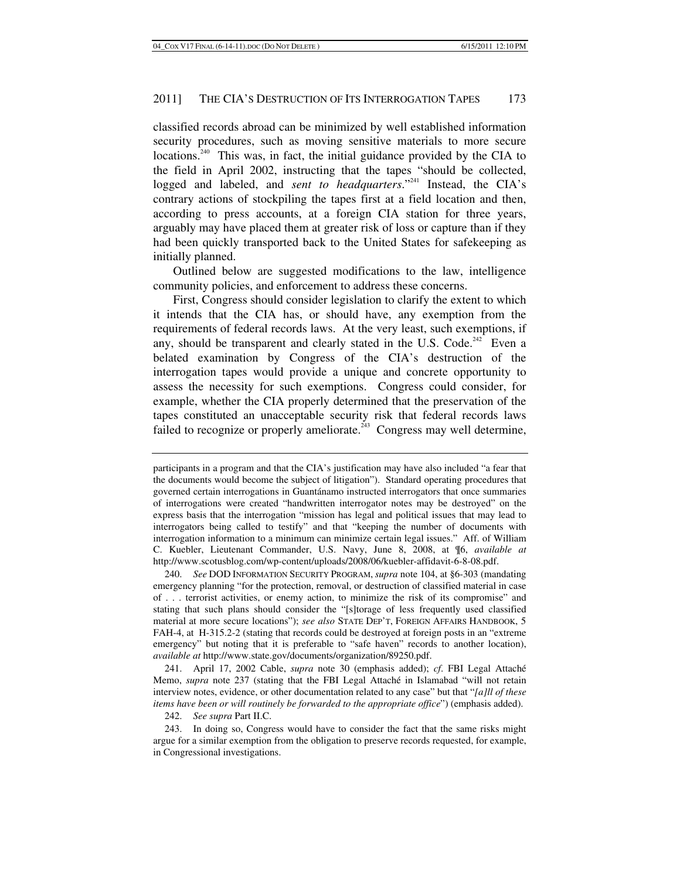classified records abroad can be minimized by well established information security procedures, such as moving sensitive materials to more secure locations.<sup>240</sup> This was, in fact, the initial guidance provided by the CIA to the field in April 2002, instructing that the tapes "should be collected, logged and labeled, and *sent to headquarters*."<sup>241</sup> Instead, the CIA's contrary actions of stockpiling the tapes first at a field location and then, according to press accounts, at a foreign CIA station for three years, arguably may have placed them at greater risk of loss or capture than if they had been quickly transported back to the United States for safekeeping as initially planned.

Outlined below are suggested modifications to the law, intelligence community policies, and enforcement to address these concerns.

First, Congress should consider legislation to clarify the extent to which it intends that the CIA has, or should have, any exemption from the requirements of federal records laws. At the very least, such exemptions, if any, should be transparent and clearly stated in the U.S. Code.<sup>242</sup> Even a belated examination by Congress of the CIA's destruction of the interrogation tapes would provide a unique and concrete opportunity to assess the necessity for such exemptions. Congress could consider, for example, whether the CIA properly determined that the preservation of the tapes constituted an unacceptable security risk that federal records laws failed to recognize or properly ameliorate.<sup> $^{243}$ </sup> Congress may well determine,

 241. April 17, 2002 Cable, *supra* note 30 (emphasis added); *cf*. FBI Legal Attaché Memo, *supra* note 237 (stating that the FBI Legal Attaché in Islamabad "will not retain interview notes, evidence, or other documentation related to any case" but that "*[a]ll of these items have been or will routinely be forwarded to the appropriate office*") (emphasis added).

242. *See supra* Part II.C.

 243. In doing so, Congress would have to consider the fact that the same risks might argue for a similar exemption from the obligation to preserve records requested, for example, in Congressional investigations.

participants in a program and that the CIA's justification may have also included "a fear that the documents would become the subject of litigation"). Standard operating procedures that governed certain interrogations in Guantánamo instructed interrogators that once summaries of interrogations were created "handwritten interrogator notes may be destroyed" on the express basis that the interrogation "mission has legal and political issues that may lead to interrogators being called to testify" and that "keeping the number of documents with interrogation information to a minimum can minimize certain legal issues." Aff. of William C. Kuebler, Lieutenant Commander, U.S. Navy, June 8, 2008, at ¶6, *available at* http://www.scotusblog.com/wp-content/uploads/2008/06/kuebler-affidavit-6-8-08.pdf.

<sup>240.</sup> *See* DOD INFORMATION SECURITY PROGRAM, *supra* note 104, at §6-303 (mandating emergency planning "for the protection, removal, or destruction of classified material in case of . . . terrorist activities, or enemy action, to minimize the risk of its compromise" and stating that such plans should consider the "[s]torage of less frequently used classified material at more secure locations"); *see also* STATE DEP'T, FOREIGN AFFAIRS HANDBOOK, 5 FAH-4, at H-315.2-2 (stating that records could be destroyed at foreign posts in an "extreme emergency" but noting that it is preferable to "safe haven" records to another location), *available at* http://www.state.gov/documents/organization/89250.pdf.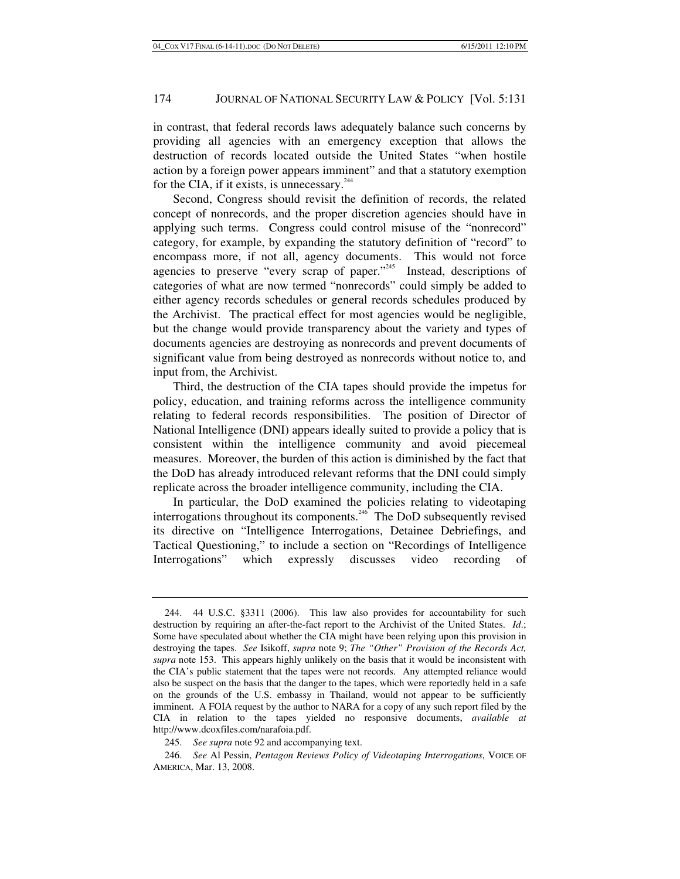in contrast, that federal records laws adequately balance such concerns by providing all agencies with an emergency exception that allows the destruction of records located outside the United States "when hostile action by a foreign power appears imminent" and that a statutory exemption for the CIA, if it exists, is unnecessary. $244$ 

Second, Congress should revisit the definition of records, the related concept of nonrecords, and the proper discretion agencies should have in applying such terms. Congress could control misuse of the "nonrecord" category, for example, by expanding the statutory definition of "record" to encompass more, if not all, agency documents. This would not force agencies to preserve "every scrap of paper."<sup>245</sup> Instead, descriptions of categories of what are now termed "nonrecords" could simply be added to either agency records schedules or general records schedules produced by the Archivist. The practical effect for most agencies would be negligible, but the change would provide transparency about the variety and types of documents agencies are destroying as nonrecords and prevent documents of significant value from being destroyed as nonrecords without notice to, and input from, the Archivist.

Third, the destruction of the CIA tapes should provide the impetus for policy, education, and training reforms across the intelligence community relating to federal records responsibilities. The position of Director of National Intelligence (DNI) appears ideally suited to provide a policy that is consistent within the intelligence community and avoid piecemeal measures. Moreover, the burden of this action is diminished by the fact that the DoD has already introduced relevant reforms that the DNI could simply replicate across the broader intelligence community, including the CIA.

In particular, the DoD examined the policies relating to videotaping interrogations throughout its components.<sup> $246$ </sup> The DoD subsequently revised its directive on "Intelligence Interrogations, Detainee Debriefings, and Tactical Questioning," to include a section on "Recordings of Intelligence Interrogations" which expressly discusses video recording of

 <sup>244. 44</sup> U.S.C. §3311 (2006). This law also provides for accountability for such destruction by requiring an after-the-fact report to the Archivist of the United States. *Id*.; Some have speculated about whether the CIA might have been relying upon this provision in destroying the tapes. *See* Isikoff, *supra* note 9; *The "Other" Provision of the Records Act, supra* note 153. This appears highly unlikely on the basis that it would be inconsistent with the CIA's public statement that the tapes were not records. Any attempted reliance would also be suspect on the basis that the danger to the tapes, which were reportedly held in a safe on the grounds of the U.S. embassy in Thailand, would not appear to be sufficiently imminent. A FOIA request by the author to NARA for a copy of any such report filed by the CIA in relation to the tapes yielded no responsive documents, *available at* http://www.dcoxfiles.com/narafoia.pdf.

<sup>245.</sup> *See supra* note 92 and accompanying text.

<sup>246.</sup> *See* Al Pessin, *Pentagon Reviews Policy of Videotaping Interrogations*, VOICE OF AMERICA, Mar. 13, 2008.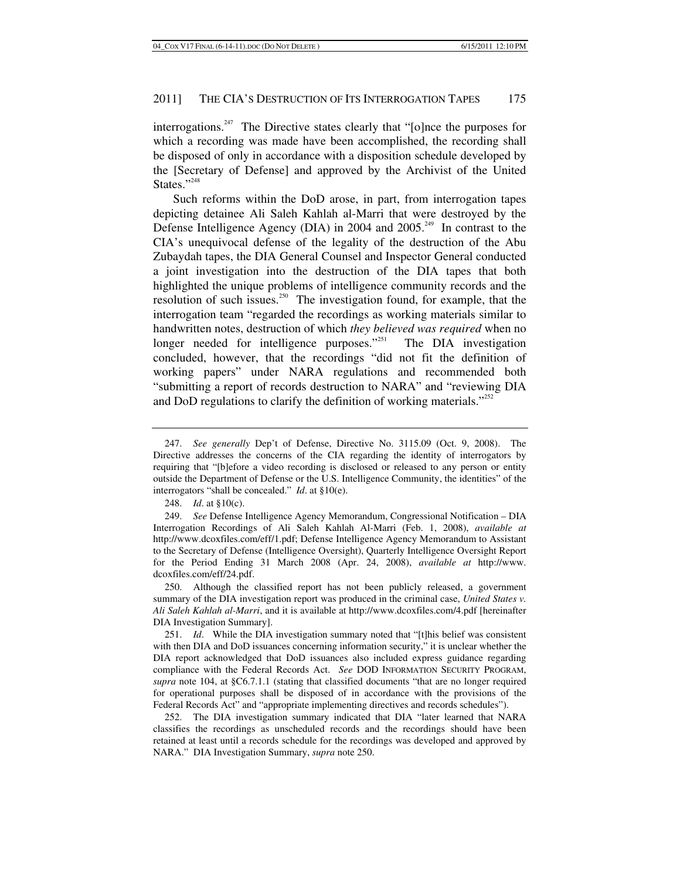interrogations.<sup>247</sup> The Directive states clearly that "[o]nce the purposes for which a recording was made have been accomplished, the recording shall be disposed of only in accordance with a disposition schedule developed by the [Secretary of Defense] and approved by the Archivist of the United States."<sup>248</sup>

Such reforms within the DoD arose, in part, from interrogation tapes depicting detainee Ali Saleh Kahlah al-Marri that were destroyed by the Defense Intelligence Agency (DIA) in 2004 and  $2005<sup>249</sup>$  In contrast to the CIA's unequivocal defense of the legality of the destruction of the Abu Zubaydah tapes, the DIA General Counsel and Inspector General conducted a joint investigation into the destruction of the DIA tapes that both highlighted the unique problems of intelligence community records and the resolution of such issues.<sup>250</sup> The investigation found, for example, that the interrogation team "regarded the recordings as working materials similar to handwritten notes, destruction of which *they believed was required* when no longer needed for intelligence purposes."<sup>251</sup> The DIA investigation concluded, however, that the recordings "did not fit the definition of working papers" under NARA regulations and recommended both "submitting a report of records destruction to NARA" and "reviewing DIA and DoD regulations to clarify the definition of working materials." $252$ 

<sup>247.</sup> *See generally* Dep't of Defense, Directive No. 3115.09 (Oct. 9, 2008). The Directive addresses the concerns of the CIA regarding the identity of interrogators by requiring that "[b]efore a video recording is disclosed or released to any person or entity outside the Department of Defense or the U.S. Intelligence Community, the identities" of the interrogators "shall be concealed." *Id*. at §10(e).

<sup>248.</sup> *Id*. at §10(c).

<sup>249.</sup> *See* Defense Intelligence Agency Memorandum, Congressional Notification – DIA Interrogation Recordings of Ali Saleh Kahlah Al-Marri (Feb. 1, 2008), *available at* http://www.dcoxfiles.com/eff/1.pdf; Defense Intelligence Agency Memorandum to Assistant to the Secretary of Defense (Intelligence Oversight), Quarterly Intelligence Oversight Report for the Period Ending 31 March 2008 (Apr. 24, 2008), *available at* http://www. dcoxfiles.com/eff/24.pdf.

 <sup>250.</sup> Although the classified report has not been publicly released, a government summary of the DIA investigation report was produced in the criminal case, *United States v. Ali Saleh Kahlah al-Marri*, and it is available at http://www.dcoxfiles.com/4.pdf [hereinafter DIA Investigation Summary].

<sup>251.</sup> *Id*. While the DIA investigation summary noted that "[t]his belief was consistent with then DIA and DoD issuances concerning information security," it is unclear whether the DIA report acknowledged that DoD issuances also included express guidance regarding compliance with the Federal Records Act. *See* DOD INFORMATION SECURITY PROGRAM, *supra* note 104, at §C6.7.1.1 (stating that classified documents "that are no longer required for operational purposes shall be disposed of in accordance with the provisions of the Federal Records Act" and "appropriate implementing directives and records schedules").

 <sup>252.</sup> The DIA investigation summary indicated that DIA "later learned that NARA classifies the recordings as unscheduled records and the recordings should have been retained at least until a records schedule for the recordings was developed and approved by NARA." DIA Investigation Summary, *supra* note 250.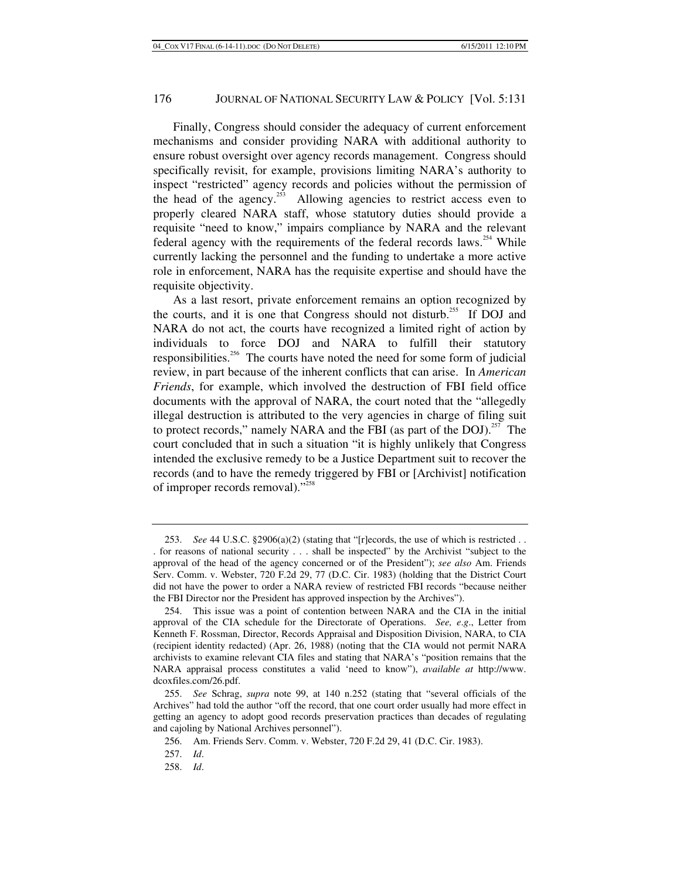Finally, Congress should consider the adequacy of current enforcement mechanisms and consider providing NARA with additional authority to ensure robust oversight over agency records management. Congress should specifically revisit, for example, provisions limiting NARA's authority to inspect "restricted" agency records and policies without the permission of the head of the agency.<sup>253</sup> Allowing agencies to restrict access even to properly cleared NARA staff, whose statutory duties should provide a requisite "need to know," impairs compliance by NARA and the relevant federal agency with the requirements of the federal records laws.<sup>254</sup> While currently lacking the personnel and the funding to undertake a more active role in enforcement, NARA has the requisite expertise and should have the requisite objectivity.

As a last resort, private enforcement remains an option recognized by the courts, and it is one that Congress should not disturb.<sup>255</sup> If DOJ and NARA do not act, the courts have recognized a limited right of action by individuals to force DOJ and NARA to fulfill their statutory responsibilities.256 The courts have noted the need for some form of judicial review, in part because of the inherent conflicts that can arise. In *American Friends*, for example, which involved the destruction of FBI field office documents with the approval of NARA, the court noted that the "allegedly illegal destruction is attributed to the very agencies in charge of filing suit to protect records," namely NARA and the FBI (as part of the DOJ). $^{257}$  The court concluded that in such a situation "it is highly unlikely that Congress intended the exclusive remedy to be a Justice Department suit to recover the records (and to have the remedy triggered by FBI or [Archivist] notification of improper records removal)."<sup>258</sup>

<sup>253.</sup> *See* 44 U.S.C. §2906(a)(2) (stating that "[r]ecords, the use of which is restricted . .

<sup>.</sup> for reasons of national security . . . shall be inspected" by the Archivist "subject to the approval of the head of the agency concerned or of the President"); *see also* Am. Friends Serv. Comm. v. Webster, 720 F.2d 29, 77 (D.C. Cir. 1983) (holding that the District Court did not have the power to order a NARA review of restricted FBI records "because neither the FBI Director nor the President has approved inspection by the Archives").

 <sup>254.</sup> This issue was a point of contention between NARA and the CIA in the initial approval of the CIA schedule for the Directorate of Operations. *See, e*.*g*., Letter from Kenneth F. Rossman, Director, Records Appraisal and Disposition Division, NARA, to CIA (recipient identity redacted) (Apr. 26, 1988) (noting that the CIA would not permit NARA archivists to examine relevant CIA files and stating that NARA's "position remains that the NARA appraisal process constitutes a valid 'need to know"), *available at* http://www. dcoxfiles.com/26.pdf.

<sup>255.</sup> *See* Schrag, *supra* note 99, at 140 n.252 (stating that "several officials of the Archives" had told the author "off the record, that one court order usually had more effect in getting an agency to adopt good records preservation practices than decades of regulating and cajoling by National Archives personnel").

 <sup>256.</sup> Am. Friends Serv. Comm. v. Webster, 720 F.2d 29, 41 (D.C. Cir. 1983).

<sup>257.</sup> *Id*.

<sup>258.</sup> *Id*.